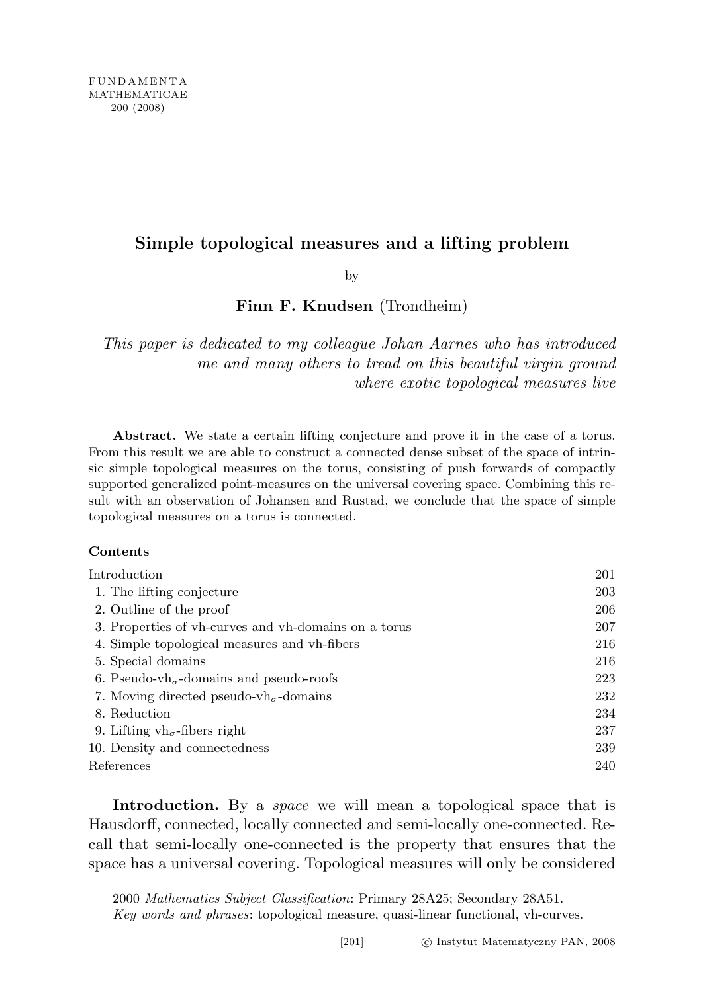# Simple topological measures and a lifting problem

by

Finn F. Knudsen (Trondheim)

This paper is dedicated to my colleague Johan Aarnes who has introduced me and many others to tread on this beautiful virgin ground where exotic topological measures live

Abstract. We state a certain lifting conjecture and prove it in the case of a torus. From this result we are able to construct a connected dense subset of the space of intrinsic simple topological measures on the torus, consisting of push forwards of compactly supported generalized point-measures on the universal covering space. Combining this result with an observation of Johansen and Rustad, we conclude that the space of simple topological measures on a torus is connected.

### Contents

| $\operatorname{Introduction}$                                         | 201 |
|-----------------------------------------------------------------------|-----|
| 1. The lifting conjecture                                             | 203 |
| 2. Outline of the proof                                               | 206 |
| 3. Properties of vh-curves and vh-domains on a torus                  | 207 |
| 4. Simple topological measures and vh-fibers                          | 216 |
| 5. Special domains                                                    | 216 |
| 6. Pseudo-vh <sub><math>\sigma</math></sub> -domains and pseudo-roofs | 223 |
| 7. Moving directed pseudo-vh <sub><math>\sigma</math></sub> -domains  | 232 |
| 8. Reduction                                                          | 234 |
| 9. Lifting $vh_{\sigma}$ -fibers right                                | 237 |
| 10. Density and connectedness                                         | 239 |
| References                                                            | 240 |

Introduction. By a *space* we will mean a topological space that is Hausdorff, connected, locally connected and semi-locally one-connected. Recall that semi-locally one-connected is the property that ensures that the space has a universal covering. Topological measures will only be considered

<sup>2000</sup> Mathematics Subject Classification: Primary 28A25; Secondary 28A51.

Key words and phrases: topological measure, quasi-linear functional, vh-curves.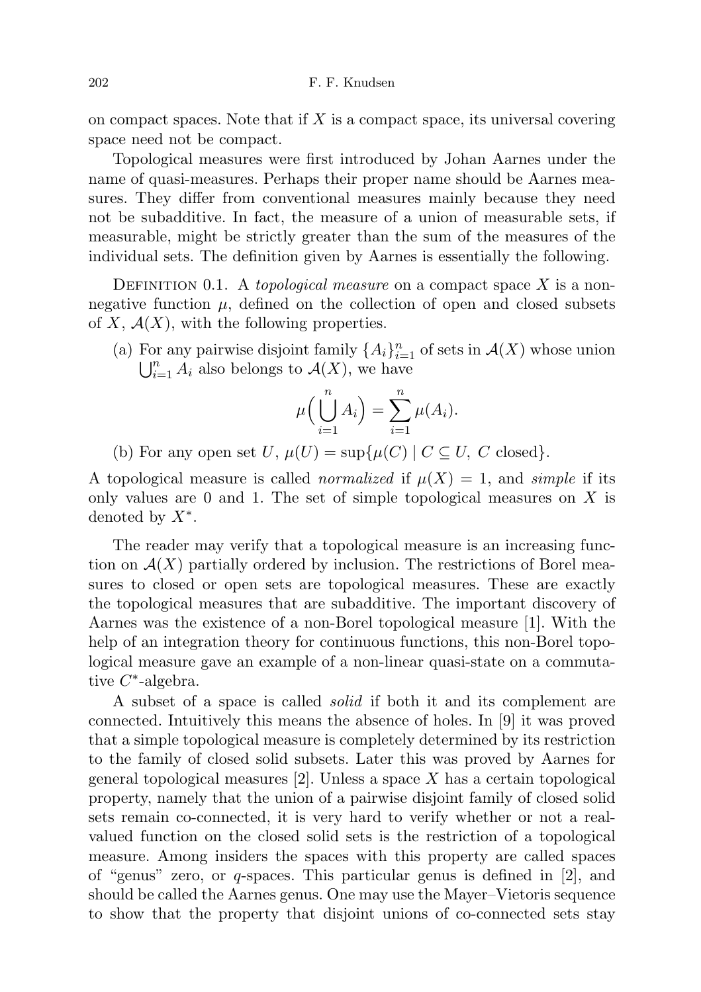on compact spaces. Note that if  $X$  is a compact space, its universal covering space need not be compact.

Topological measures were first introduced by Johan Aarnes under the name of quasi-measures. Perhaps their proper name should be Aarnes measures. They differ from conventional measures mainly because they need not be subadditive. In fact, the measure of a union of measurable sets, if measurable, might be strictly greater than the sum of the measures of the individual sets. The definition given by Aarnes is essentially the following.

DEFINITION 0.1. A topological measure on a compact space X is a nonnegative function  $\mu$ , defined on the collection of open and closed subsets of X,  $\mathcal{A}(X)$ , with the following properties.

(a) For any pairwise disjoint family  $\{A_i\}_{i=1}^n$  of sets in  $\mathcal{A}(X)$  whose union  $\bigcup_{i=1}^n A_i$  also belongs to  $\mathcal{A}(X)$ , we have

$$
\mu\left(\bigcup_{i=1}^n A_i\right) = \sum_{i=1}^n \mu(A_i).
$$

(b) For any open set U,  $\mu(U) = \sup \{ \mu(C) \mid C \subseteq U, C \text{ closed} \}.$ 

A topological measure is called *normalized* if  $\mu(X) = 1$ , and *simple* if its only values are  $0$  and  $1$ . The set of simple topological measures on X is denoted by  $X^*$ .

The reader may verify that a topological measure is an increasing function on  $\mathcal{A}(X)$  partially ordered by inclusion. The restrictions of Borel measures to closed or open sets are topological measures. These are exactly the topological measures that are subadditive. The important discovery of Aarnes was the existence of a non-Borel topological measure [1]. With the help of an integration theory for continuous functions, this non-Borel topological measure gave an example of a non-linear quasi-state on a commutative  $C^*$ -algebra.

A subset of a space is called solid if both it and its complement are connected. Intuitively this means the absence of holes. In [9] it was proved that a simple topological measure is completely determined by its restriction to the family of closed solid subsets. Later this was proved by Aarnes for general topological measures [2]. Unless a space X has a certain topological property, namely that the union of a pairwise disjoint family of closed solid sets remain co-connected, it is very hard to verify whether or not a realvalued function on the closed solid sets is the restriction of a topological measure. Among insiders the spaces with this property are called spaces of "genus" zero, or  $q$ -spaces. This particular genus is defined in [2], and should be called the Aarnes genus. One may use the Mayer–Vietoris sequence to show that the property that disjoint unions of co-connected sets stay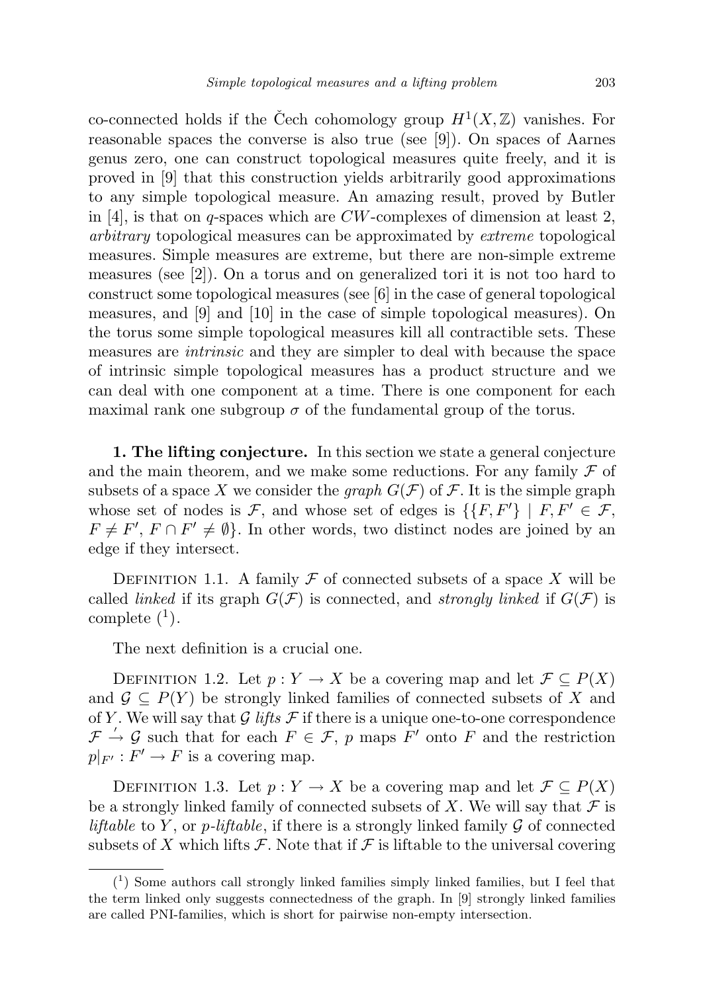co-connected holds if the Čech cohomology group  $H^1(X,\mathbb{Z})$  vanishes. For reasonable spaces the converse is also true (see [9]). On spaces of Aarnes genus zero, one can construct topological measures quite freely, and it is proved in [9] that this construction yields arbitrarily good approximations to any simple topological measure. An amazing result, proved by Butler in [4], is that on q-spaces which are  $CW$ -complexes of dimension at least 2, arbitrary topological measures can be approximated by extreme topological measures. Simple measures are extreme, but there are non-simple extreme measures (see [2]). On a torus and on generalized tori it is not too hard to construct some topological measures (see [6] in the case of general topological measures, and [9] and [10] in the case of simple topological measures). On the torus some simple topological measures kill all contractible sets. These measures are intrinsic and they are simpler to deal with because the space of intrinsic simple topological measures has a product structure and we can deal with one component at a time. There is one component for each maximal rank one subgroup  $\sigma$  of the fundamental group of the torus.

1. The lifting conjecture. In this section we state a general conjecture and the main theorem, and we make some reductions. For any family  $\mathcal F$  of subsets of a space X we consider the *graph*  $G(\mathcal{F})$  of  $\mathcal{F}$ . It is the simple graph whose set of nodes is F, and whose set of edges is  $\{F, F'\} \mid F, F' \in \mathcal{F}$ ,  $F \neq F', F \cap F' \neq \emptyset$ . In other words, two distinct nodes are joined by an edge if they intersect.

DEFINITION 1.1. A family  $\mathcal F$  of connected subsets of a space X will be called *linked* if its graph  $G(\mathcal{F})$  is connected, and *strongly linked* if  $G(\mathcal{F})$  is complete  $(1)$ .

The next definition is a crucial one.

DEFINITION 1.2. Let  $p: Y \to X$  be a covering map and let  $\mathcal{F} \subset P(X)$ and  $\mathcal{G} \subseteq P(Y)$  be strongly linked families of connected subsets of X and of Y. We will say that  $G$  lifts  $F$  if there is a unique one-to-one correspondence  $\mathcal{F} \to \mathcal{G}$  such that for each  $F \in \mathcal{F}$ , p maps  $\tilde{F}'$  onto F and the restriction  $p|_{F'}: F' \to F$  is a covering map.

DEFINITION 1.3. Let  $p: Y \to X$  be a covering map and let  $\mathcal{F} \subseteq P(X)$ be a strongly linked family of connected subsets of X. We will say that  $\mathcal F$  is *liftable* to Y, or *p*-*liftable*, if there is a strongly linked family  $\mathcal G$  of connected subsets of X which lifts  $\mathcal F$ . Note that if  $\mathcal F$  is liftable to the universal covering

<sup>(</sup> 1 ) Some authors call strongly linked families simply linked families, but I feel that the term linked only suggests connectedness of the graph. In [9] strongly linked families are called PNI-families, which is short for pairwise non-empty intersection.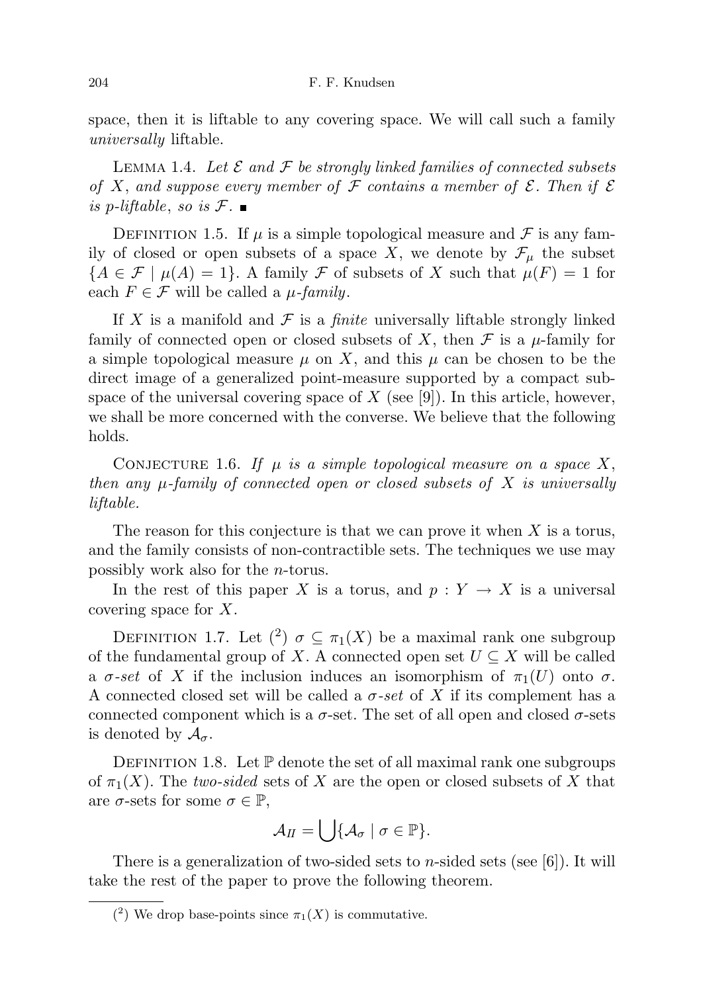space, then it is liftable to any covering space. We will call such a family universally liftable.

LEMMA 1.4. Let  $\mathcal E$  and  $\mathcal F$  be strongly linked families of connected subsets of X, and suppose every member of F contains a member of  $\mathcal E$ . Then if  $\mathcal E$ is p-liftable, so is  $\mathcal{F}$ .

DEFINITION 1.5. If  $\mu$  is a simple topological measure and  $\mathcal F$  is any family of closed or open subsets of a space X, we denote by  $\mathcal{F}_{\mu}$  the subset  ${A \in \mathcal{F} \mid \mu(A) = 1}.$  A family F of subsets of X such that  $\mu(F) = 1$  for each  $F \in \mathcal{F}$  will be called a  $\mu$ -family.

If X is a manifold and  $\mathcal F$  is a *finite* universally liftable strongly linked family of connected open or closed subsets of X, then  $\mathcal F$  is a  $\mu$ -family for a simple topological measure  $\mu$  on X, and this  $\mu$  can be chosen to be the direct image of a generalized point-measure supported by a compact subspace of the universal covering space of  $X$  (see [9]). In this article, however, we shall be more concerned with the converse. We believe that the following holds.

CONJECTURE 1.6. If  $\mu$  is a simple topological measure on a space X, then any  $\mu$ -family of connected open or closed subsets of X is universally liftable.

The reason for this conjecture is that we can prove it when  $X$  is a torus, and the family consists of non-contractible sets. The techniques we use may possibly work also for the n-torus.

In the rest of this paper X is a torus, and  $p: Y \to X$  is a universal covering space for X.

DEFINITION 1.7. Let  $(2)$   $\sigma \subseteq \pi_1(X)$  be a maximal rank one subgroup of the fundamental group of X. A connected open set  $U \subseteq X$  will be called a  $\sigma$ -set of X if the inclusion induces an isomorphism of  $\pi_1(U)$  onto  $\sigma$ . A connected closed set will be called a  $\sigma$ -set of X if its complement has a connected component which is a  $\sigma$ -set. The set of all open and closed  $\sigma$ -sets is denoted by  $\mathcal{A}_{\sigma}$ .

DEFINITION 1.8. Let  $\mathbb P$  denote the set of all maximal rank one subgroups of  $\pi_1(X)$ . The two-sided sets of X are the open or closed subsets of X that are  $\sigma$ -sets for some  $\sigma \in \mathbb{P}$ ,

$$
\mathcal{A}_{II}=\bigcup\{\mathcal{A}_{\sigma}\mid \sigma\in\mathbb{P}\}.
$$

There is a generalization of two-sided sets to *n*-sided sets (see [6]). It will take the rest of the paper to prove the following theorem.

<sup>(&</sup>lt;sup>2</sup>) We drop base-points since  $\pi_1(X)$  is commutative.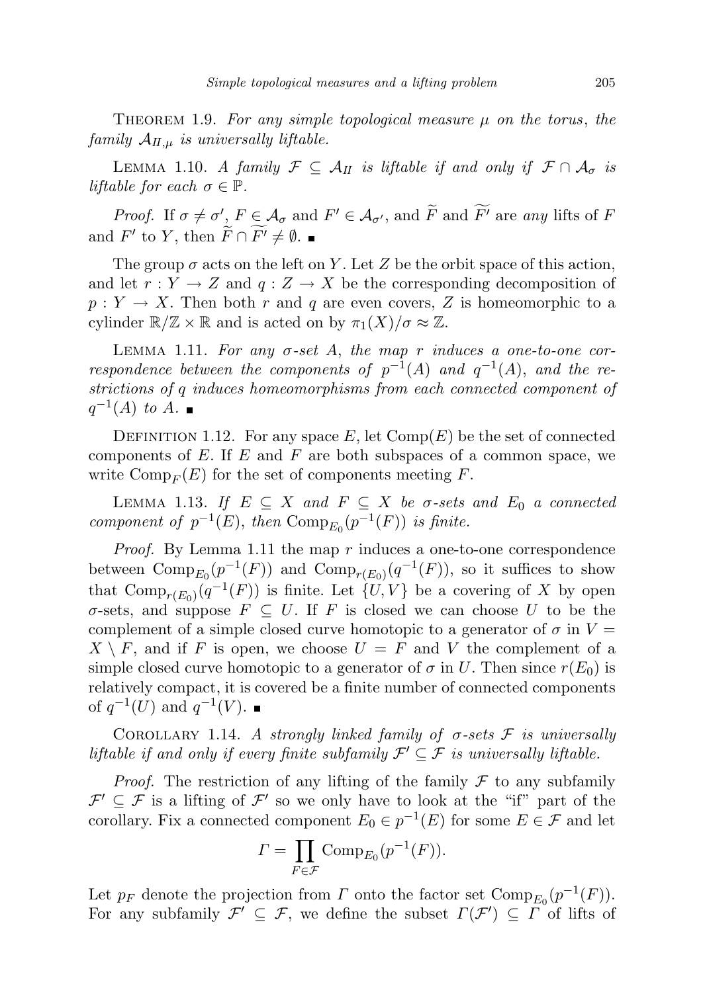THEOREM 1.9. For any simple topological measure  $\mu$  on the torus, the family  $A_{II,\mu}$  is universally liftable.

LEMMA 1.10. A family  $\mathcal{F} \subseteq \mathcal{A}_{II}$  is liftable if and only if  $\mathcal{F} \cap \mathcal{A}_{\sigma}$  is liftable for each  $\sigma \in \mathbb{P}$ .

Proof. If  $\sigma \neq \sigma'$ ,  $F \in \mathcal{A}_{\sigma}$  and  $F' \in \mathcal{A}_{\sigma'}$ , and  $\widetilde{F}$  and  $\widetilde{F'}$  are any lifts of F and  $F'$  to Y, then  $\widetilde{F} \cap \widetilde{F'} \neq \emptyset$ .

The group  $\sigma$  acts on the left on Y. Let Z be the orbit space of this action, and let  $r: Y \to Z$  and  $q: Z \to X$  be the corresponding decomposition of  $p: Y \to X$ . Then both r and q are even covers, Z is homeomorphic to a cylinder  $\mathbb{R}/\mathbb{Z} \times \mathbb{R}$  and is acted on by  $\pi_1(X)/\sigma \approx \mathbb{Z}$ .

LEMMA 1.11. For any  $\sigma$ -set A, the map r induces a one-to-one correspondence between the components of  $p^{-1}(A)$  and  $q^{-1}(A)$ , and the restrictions of q induces homeomorphisms from each connected component of  $q^{-1}(A)$  to A.

DEFINITION 1.12. For any space  $E$ , let  $Comp(E)$  be the set of connected components of  $E$ . If  $E$  and  $F$  are both subspaces of a common space, we write  $\text{Comp}_F (E)$  for the set of components meeting F.

LEMMA 1.13. If  $E \subseteq X$  and  $F \subseteq X$  be  $\sigma$ -sets and  $E_0$  a connected component of  $p^{-1}(E)$ , then  $Comp_{E_0}(p^{-1}(F))$  is finite.

*Proof.* By Lemma 1.11 the map  $r$  induces a one-to-one correspondence between  $\text{Comp}_{E_0}(p^{-1}(F))$  and  $\text{Comp}_{r(E_0)}(q^{-1}(F))$ , so it suffices to show that  $\text{Comp}_{r(E_0)}(q^{-1}(F))$  is finite. Let  $\{U, V\}$  be a covering of X by open σ-sets, and suppose  $F \subseteq U$ . If F is closed we can choose U to be the complement of a simple closed curve homotopic to a generator of  $\sigma$  in  $V =$  $X \setminus F$ , and if F is open, we choose  $U = F$  and V the complement of a simple closed curve homotopic to a generator of  $\sigma$  in U. Then since  $r(E_0)$  is relatively compact, it is covered be a finite number of connected components of  $q^{-1}(U)$  and  $q^{-1}(V)$ .

COROLLARY 1.14. A strongly linked family of  $\sigma$ -sets  $\mathcal F$  is universally liftable if and only if every finite subfamily  $\mathcal{F}' \subseteq \mathcal{F}$  is universally liftable.

*Proof.* The restriction of any lifting of the family  $\mathcal F$  to any subfamily  $\mathcal{F}' \subseteq \mathcal{F}$  is a lifting of  $\mathcal{F}'$  so we only have to look at the "if" part of the corollary. Fix a connected component  $E_0 \in p^{-1}(E)$  for some  $E \in \mathcal{F}$  and let

$$
\Gamma = \prod_{F \in \mathcal{F}} \operatorname{Comp}_{E_0}(p^{-1}(F)).
$$

Let  $p_F$  denote the projection from  $\Gamma$  onto the factor set  $\text{Comp}_{E_0}(p^{-1}(F))$ . For any subfamily  $\mathcal{F}' \subseteq \mathcal{F}$ , we define the subset  $\Gamma(\mathcal{F}') \subseteq \Gamma$  of lifts of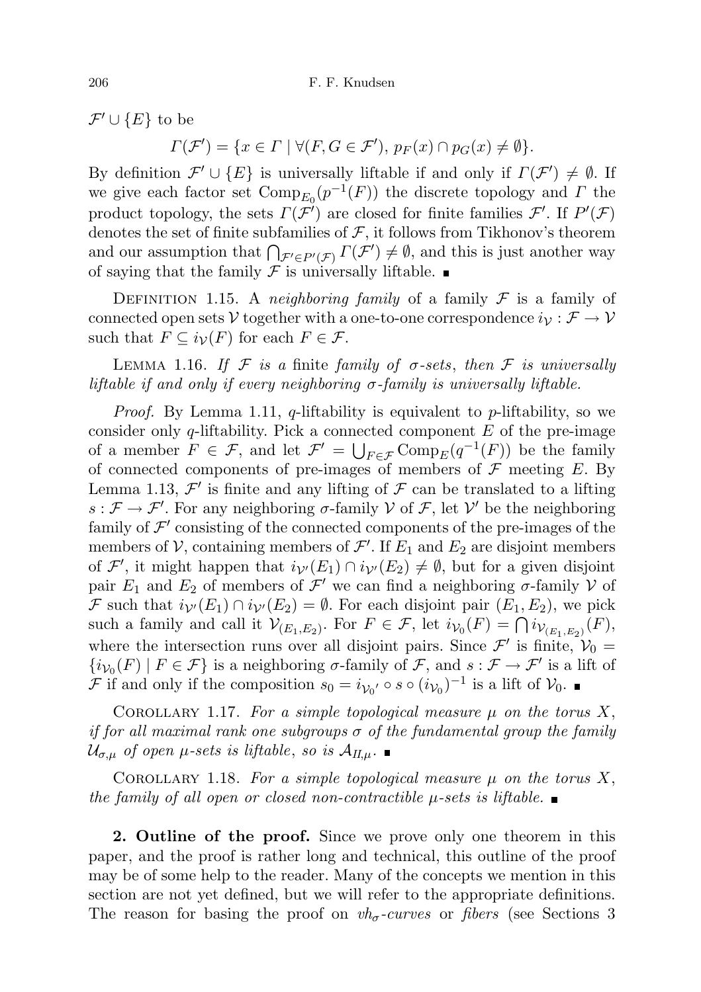$\mathcal{F}' \cup \{E\}$  to be

 $\Gamma(\mathcal{F}') = \{x \in \Gamma \mid \forall (F, G \in \mathcal{F}'), p_F(x) \cap p_G(x) \neq \emptyset\}.$ 

By definition  $\mathcal{F}' \cup \{E\}$  is universally liftable if and only if  $\Gamma(\mathcal{F}') \neq \emptyset$ . If we give each factor set  $\text{Comp}_{E_0}(p^{-1}(F))$  the discrete topology and  $\Gamma$  the product topology, the sets  $\Gamma(\mathcal{F}')$  are closed for finite families  $\mathcal{F}'$ . If  $P'(\mathcal{F})$ denotes the set of finite subfamilies of  $\mathcal{F}$ , it follows from Tikhonov's theorem and our assumption that  $\bigcap_{\mathcal{F}' \in P'(\mathcal{F})} \Gamma(\mathcal{F}') \neq \emptyset$ , and this is just another way of saying that the family  $\mathcal F$  is universally liftable.

DEFINITION 1.15. A neighboring family of a family  $\mathcal F$  is a family of connected open sets V together with a one-to-one correspondence  $i_{\mathcal{V}} : \mathcal{F} \to \mathcal{V}$ such that  $F \subseteq i_{\mathcal{V}}(F)$  for each  $F \in \mathcal{F}$ .

LEMMA 1.16. If F is a finite family of  $\sigma$ -sets, then F is universally liftable if and only if every neighboring  $\sigma$ -family is universally liftable.

*Proof.* By Lemma 1.11, q-liftability is equivalent to p-liftability, so we consider only q-liftability. Pick a connected component  $E$  of the pre-image of a member  $F \in \mathcal{F}$ , and let  $\mathcal{F}' = \bigcup_{F \in \mathcal{F}} \text{Comp}_E(q^{-1}(F))$  be the family of connected components of pre-images of members of  $\mathcal F$  meeting  $E$ . By Lemma 1.13,  $\mathcal{F}'$  is finite and any lifting of  $\mathcal F$  can be translated to a lifting  $s: \mathcal{F} \to \mathcal{F}'$ . For any neighboring  $\sigma$ -family V of  $\mathcal{F}$ , let V' be the neighboring family of  $\mathcal{F}'$  consisting of the connected components of the pre-images of the members of  $\mathcal V$ , containing members of  $\mathcal F'$ . If  $E_1$  and  $E_2$  are disjoint members of  $\mathcal{F}'$ , it might happen that  $i_{\mathcal{V}'}(E_1) \cap i_{\mathcal{V}'}(E_2) \neq \emptyset$ , but for a given disjoint pair  $E_1$  and  $E_2$  of members of  $\mathcal{F}'$  we can find a neighboring  $\sigma$ -family  $\mathcal V$  of F such that  $i_{\mathcal{V}'}(E_1) \cap i_{\mathcal{V}'}(E_2) = \emptyset$ . For each disjoint pair  $(E_1, E_2)$ , we pick such a family and call it  $\mathcal{V}_{(E_1,E_2)}$ . For  $F \in \mathcal{F}$ , let  $i_{\mathcal{V}_0}(F) = \bigcap i_{\mathcal{V}_{(E_1,E_2)}}(F)$ , where the intersection runs over all disjoint pairs. Since  $\mathcal{F}'$  is finite,  $\mathcal{V}_0$  =  $\{i_{\mathcal{V}_0}(F) \mid F \in \mathcal{F}\}\$ is a neighboring  $\sigma$ -family of  $\mathcal{F}$ , and  $s: \mathcal{F} \to \mathcal{F}'$  is a lift of F if and only if the composition  $s_0 = i_{\mathcal{V}_0'} \circ s \circ (i_{\mathcal{V}_0})^{-1}$  is a lift of  $\mathcal{V}_0$ .

COROLLARY 1.17. For a simple topological measure  $\mu$  on the torus X, if for all maximal rank one subgroups  $\sigma$  of the fundamental group the family  $\mathcal{U}_{\sigma,\mu}$  of open  $\mu$ -sets is liftable, so is  $\mathcal{A}_{H,\mu}$ .

COROLLARY 1.18. For a simple topological measure  $\mu$  on the torus X, the family of all open or closed non-contractible  $\mu$ -sets is liftable.

2. Outline of the proof. Since we prove only one theorem in this paper, and the proof is rather long and technical, this outline of the proof may be of some help to the reader. Many of the concepts we mention in this section are not yet defined, but we will refer to the appropriate definitions. The reason for basing the proof on  $vh_{\sigma}$ -curves or fibers (see Sections 3)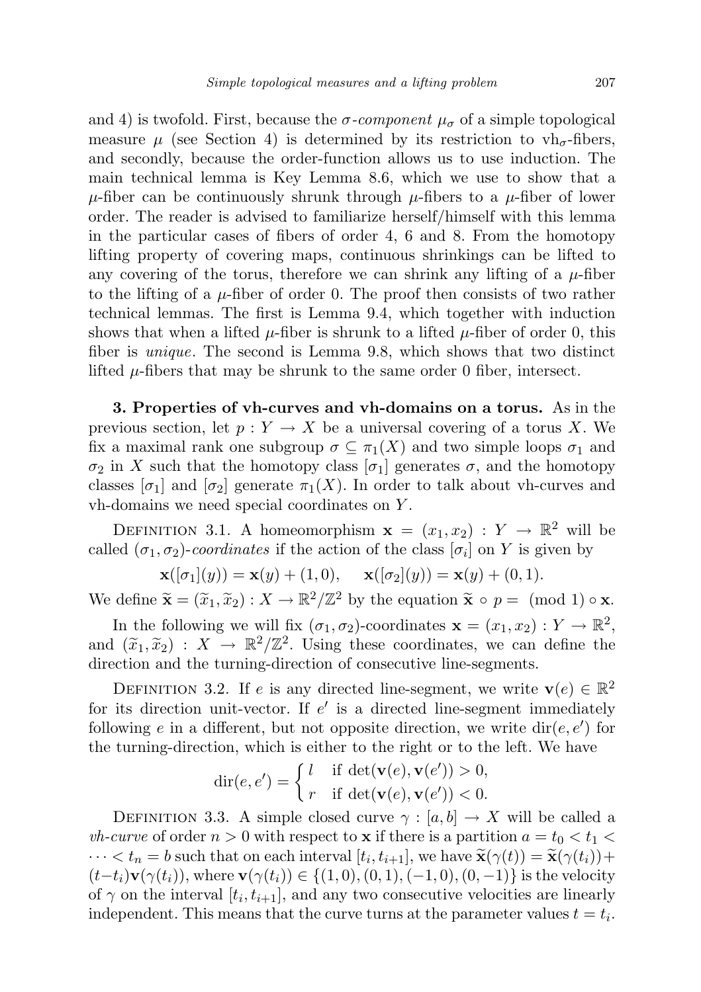and 4) is twofold. First, because the  $\sigma$ -component  $\mu_{\sigma}$  of a simple topological measure  $\mu$  (see Section 4) is determined by its restriction to vh<sub> $\sigma$ </sub>-fibers, and secondly, because the order-function allows us to use induction. The main technical lemma is Key Lemma 8.6, which we use to show that a  $\mu$ -fiber can be continuously shrunk through  $\mu$ -fibers to a  $\mu$ -fiber of lower order. The reader is advised to familiarize herself/himself with this lemma in the particular cases of fibers of order 4, 6 and 8. From the homotopy lifting property of covering maps, continuous shrinkings can be lifted to any covering of the torus, therefore we can shrink any lifting of a  $\mu$ -fiber to the lifting of a  $\mu$ -fiber of order 0. The proof then consists of two rather technical lemmas. The first is Lemma 9.4, which together with induction shows that when a lifted  $\mu$ -fiber is shrunk to a lifted  $\mu$ -fiber of order 0, this fiber is unique. The second is Lemma 9.8, which shows that two distinct lifted  $\mu$ -fibers that may be shrunk to the same order 0 fiber, intersect.

3. Properties of vh-curves and vh-domains on a torus. As in the previous section, let  $p: Y \to X$  be a universal covering of a torus X. We fix a maximal rank one subgroup  $\sigma \subseteq \pi_1(X)$  and two simple loops  $\sigma_1$  and  $\sigma_2$  in X such that the homotopy class  $[\sigma_1]$  generates  $\sigma$ , and the homotopy classes  $[\sigma_1]$  and  $[\sigma_2]$  generate  $\pi_1(X)$ . In order to talk about vh-curves and vh-domains we need special coordinates on Y .

DEFINITION 3.1. A homeomorphism  $\mathbf{x} = (x_1, x_2) : Y \to \mathbb{R}^2$  will be called  $(\sigma_1, \sigma_2)$ -coordinates if the action of the class  $[\sigma_i]$  on Y is given by

$$
\mathbf{x}([\sigma_1](y)) = \mathbf{x}(y) + (1,0), \quad \mathbf{x}([\sigma_2](y)) = \mathbf{x}(y) + (0,1).
$$

We define  $\widetilde{\mathbf{x}} = (\widetilde{x}_1, \widetilde{x}_2) : X \to \mathbb{R}^2/\mathbb{Z}^2$  by the equation  $\widetilde{\mathbf{x}} \circ p = \pmod{1} \circ \mathbf{x}$ .

In the following we will fix  $(\sigma_1, \sigma_2)$ -coordinates  $\mathbf{x} = (x_1, x_2) : Y \to \mathbb{R}^2$ , and  $(\tilde{x}_1, \tilde{x}_2) : X \to \mathbb{R}^2/\mathbb{Z}^2$ . Using these coordinates, we can define the direction and the turning direction of consecutive line segments direction and the turning-direction of consecutive line-segments.

DEFINITION 3.2. If e is any directed line-segment, we write  $\mathbf{v}(e) \in \mathbb{R}^2$ for its direction unit-vector. If  $e'$  is a directed line-segment immediately following e in a different, but not opposite direction, we write  $dir(e, e')$  for the turning-direction, which is either to the right or to the left. We have

$$
\operatorname{dir}(e, e') = \begin{cases} l & \text{if } \operatorname{det}(\mathbf{v}(e), \mathbf{v}(e')) > 0, \\ r & \text{if } \operatorname{det}(\mathbf{v}(e), \mathbf{v}(e')) < 0. \end{cases}
$$

DEFINITION 3.3. A simple closed curve  $\gamma : [a, b] \to X$  will be called a *vh-curve* of order  $n > 0$  with respect to **x** if there is a partition  $a = t_0 < t_1$  $\cdots < t_n = b$  such that on each interval  $[t_i, t_{i+1}]$ , we have  $\tilde{\mathbf{x}}(\gamma(t)) = \tilde{\mathbf{x}}(\gamma(t_i)) +$ <br>  $(t + t)\mathbf{x}(\gamma(t_1))$ , where  $\mathbf{x}(\gamma(t_1)) \in \{(1, 0), (0, 1), (1, 0), (0, -1)\}$  is the velocity  $(t-t_i)\mathbf{v}(\gamma(t_i))$ , where  $\mathbf{v}(\gamma(t_i)) \in \{(1,0), (0,1), (-1,0), (0,-1)\}$  is the velocity of  $\gamma$  on the interval  $[t_i, t_{i+1}]$ , and any two consecutive velocities are linearly independent. This means that the curve turns at the parameter values  $t = t_i$ .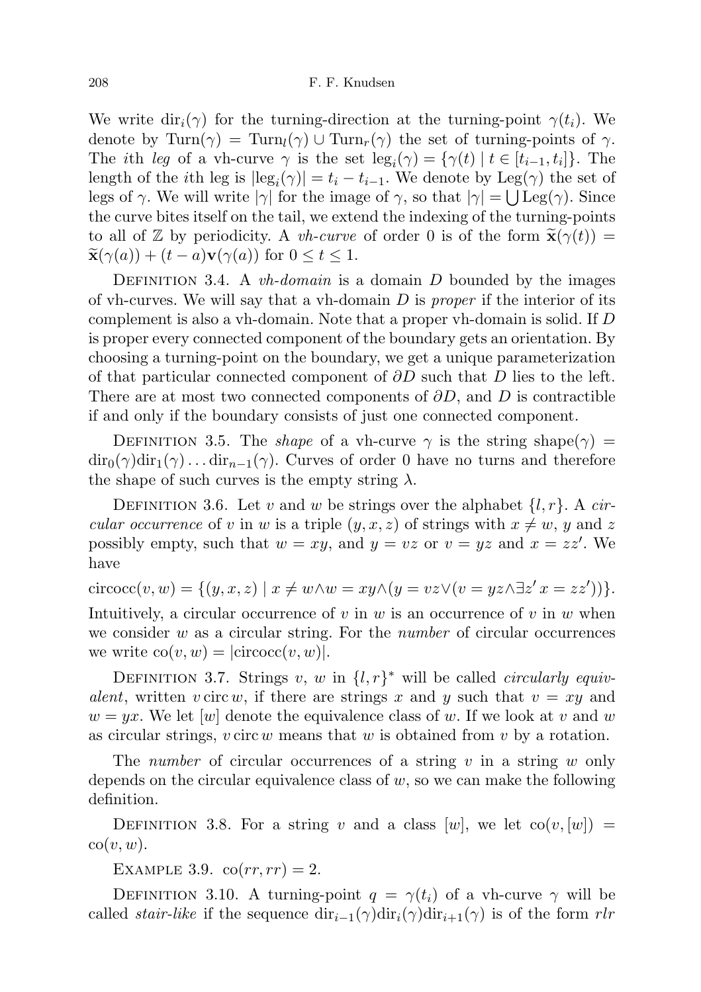We write  $\text{dir}_i(\gamma)$  for the turning-direction at the turning-point  $\gamma(t_i)$ . We denote by Turn( $\gamma$ ) = Turn<sub>l</sub>( $\gamma$ ) ∪ Turn<sub>r</sub>( $\gamma$ ) the set of turning-points of  $\gamma$ . The *i*th leg of a vh-curve  $\gamma$  is the set  $\text{leg}_i(\gamma) = {\gamma(t) | t \in [t_{i-1}, t_i]}$ . The length of the *i*th leg is  $|\text{leg}_i(\gamma)| = t_i - t_{i-1}$ . We denote by Leg( $\gamma$ ) the set of legs of  $\gamma$ . We will write  $|\gamma|$  for the image of  $\gamma$ , so that  $|\gamma| = \bigcup \text{Leg}(\gamma)$ . Since the curve bites itself on the tail, we extend the indexing of the turning-points to all of Z by periodicity. A *vh-curve* of order 0 is of the form  $\tilde{\mathbf{x}}(\gamma(t)) =$  $\widetilde{\mathbf{x}}(\gamma(a)) + (t-a)\mathbf{v}(\gamma(a))$  for  $0 \le t \le 1$ .

DEFINITION 3.4. A *vh-domain* is a domain D bounded by the images of vh-curves. We will say that a vh-domain  $D$  is proper if the interior of its complement is also a vh-domain. Note that a proper vh-domain is solid. If D is proper every connected component of the boundary gets an orientation. By choosing a turning-point on the boundary, we get a unique parameterization of that particular connected component of  $\partial D$  such that D lies to the left. There are at most two connected components of  $\partial D$ , and D is contractible if and only if the boundary consists of just one connected component.

DEFINITION 3.5. The *shape* of a vh-curve  $\gamma$  is the string shape( $\gamma$ ) =  $\text{dir}_0(\gamma)\text{dir}_1(\gamma)\dots\text{dir}_{n-1}(\gamma)$ . Curves of order 0 have no turns and therefore the shape of such curves is the empty string  $\lambda$ .

DEFINITION 3.6. Let v and w be strings over the alphabet  $\{l, r\}$ . A circular occurrence of v in w is a triple  $(y, x, z)$  of strings with  $x \neq w$ , y and z possibly empty, such that  $w = xy$ , and  $y = vz$  or  $v = yz$  and  $x = zz'$ . We have

$$
circoc(v, w) = \{(y, x, z) \mid x \neq w \land w = xy \land (y = vz \lor (v = yz \land \exists z' \ x = zz'))\}.
$$

Intuitively, a circular occurrence of v in w is an occurrence of v in w when we consider  $w$  as a circular string. For the *number* of circular occurrences we write  $\text{co}(v, w) = |\text{circocc}(v, w)|$ .

DEFINITION 3.7. Strings v, w in  $\{l, r\}^*$  will be called *circularly equiv*alent, written v circ w, if there are strings x and y such that  $v = xy$  and  $w = yx$ . We let |w| denote the equivalence class of w. If we look at v and w as circular strings,  $v \text{ circ } w$  means that  $w$  is obtained from  $v$  by a rotation.

The number of circular occurrences of a string v in a string w only depends on the circular equivalence class of  $w$ , so we can make the following definition.

DEFINITION 3.8. For a string v and a class  $|w|$ , we let  $\text{co}(v, |w|)$  =  $\mathrm{co}(v, w)$ .

EXAMPLE 3.9.  $\operatorname{co}(rr, rr) = 2$ .

DEFINITION 3.10. A turning-point  $q = \gamma(t_i)$  of a vh-curve  $\gamma$  will be called *stair-like* if the sequence  $\text{dir}_{i-1}(\gamma)\text{dir}_i(\gamma)\text{dir}_{i+1}(\gamma)$  is of the form rlr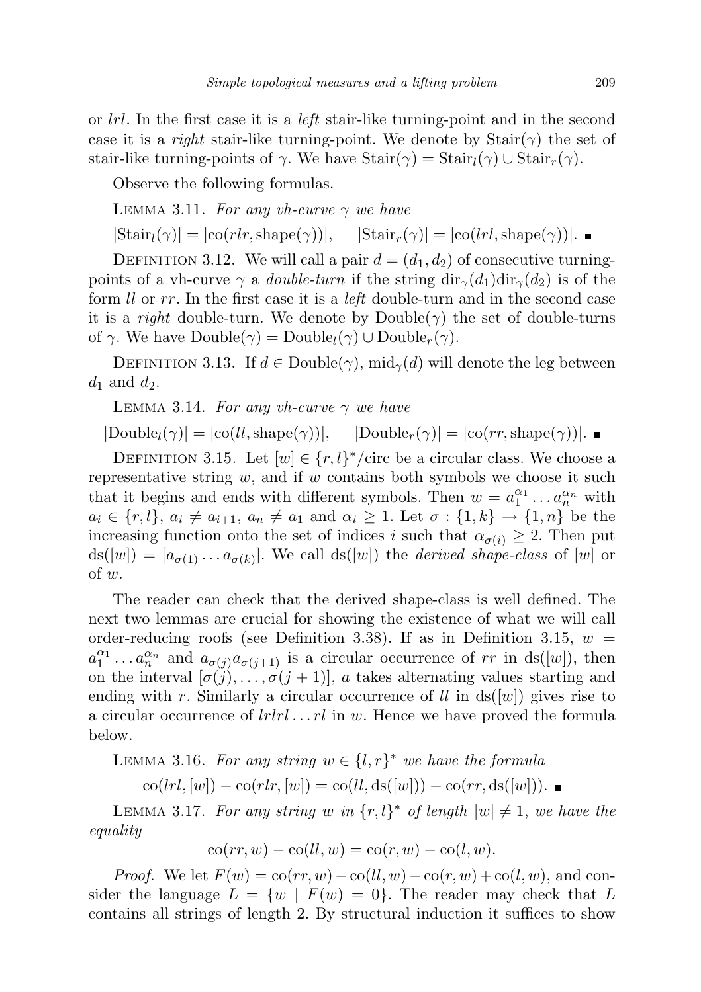or  $lrl.$  In the first case it is a  $l$ eft stair-like turning-point and in the second case it is a *right* stair-like turning-point. We denote by  $\text{Stair}(\gamma)$  the set of stair-like turning-points of  $\gamma$ . We have  $\text{Stair}(\gamma) = \text{Stair}_l(\gamma) \cup \text{Stair}_r(\gamma)$ .

Observe the following formulas.

LEMMA 3.11. For any vh-curve  $\gamma$  we have

 $|\text{Stair}_l(\gamma)| = |\text{co}(rlr, \text{shape}(\gamma))|, \quad |\text{Stair}_r(\gamma)| = |\text{co}(lrl, \text{shape}(\gamma))|.$ 

DEFINITION 3.12. We will call a pair  $d = (d_1, d_2)$  of consecutive turningpoints of a vh-curve  $\gamma$  a *double-turn* if the string  $\text{dir}_{\gamma}(d_1)\text{dir}_{\gamma}(d_2)$  is of the form *ll* or rr. In the first case it is a *left* double-turn and in the second case it is a right double-turn. We denote by  $\text{Double}(\gamma)$  the set of double-turns of  $\gamma$ . We have  $Double(\gamma) = Double_l(\gamma) \cup Double_r(\gamma)$ .

DEFINITION 3.13. If  $d \in \text{Double}(\gamma)$ , mid<sub> $\gamma$ </sub>(d) will denote the leg between  $d_1$  and  $d_2$ .

LEMMA 3.14. For any vh-curve  $\gamma$  we have

 $|{\rm Double}_l(\gamma)| = |{\rm co}(ll,{\rm shape}(\gamma))|, \quad |{\rm Double}_r(\gamma)| = |{\rm co}(rr,{\rm shape}(\gamma))|.$ 

DEFINITION 3.15. Let  $[w] \in \{r, l\}^* / \text{circ be a circular class. We choose a}$ representative string  $w$ , and if  $w$  contains both symbols we choose it such that it begins and ends with different symbols. Then  $w = a_1^{\alpha_1} \dots a_n^{\alpha_n}$  with  $a_i \in \{r, l\}, a_i \neq a_{i+1}, a_n \neq a_1 \text{ and } \alpha_i \geq 1.$  Let  $\sigma : \{1, k\} \to \{1, n\}$  be the increasing function onto the set of indices i such that  $\alpha_{\sigma(i)} \geq 2$ . Then put  $ds([w]) = [a_{\sigma(1)} \dots a_{\sigma(k)}].$  We call  $ds([w])$  the *derived shape-class* of [w] or of w.

The reader can check that the derived shape-class is well defined. The next two lemmas are crucial for showing the existence of what we will call order-reducing roofs (see Definition 3.38). If as in Definition 3.15,  $w =$  $a_1^{\alpha_1} \dots a_n^{\alpha_n}$  and  $a_{\sigma(j)} a_{\sigma(j+1)}$  is a circular occurrence of rr in ds([w]), then on the interval  $[\sigma(j), \ldots, \sigma(j+1)]$ , a takes alternating values starting and ending with r. Similarly a circular occurrence of ll in  $ds([w])$  gives rise to a circular occurrence of  $lrlr l...rl$  in w. Hence we have proved the formula below.

LEMMA 3.16. For any string  $w \in \{l, r\}^*$  we have the formula

 $\text{co}(lrl, [w]) - \text{co}(rlr, [w]) = \text{co}(ll, \text{ds}([w])) - \text{co}(rr, \text{ds}([w]))$ . ■

LEMMA 3.17. For any string w in  $\{r, l\}^*$  of length  $|w| \neq 1$ , we have the equality

$$
co(rr, w) - co(ll, w) = co(r, w) - co(l, w).
$$

*Proof.* We let  $F(w) = \text{co}(rr, w) - \text{co}(ll, w) - \text{co}(r, w) + \text{co}(l, w)$ , and consider the language  $L = \{w \mid F(w) = 0\}$ . The reader may check that L contains all strings of length 2. By structural induction it suffices to show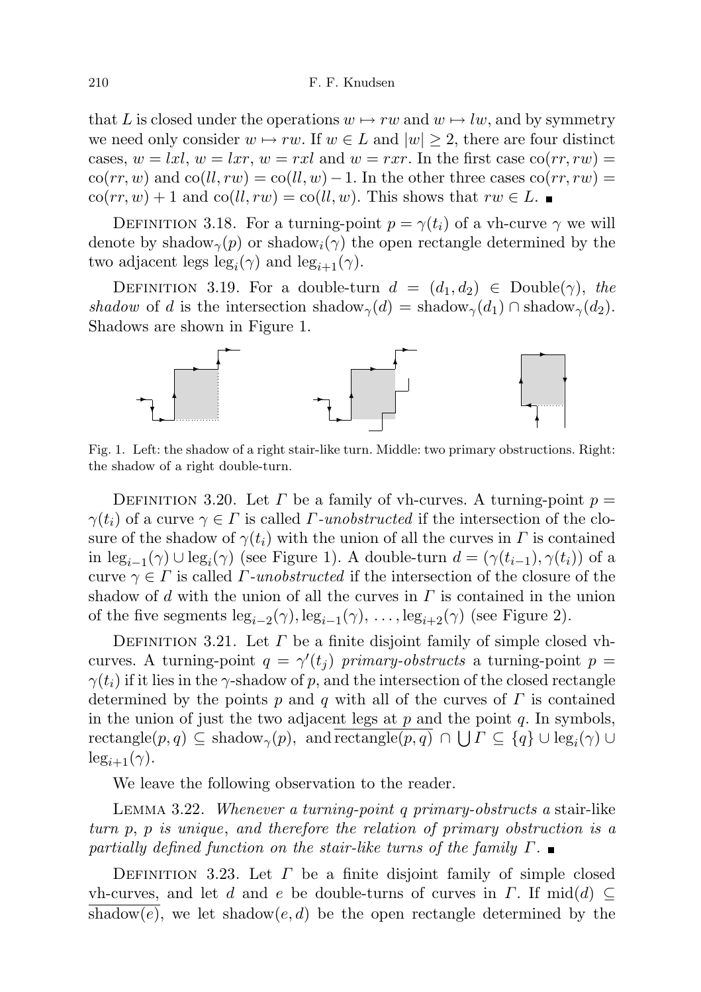that L is closed under the operations  $w \mapsto rw$  and  $w \mapsto lw$ , and by symmetry we need only consider  $w \mapsto rw$ . If  $w \in L$  and  $|w| \geq 2$ , there are four distinct cases,  $w = lxl$ ,  $w = lxr$ ,  $w = rxl$  and  $w = rxr$ . In the first case  $\text{co}(rr, rw)$  $\cot(rr, w)$  and  $\cot(l, rw) = \cot(l, w) - 1$ . In the other three cases  $\cot(rr, rw) =$  $\text{co}(rr, w) + 1$  and  $\text{co}(ll, rw) = \text{co}(ll, w)$ . This shows that  $rw \in L$ .

DEFINITION 3.18. For a turning-point  $p = \gamma(t_i)$  of a vh-curve  $\gamma$  we will denote by shadow<sub> $\gamma(p)$ </sub> or shadow<sub>i</sub> $(\gamma)$  the open rectangle determined by the two adjacent legs  $\text{leg}_i(\gamma)$  and  $\text{leg}_{i+1}(\gamma)$ .

DEFINITION 3.19. For a double-turn  $d = (d_1, d_2) \in \text{Double}(\gamma)$ , the shadow of d is the intersection shadow<sub> $\gamma$ </sub>(d) = shadow<sub> $\gamma$ </sub>(d<sub>1</sub>).  $\cap$  shadow<sub> $\gamma$ </sub>(d<sub>2</sub>). Shadows are shown in Figure 1.



Fig. 1. Left: the shadow of a right stair-like turn. Middle: two primary obstructions. Right: the shadow of a right double-turn.

DEFINITION 3.20. Let  $\Gamma$  be a family of vh-curves. A turning-point  $p =$  $\gamma(t_i)$  of a curve  $\gamma \in \Gamma$  is called  $\Gamma$ -unobstructed if the intersection of the closure of the shadow of  $\gamma(t_i)$  with the union of all the curves in  $\Gamma$  is contained in  $\text{leg}_{i-1}(\gamma) \cup \text{leg}_{i}(\gamma)$  (see Figure 1). A double-turn  $d = (\gamma(t_{i-1}), \gamma(t_i))$  of a curve  $\gamma \in \Gamma$  is called  $\Gamma$ -unobstructed if the intersection of the closure of the shadow of d with the union of all the curves in  $\Gamma$  is contained in the union of the five segments  $\text{leg}_{i-2}(\gamma), \text{leg}_{i-1}(\gamma), \ldots, \text{leg}_{i+2}(\gamma)$  (see Figure 2).

DEFINITION 3.21. Let  $\Gamma$  be a finite disjoint family of simple closed vhcurves. A turning-point  $q = \gamma'(t_j)$  primary-obstructs a turning-point  $p =$  $\gamma(t_i)$  if it lies in the  $\gamma$ -shadow of p, and the intersection of the closed rectangle determined by the points  $p$  and  $q$  with all of the curves of  $\Gamma$  is contained in the union of just the two adjacent legs at  $p$  and the point  $q$ . In symbols,  $\text{rectangle}(p, q) \subseteq \text{shadow}_{\gamma}(p), \text{ and } \text{rectangle}(p, q) \cap \bigcup \Gamma \subseteq \{q\} \cup \text{leg}_{i}(\gamma) \cup \{q\}$  $\log_{i+1}(\gamma)$ .

We leave the following observation to the reader.

Lemma 3.22. Whenever a turning-point q primary-obstructs a stair-like turn p, p is unique, and therefore the relation of primary obstruction is a partially defined function on the stair-like turns of the family  $\Gamma$ .

DEFINITION 3.23. Let  $\Gamma$  be a finite disjoint family of simple closed vh-curves, and let d and e be double-turns of curves in  $\Gamma$ . If mid(d)  $\subseteq$ shadow(e), we let shadow(e, d) be the open rectangle determined by the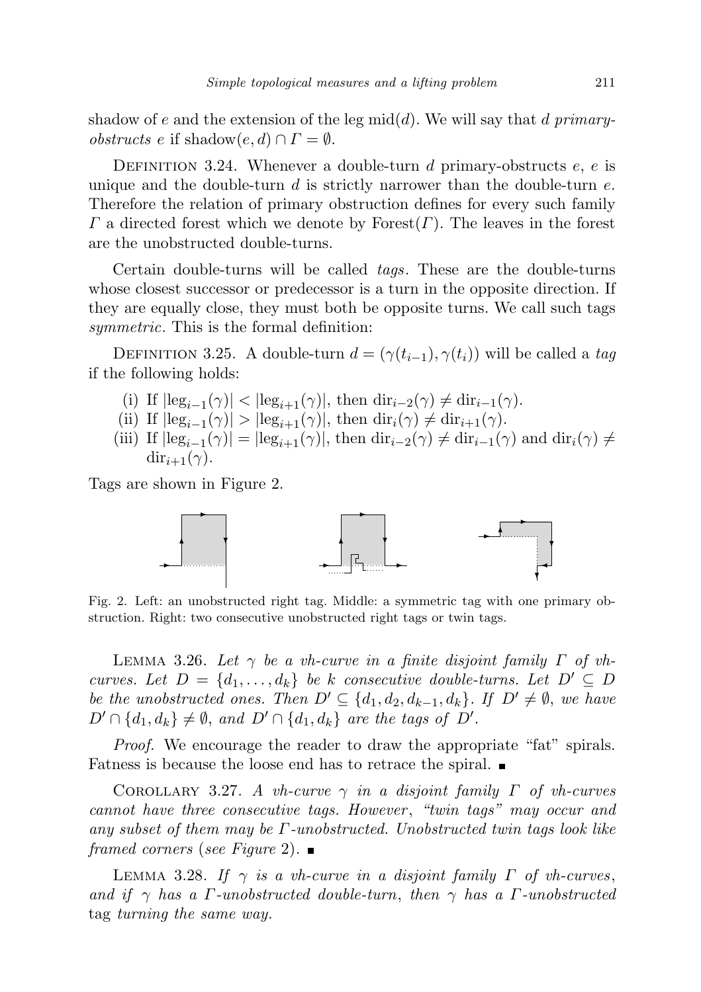shadow of e and the extension of the leg mid(d). We will say that d primary*obstructs e* if shadow $(e, d) \cap \Gamma = \emptyset$ .

DEFINITION 3.24. Whenever a double-turn d primary-obstructs  $e, e$  is unique and the double-turn  $d$  is strictly narrower than the double-turn  $e$ . Therefore the relation of primary obstruction defines for every such family  $\Gamma$  a directed forest which we denote by Forest $(\Gamma)$ . The leaves in the forest are the unobstructed double-turns.

Certain double-turns will be called tags. These are the double-turns whose closest successor or predecessor is a turn in the opposite direction. If they are equally close, they must both be opposite turns. We call such tags symmetric. This is the formal definition:

DEFINITION 3.25. A double-turn  $d = (\gamma(t_{i-1}), \gamma(t_i))$  will be called a tag if the following holds:

- (i) If  $|\text{leg}_{i-1}(\gamma)| < |\text{leg}_{i+1}(\gamma)|$ , then  $\text{dir}_{i-2}(\gamma) \neq \text{dir}_{i-1}(\gamma)$ .
- (ii) If  $|\text{leg}_{i-1}(\gamma)| > |\text{leg}_{i+1}(\gamma)|$ , then  $\text{dir}_{i}(\gamma) \neq \text{dir}_{i+1}(\gamma)$ .
- (iii) If  $|\text{leg}_{i-1}(\gamma)| = |\text{leg}_{i+1}(\gamma)|$ , then  $\text{dir}_{i-2}(\gamma) \neq \text{dir}_{i-1}(\gamma)$  and  $\text{dir}_{i}(\gamma) \neq$  $\mathrm{dir}_{i+1}(\gamma)$ .

Tags are shown in Figure 2.



Fig. 2. Left: an unobstructed right tag. Middle: a symmetric tag with one primary obstruction. Right: two consecutive unobstructed right tags or twin tags.

LEMMA 3.26. Let  $\gamma$  be a vh-curve in a finite disjoint family  $\Gamma$  of vhcurves. Let  $D = \{d_1, \ldots, d_k\}$  be k consecutive double-turns. Let  $D' \subseteq D$ be the unobstructed ones. Then  $D' \subseteq \{d_1, d_2, d_{k-1}, d_k\}$ . If  $D' \neq \emptyset$ , we have  $D' \cap \{d_1, d_k\} \neq \emptyset$ , and  $D' \cap \{d_1, d_k\}$  are the tags of  $D'$ .

Proof. We encourage the reader to draw the appropriate "fat" spirals. Fatness is because the loose end has to retrace the spiral.

COROLLARY 3.27. A vh-curve  $\gamma$  in a disjoint family  $\Gamma$  of vh-curves cannot have three consecutive tags. However , "twin tags" may occur and any subset of them may be  $\Gamma$ -unobstructed. Unobstructed twin tags look like framed corners (see Figure 2).

LEMMA 3.28. If  $\gamma$  is a vh-curve in a disjoint family  $\Gamma$  of vh-curves, and if  $\gamma$  has a Γ-unobstructed double-turn, then  $\gamma$  has a Γ-unobstructed tag turning the same way.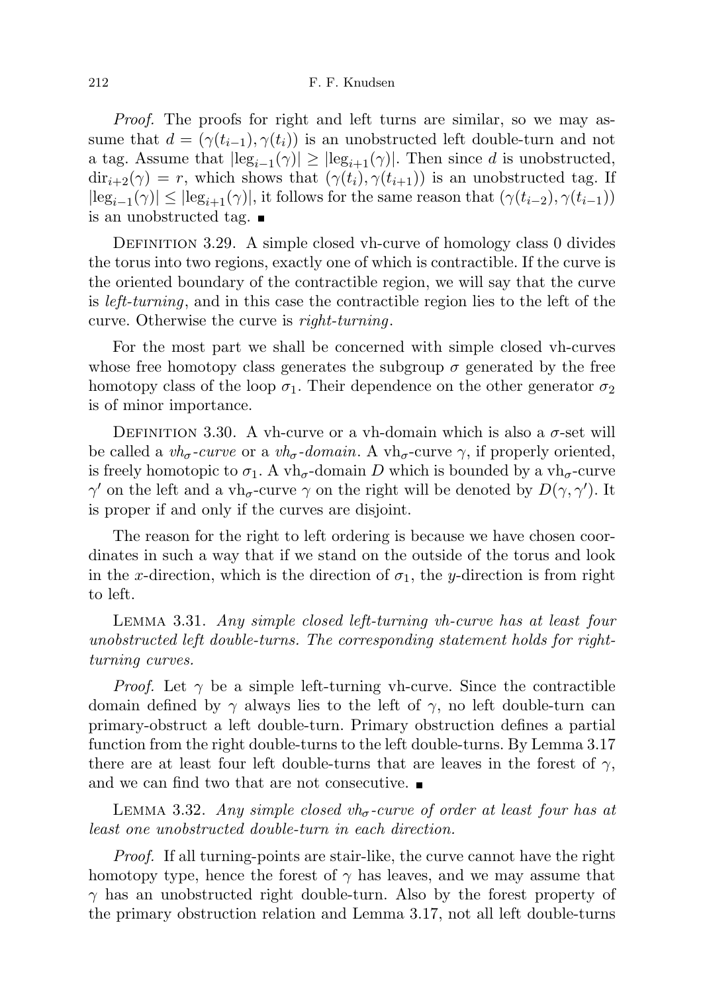### 212 F. F. Knudsen

Proof. The proofs for right and left turns are similar, so we may assume that  $d = (\gamma(t_{i-1}), \gamma(t_i))$  is an unobstructed left double-turn and not a tag. Assume that  $|\text{leg}_{i-1}(\gamma)| \geq |\text{leg}_{i+1}(\gamma)|$ . Then since d is unobstructed,  $dir_{i+2}(\gamma) = r$ , which shows that  $(\gamma(t_i), \gamma(t_{i+1}))$  is an unobstructed tag. If  $|\text{leg}_{i-1}(\gamma)| \leq |\text{leg}_{i+1}(\gamma)|$ , it follows for the same reason that  $(\gamma(t_{i-2}), \gamma(t_{i-1}))$ is an unobstructed tag.

DEFINITION 3.29. A simple closed vh-curve of homology class 0 divides the torus into two regions, exactly one of which is contractible. If the curve is the oriented boundary of the contractible region, we will say that the curve is left-turning, and in this case the contractible region lies to the left of the curve. Otherwise the curve is right-turning.

For the most part we shall be concerned with simple closed vh-curves whose free homotopy class generates the subgroup  $\sigma$  generated by the free homotopy class of the loop  $\sigma_1$ . Their dependence on the other generator  $\sigma_2$ is of minor importance.

DEFINITION 3.30. A vh-curve or a vh-domain which is also a  $\sigma$ -set will be called a  $vh_{\sigma}$ -curve or a  $vh_{\sigma}$ -domain. A vh<sub> $\sigma$ </sub>-curve  $\gamma$ , if properly oriented, is freely homotopic to  $\sigma_1$ . A vh<sub> $\sigma$ </sub>-domain D which is bounded by a vh<sub> $\sigma$ </sub>-curve  $\gamma'$  on the left and a vh<sub>σ</sub>-curve  $\gamma$  on the right will be denoted by  $D(\gamma, \gamma')$ . It is proper if and only if the curves are disjoint.

The reason for the right to left ordering is because we have chosen coordinates in such a way that if we stand on the outside of the torus and look in the x-direction, which is the direction of  $\sigma_1$ , the y-direction is from right to left.

Lemma 3.31. Any simple closed left-turning vh-curve has at least four unobstructed left double-turns. The corresponding statement holds for rightturning curves.

*Proof.* Let  $\gamma$  be a simple left-turning vh-curve. Since the contractible domain defined by  $\gamma$  always lies to the left of  $\gamma$ , no left double-turn can primary-obstruct a left double-turn. Primary obstruction defines a partial function from the right double-turns to the left double-turns. By Lemma 3.17 there are at least four left double-turns that are leaves in the forest of  $\gamma$ , and we can find two that are not consecutive.

LEMMA 3.32. Any simple closed  $vh_{\sigma}$ -curve of order at least four has at least one unobstructed double-turn in each direction.

Proof. If all turning-points are stair-like, the curve cannot have the right homotopy type, hence the forest of  $\gamma$  has leaves, and we may assume that  $\gamma$  has an unobstructed right double-turn. Also by the forest property of the primary obstruction relation and Lemma 3.17, not all left double-turns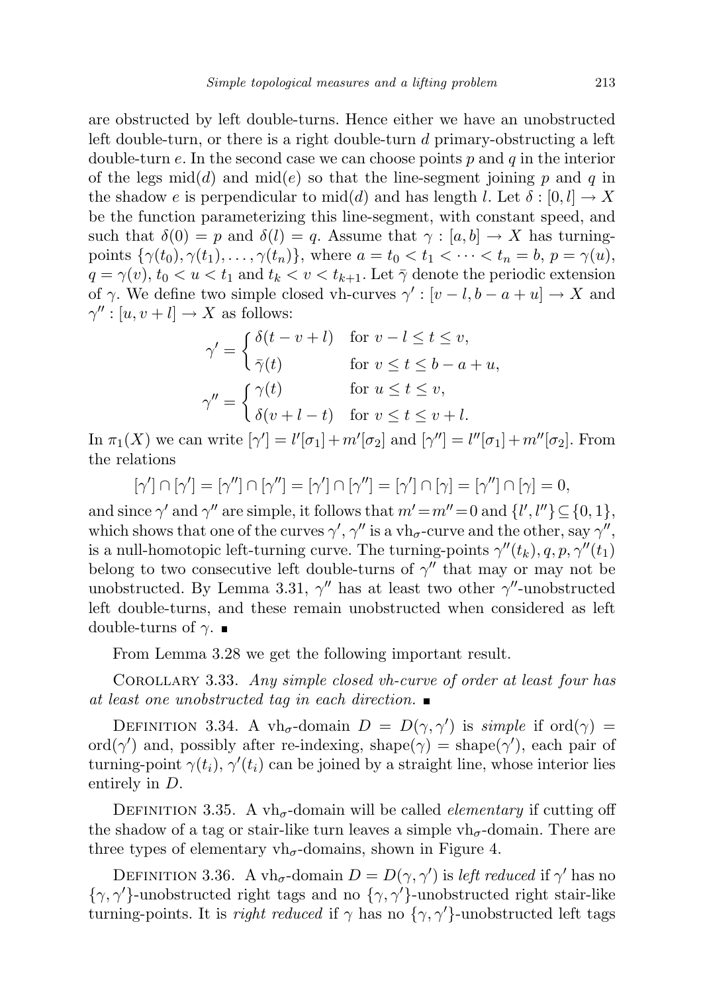are obstructed by left double-turns. Hence either we have an unobstructed left double-turn, or there is a right double-turn d primary-obstructing a left double-turn e. In the second case we can choose points  $p$  and  $q$  in the interior of the legs mid(d) and mid(e) so that the line-segment joining p and q in the shadow e is perpendicular to mid(d) and has length l. Let  $\delta : [0, l] \to X$ be the function parameterizing this line-segment, with constant speed, and such that  $\delta(0) = p$  and  $\delta(l) = q$ . Assume that  $\gamma : [a, b] \to X$  has turningpoints  $\{\gamma(t_0), \gamma(t_1), \ldots, \gamma(t_n)\}\)$ , where  $a = t_0 < t_1 < \cdots < t_n = b$ ,  $p = \gamma(u)$ ,  $q = \gamma(v)$ ,  $t_0 < u < t_1$  and  $t_k < v < t_{k+1}$ . Let  $\bar{\gamma}$  denote the periodic extension of  $\gamma$ . We define two simple closed vh-curves  $\gamma' : [v-l, b-a+u] \to X$  and  $\gamma'': [u, v + l] \to X$  as follows:

$$
\gamma' = \begin{cases}\n\delta(t - v + l) & \text{for } v - l \le t \le v, \\
\bar{\gamma}(t) & \text{for } v \le t \le b - a + u, \\
\gamma'' = \begin{cases}\n\gamma(t) & \text{for } u \le t \le v, \\
\delta(v + l - t) & \text{for } v \le t \le v + l.\n\end{cases}\n\end{cases}
$$

In  $\pi_1(X)$  we can write  $[\gamma'] = l'[\sigma_1] + m'[\sigma_2]$  and  $[\gamma''] = l''[\sigma_1] + m''[\sigma_2]$ . From the relations

$$
[\gamma'] \cap [\gamma'] = [\gamma''] \cap [\gamma''] = [\gamma'] \cap [\gamma''] = [\gamma'] \cap [\gamma] = [\gamma''] \cap [\gamma] = 0,
$$

and since  $\gamma'$  and  $\gamma''$  are simple, it follows that  $m'=m''=0$  and  $\{l',l''\}\subseteq\{0,1\},$ which shows that one of the curves  $\gamma', \gamma''$  is a vh<sub>σ</sub>-curve and the other, say  $\gamma''$ , is a null-homotopic left-turning curve. The turning-points  $\gamma''(t_k)$ , q, p,  $\gamma''(t_1)$ belong to two consecutive left double-turns of  $\gamma''$  that may or may not be unobstructed. By Lemma 3.31,  $\gamma''$  has at least two other  $\gamma''$ -unobstructed left double-turns, and these remain unobstructed when considered as left double-turns of γ.  $\blacksquare$ 

From Lemma 3.28 we get the following important result.

COROLLARY 3.33. Any simple closed vh-curve of order at least four has at least one unobstructed tag in each direction.

DEFINITION 3.34. A vh<sub>σ</sub>-domain  $D = D(\gamma, \gamma')$  is simple if ord $(\gamma)$ ord( $\gamma'$ ) and, possibly after re-indexing, shape( $\gamma$ ) = shape( $\gamma'$ ), each pair of turning-point  $\gamma(t_i)$ ,  $\gamma'(t_i)$  can be joined by a straight line, whose interior lies entirely in D.

DEFINITION 3.35. A vh<sub> $\sigma$ </sub>-domain will be called *elementary* if cutting off the shadow of a tag or stair-like turn leaves a simple  $vh_{\sigma}$ -domain. There are three types of elementary  $vh_{\sigma}$ -domains, shown in Figure 4.

DEFINITION 3.36. A vh<sub>σ</sub>-domain  $D = D(\gamma, \gamma')$  is *left reduced* if  $\gamma'$  has no  $\{\gamma, \gamma'\}$ -unobstructed right tags and no  $\{\gamma, \gamma'\}$ -unobstructed right stair-like turning-points. It is right reduced if  $\gamma$  has no  $\{\gamma, \gamma'\}$ -unobstructed left tags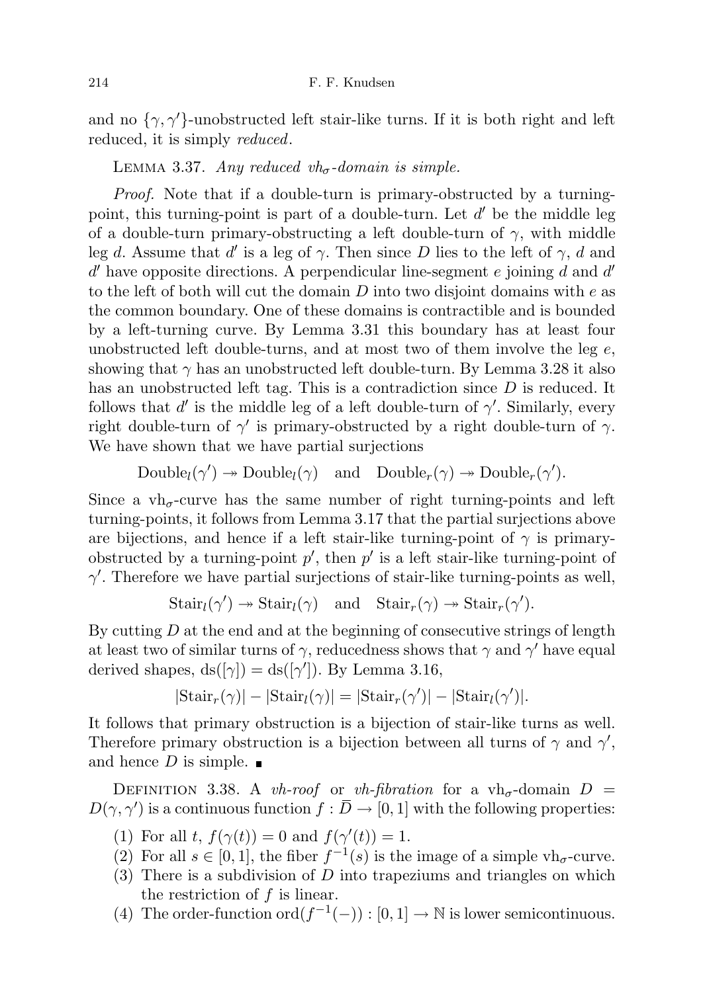and no  $\{\gamma, \gamma'\}$ -unobstructed left stair-like turns. If it is both right and left reduced, it is simply *reduced*.

LEMMA 3.37. Any reduced vh<sub> $\sigma$ </sub>-domain is simple.

Proof. Note that if a double-turn is primary-obstructed by a turningpoint, this turning-point is part of a double-turn. Let  $d'$  be the middle leg of a double-turn primary-obstructing a left double-turn of  $\gamma$ , with middle leg d. Assume that d' is a leg of  $\gamma$ . Then since D lies to the left of  $\gamma$ , d and  $d'$  have opposite directions. A perpendicular line-segment e joining  $d$  and  $d'$ to the left of both will cut the domain  $D$  into two disjoint domains with  $e$  as the common boundary. One of these domains is contractible and is bounded by a left-turning curve. By Lemma 3.31 this boundary has at least four unobstructed left double-turns, and at most two of them involve the leg  $e$ , showing that  $\gamma$  has an unobstructed left double-turn. By Lemma 3.28 it also has an unobstructed left tag. This is a contradiction since D is reduced. It follows that  $d'$  is the middle leg of a left double-turn of  $\gamma'$ . Similarly, every right double-turn of  $\gamma'$  is primary-obstructed by a right double-turn of  $\gamma$ . We have shown that we have partial surjections

 $\text{Double}_l(\gamma') \to \text{Double}_l(\gamma) \text{ and } \text{Double}_r(\gamma) \to \text{Double}_r(\gamma').$ 

Since a  $vh_{\sigma}$ -curve has the same number of right turning-points and left turning-points, it follows from Lemma 3.17 that the partial surjections above are bijections, and hence if a left stair-like turning-point of  $\gamma$  is primaryobstructed by a turning-point  $p'$ , then  $p'$  is a left stair-like turning-point of  $\gamma'$ . Therefore we have partial surjections of stair-like turning-points as well,

$$
Stair_l(\gamma') \twoheadrightarrow Stair_l(\gamma) \text{ and } Stair_r(\gamma) \twoheadrightarrow Stair_r(\gamma').
$$

By cutting  $D$  at the end and at the beginning of consecutive strings of length at least two of similar turns of  $\gamma$ , reducedness shows that  $\gamma$  and  $\gamma'$  have equal derived shapes,  $ds([\gamma]) = ds([\gamma'])$ . By Lemma 3.16,

$$
|\text{Stair}_r(\gamma)| - |\text{Stair}_l(\gamma)| = |\text{Stair}_r(\gamma')| - |\text{Stair}_l(\gamma')|.
$$

It follows that primary obstruction is a bijection of stair-like turns as well. Therefore primary obstruction is a bijection between all turns of  $\gamma$  and  $\gamma'$ , and hence D is simple.  $\blacksquare$ 

DEFINITION 3.38. A vh-roof or vh-fibration for a vh<sub> $\sigma$ </sub>-domain  $D =$  $D(\gamma, \gamma')$  is a continuous function  $f : \overline{D} \to [0, 1]$  with the following properties:

- (1) For all t,  $f(\gamma(t)) = 0$  and  $f(\gamma'(t)) = 1$ .
- (2) For all  $s \in [0,1]$ , the fiber  $f^{-1}(s)$  is the image of a simple vh<sub> $\sigma$ </sub>-curve.
- $(3)$  There is a subdivision of D into trapeziums and triangles on which the restriction of  $f$  is linear.
- (4) The order-function ord $(f^{-1}(-)) : [0,1] \to \mathbb{N}$  is lower semicontinuous.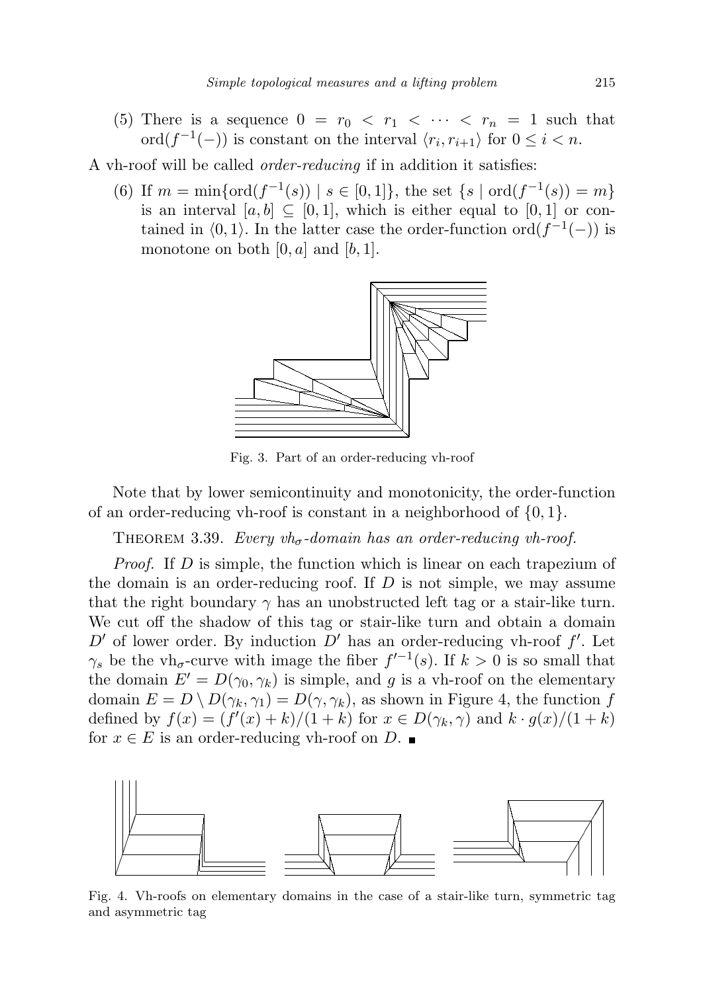(5) There is a sequence  $0 = r_0 < r_1 < \cdots < r_n = 1$  such that ord $(f^{-1}(-))$  is constant on the interval  $\langle r_i, r_{i+1} \rangle$  for  $0 \leq i < n$ .

A vh-roof will be called order-reducing if in addition it satisfies:

(6) If  $m = \min\{\text{ord}(f^{-1}(s)) \mid s \in [0,1]\}\text{, the set }\{s \mid \text{ord}(f^{-1}(s)) = m\}\$ is an interval  $[a, b] \subseteq [0, 1]$ , which is either equal to  $[0, 1]$  or contained in  $(0, 1)$ . In the latter case the order-function ord $(f^{-1}(-))$  is monotone on both  $[0, a]$  and  $[b, 1]$ .



Fig. 3. Part of an order-reducing vh-roof

Note that by lower semicontinuity and monotonicity, the order-function of an order-reducing vh-roof is constant in a neighborhood of  $\{0, 1\}$ .

THEOREM 3.39. Every  $vh_{\sigma}$ -domain has an order-reducing vh-roof.

Proof. If D is simple, the function which is linear on each trapezium of the domain is an order-reducing roof. If  $D$  is not simple, we may assume that the right boundary  $\gamma$  has an unobstructed left tag or a stair-like turn. We cut off the shadow of this tag or stair-like turn and obtain a domain  $D'$  of lower order. By induction  $D'$  has an order-reducing vh-roof  $f'$ . Let  $\gamma_s$  be the vh<sub> $\sigma$ </sub>-curve with image the fiber  $f^{-1}(s)$ . If  $k > 0$  is so small that the domain  $E' = D(\gamma_0, \gamma_k)$  is simple, and g is a vh-roof on the elementary domain  $E = D \setminus D(\gamma_k, \gamma_1) = D(\gamma, \gamma_k)$ , as shown in Figure 4, the function f defined by  $f(x) = (f'(x) + k)/(1 + k)$  for  $x \in D(\gamma_k, \gamma)$  and  $k \cdot g(x)/(1 + k)$ for  $x \in E$  is an order-reducing vh-roof on D.



Fig. 4. Vh-roofs on elementary domains in the case of a stair-like turn, symmetric tag and asymmetric tag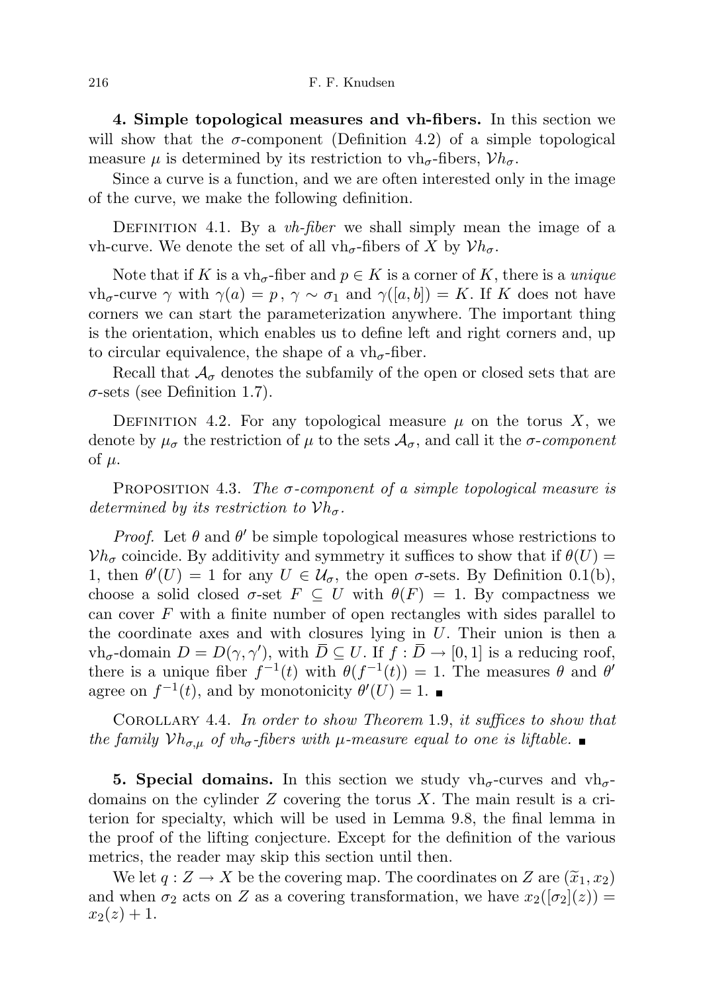4. Simple topological measures and vh-fibers. In this section we will show that the  $\sigma$ -component (Definition 4.2) of a simple topological measure  $\mu$  is determined by its restriction to vh<sub>σ</sub>-fibers,  $Vh_{\sigma}$ .

Since a curve is a function, and we are often interested only in the image of the curve, we make the following definition.

DEFINITION 4.1. By a  $vh\text{-}fiber$  we shall simply mean the image of a vh-curve. We denote the set of all vh<sub> $\sigma$ </sub>-fibers of X by  $\mathcal{V}h_{\sigma}$ .

Note that if K is a vh<sub>σ</sub>-fiber and  $p \in K$  is a corner of K, there is a *unique*  $\mathsf{v}\mathsf{h}_{\sigma}\text{-curve}\,\gamma$  with  $\gamma(a) = p, \, \gamma \sim \sigma_1$  and  $\gamma([a, b]) = K$ . If K does not have corners we can start the parameterization anywhere. The important thing is the orientation, which enables us to define left and right corners and, up to circular equivalence, the shape of a  $vh_{\sigma}$ -fiber.

Recall that  $\mathcal{A}_{\sigma}$  denotes the subfamily of the open or closed sets that are  $\sigma$ -sets (see Definition 1.7).

DEFINITION 4.2. For any topological measure  $\mu$  on the torus X, we denote by  $\mu_{\sigma}$  the restriction of  $\mu$  to the sets  $\mathcal{A}_{\sigma}$ , and call it the  $\sigma$ -component of  $\mu$ .

PROPOSITION 4.3. The  $\sigma$ -component of a simple topological measure is determined by its restriction to  $Vh_{\sigma}$ .

*Proof.* Let  $\theta$  and  $\theta'$  be simple topological measures whose restrictions to  $Vh_{\sigma}$  coincide. By additivity and symmetry it suffices to show that if  $\theta(U)$  = 1, then  $\theta'(U) = 1$  for any  $U \in \mathcal{U}_{\sigma}$ , the open  $\sigma$ -sets. By Definition 0.1(b), choose a solid closed  $\sigma$ -set  $F \subseteq U$  with  $\theta(F) = 1$ . By compactness we can cover  $F$  with a finite number of open rectangles with sides parallel to the coordinate axes and with closures lying in  $U$ . Their union is then a  $\operatorname{vh}_{\sigma}$ -domain  $D = D(\gamma, \gamma')$ , with  $\overline{D} \subseteq U$ . If  $f : \overline{D} \to [0, 1]$  is a reducing roof, there is a unique fiber  $f^{-1}(t)$  with  $\theta(f^{-1}(t)) = 1$ . The measures  $\theta$  and  $\theta'$ agree on  $f^{-1}(t)$ , and by monotonicity  $\theta'(U) = 1$ .

Corollary 4.4. In order to show Theorem 1.9, it suffices to show that the family  $Vh_{\sigma,\mu}$  of vh<sub> $\sigma$ </sub>-fibers with  $\mu$ -measure equal to one is liftable.

**5. Special domains.** In this section we study  $vh_{\sigma}$ -curves and  $vh_{\sigma}$ domains on the cylinder  $Z$  covering the torus  $X$ . The main result is a criterion for specialty, which will be used in Lemma 9.8, the final lemma in the proof of the lifting conjecture. Except for the definition of the various metrics, the reader may skip this section until then.

We let  $q: Z \to X$  be the covering map. The coordinates on Z are  $(\widetilde{x}_1, x_2)$ and when  $\sigma_2$  acts on Z as a covering transformation, we have  $x_2([\sigma_2](z)) =$  $x_2(z) + 1.$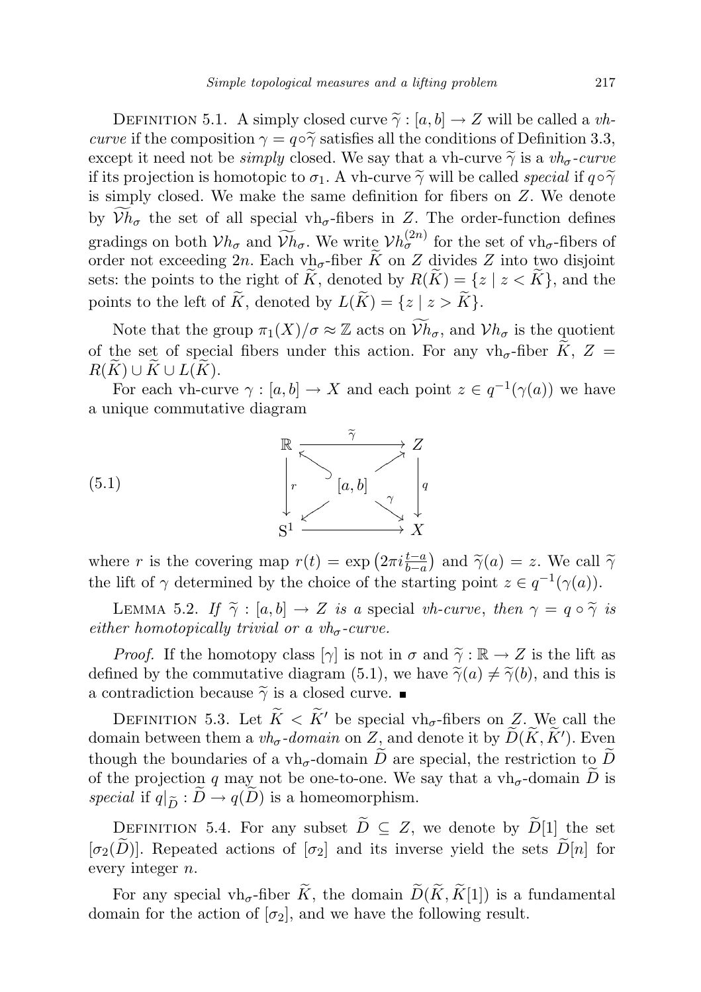DEFINITION 5.1. A simply closed curve  $\tilde{\gamma}: [a, b] \to Z$  will be called a *vh*curve if the composition  $\gamma = q \circ \tilde{\gamma}$  satisfies all the conditions of Definition 3.3, except it need not be *simply* closed. We say that a vh-curve  $\tilde{\gamma}$  is a  $v h_{\sigma}$ -curve if its projection is homotopic to  $\sigma_1$ . A vh-curve  $\tilde{\gamma}$  will be called special if  $q \circ \tilde{\gamma}$ is simply closed. We make the same definition for fibers on Z. We denote by  $Vh_{\sigma}$  the set of all special vh<sub> $\sigma$ </sub>-fibers in Z. The order-function defines gradings on both  $V h_{\sigma}$  and  $\widetilde{V}h_{\sigma}$ . We write  $V h_{\sigma}^{(2n)}$  for the set of vh $_{\sigma}$ -fibers of order not exceeding 2n. Each vh<sub>σ</sub>-fiber  $\widetilde{K}$  on Z divides Z into two disjoint sets: the points to the right of K, denoted by  $R(K) = \{z \mid z < K\}$ , and the points to the left of  $\widetilde{K}$ , denoted by  $L(\widetilde{K}) = \{z \mid z > \widetilde{K}\}.$ 

Note that the group  $\pi_1(X)/\sigma \approx \mathbb{Z}$  acts on  $\mathcal{V}_{h_{\sigma}}$ , and  $\mathcal{V}_{h_{\sigma}}$  is the quotient of the set of special fibers under this action. For any vh<sub> $\sigma$ </sub>-fiber  $\widetilde{K}$ , Z =  $R(K) \cup K \cup L(K)$ .

For each vh-curve  $\gamma : [a, b] \to X$  and each point  $z \in q^{-1}(\gamma(a))$  we have a unique commutative diagram



where r is the covering map  $r(t) = \exp(2\pi i \frac{t-a}{b-a})$  and  $\tilde{\gamma}(a) = z$ . We call  $\tilde{\gamma}$ the lift of  $\gamma$  determined by the choice of the starting point  $z \in q^{-1}(\gamma(a))$ .

LEMMA 5.2. If  $\tilde{\gamma}$  : [a, b]  $\to Z$  is a special vh-curve, then  $\gamma = q \circ \tilde{\gamma}$  is either homotopically trivial or a  $vh_{\sigma}$ -curve.

*Proof.* If the homotopy class  $[\gamma]$  is not in  $\sigma$  and  $\tilde{\gamma}: \mathbb{R} \to Z$  is the lift as defined by the commutative diagram (5.1), we have  $\tilde{\gamma}(a) \neq \tilde{\gamma}(b)$ , and this is a contradiction because  $\widetilde{\gamma}$  is a closed curve.

DEFINITION 5.3. Let  $\widetilde{K} < \widetilde{K}'$  be special vh<sub>σ</sub>-fibers on Z. We call the domain between them a  $vh_{\sigma}$ -domain on  $Z$ , and denote it by  $\widetilde{D}(\widetilde{K}, \widetilde{K}')$ . Even though the boundaries of a vh<sub>σ</sub>-domain  $\widetilde{D}$  are special, the restriction to  $\widetilde{D}$ of the projection q may not be one-to-one. We say that a  $vh_{\sigma}$ -domain  $\widetilde{D}$  is special if  $q|_{\widetilde{D}} : D \to q(D)$  is a homeomorphism.

DEFINITION 5.4. For any subset  $\widetilde{D} \subseteq Z$ , we denote by  $\widetilde{D}[1]$  the set  $[\sigma_2(D)]$ . Repeated actions of  $[\sigma_2]$  and its inverse yield the sets  $D[n]$  for every integer n.

For any special vh<sub>σ</sub>-fiber  $\widetilde{K}$ , the domain  $\widetilde{D}(\widetilde{K}, \widetilde{K}[1])$  is a fundamental domain for the action of  $[\sigma_2]$ , and we have the following result.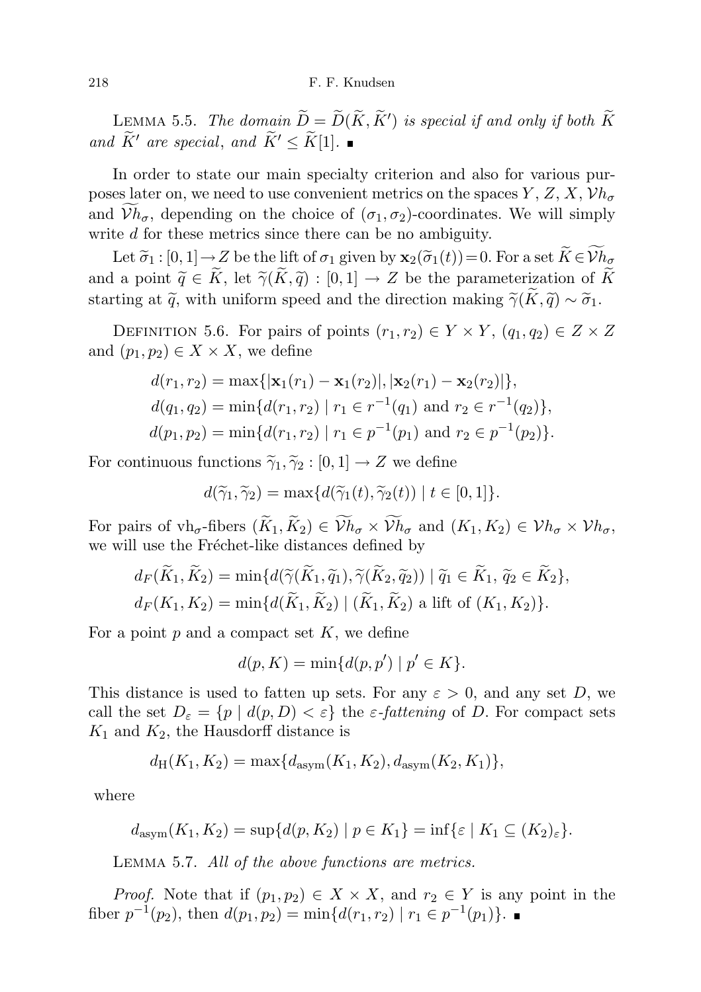LEMMA 5.5. The domain  $\widetilde{D} = \widetilde{D}(\widetilde{K}, \widetilde{K}')$  is special if and only if both  $\widetilde{K}$ and  $\widetilde{K}'$  are special, and  $\widetilde{K}' \leq \widetilde{K}[1]$ .

In order to state our main specialty criterion and also for various purposes later on, we need to use convenient metrics on the spaces  $Y, Z, X, Vh_{\sigma}$ and  $Vh_{\sigma}$ , depending on the choice of  $(\sigma_1, \sigma_2)$ -coordinates. We will simply write d for these metrics since there can be no ambiguity.

Let  $\tilde{\sigma}_1$ :  $[0,1] \to Z$  be the lift of  $\sigma_1$  given by  $\mathbf{x}_2(\tilde{\sigma}_1(t))=0$ . For a set  $\tilde{K} \in \mathcal{V}$ *h<sub>σ</sub>* and a point  $\widetilde{q} \in \widetilde{K}$ , let  $\widetilde{\gamma}(\widetilde{K}, \widetilde{q}) : [0, 1] \to Z$  be the parameterization of  $\widetilde{K}$ starting at  $\tilde{q}$ , with uniform speed and the direction making  $\tilde{\gamma}(\tilde{K}, \tilde{q}) \sim \tilde{\sigma}_1$ .

DEFINITION 5.6. For pairs of points  $(r_1, r_2) \in Y \times Y$ ,  $(q_1, q_2) \in Z \times Z$ and  $(p_1, p_2) \in X \times X$ , we define

$$
d(r_1, r_2) = \max\{|\mathbf{x}_1(r_1) - \mathbf{x}_1(r_2)|, |\mathbf{x}_2(r_1) - \mathbf{x}_2(r_2)|\},
$$
  
\n
$$
d(q_1, q_2) = \min\{d(r_1, r_2) | r_1 \in r^{-1}(q_1) \text{ and } r_2 \in r^{-1}(q_2)\},
$$
  
\n
$$
d(p_1, p_2) = \min\{d(r_1, r_2) | r_1 \in p^{-1}(p_1) \text{ and } r_2 \in p^{-1}(p_2)\}.
$$

For continuous functions  $\widetilde{\gamma}_1, \widetilde{\gamma}_2 : [0, 1] \rightarrow Z$  we define

$$
d(\widetilde{\gamma}_1, \widetilde{\gamma}_2) = \max\{d(\widetilde{\gamma}_1(t), \widetilde{\gamma}_2(t)) \mid t \in [0, 1]\}.
$$

For pairs of vh<sub>σ</sub>-fibers  $(\widetilde{K}_1, \widetilde{K}_2) \in \widetilde{\mathcal{V}}h_{\sigma} \times \widetilde{\mathcal{V}}h_{\sigma}$  and  $(K_1, K_2) \in \mathcal{V}h_{\sigma} \times \mathcal{V}h_{\sigma}$ , we will use the Fréchet-like distances defined by

$$
d_F(\widetilde{K}_1, \widetilde{K}_2) = \min\{d(\widetilde{\gamma}(\widetilde{K}_1, \widetilde{q}_1), \widetilde{\gamma}(\widetilde{K}_2, \widetilde{q}_2)) \mid \widetilde{q}_1 \in \widetilde{K}_1, \widetilde{q}_2 \in \widetilde{K}_2\},
$$
  

$$
d_F(K_1, K_2) = \min\{d(\widetilde{K}_1, \widetilde{K}_2) \mid (\widetilde{K}_1, \widetilde{K}_2) \text{ a lift of } (K_1, K_2)\}.
$$

For a point  $p$  and a compact set  $K$ , we define

$$
d(p, K) = \min\{d(p, p') \mid p' \in K\}.
$$

This distance is used to fatten up sets. For any  $\varepsilon > 0$ , and any set D, we call the set  $D_{\varepsilon} = \{p \mid d(p, D) < \varepsilon\}$  the  $\varepsilon$ -fattening of D. For compact sets  $K_1$  and  $K_2$ , the Hausdorff distance is

$$
d_{\rm H}(K_1,K_2)=\max\{d_{\rm asym}(K_1,K_2),d_{\rm asym}(K_2,K_1)\},
$$

where

$$
d_{\text{asym}}(K_1, K_2) = \sup \{ d(p, K_2) \mid p \in K_1 \} = \inf \{ \varepsilon \mid K_1 \subseteq (K_2)_{\varepsilon} \}.
$$

Lemma 5.7. All of the above functions are metrics.

*Proof.* Note that if  $(p_1, p_2) \in X \times X$ , and  $r_2 \in Y$  is any point in the fiber  $p^{-1}(p_2)$ , then  $d(p_1, p_2) = \min\{d(r_1, r_2) \mid r_1 \in p^{-1}(p_1)\}.$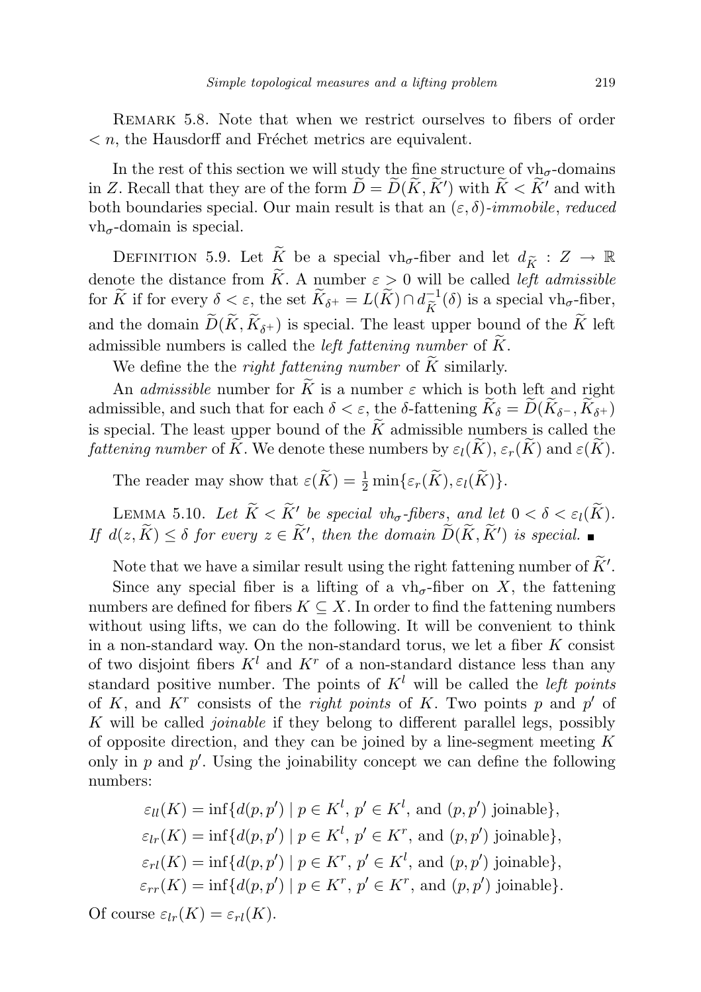Remark 5.8. Note that when we restrict ourselves to fibers of order  $\langle n, \rangle$  the Hausdorff and Fréchet metrics are equivalent.

In the rest of this section we will study the fine structure of  $vh_\sigma$ -domains in Z. Recall that they are of the form  $\widetilde{D} = \widetilde{D}(\widetilde{K}, \widetilde{K}')$  with  $\widetilde{K} < \widetilde{K}'$  and with both boundaries special. Our main result is that an  $(\varepsilon, \delta)$ -immobile, reduced  $vh_{\sigma}$ -domain is special.

DEFINITION 5.9. Let  $\widetilde{K}$  be a special vh<sub>σ</sub>-fiber and let  $d_{\widetilde{K}} : Z \to \mathbb{R}$ denote the distance from K. A number  $\varepsilon > 0$  will be called *left admissible* for  $\widetilde{K}$  if for every  $\delta < \varepsilon$ , the set  $\widetilde{K}_{\delta^+} = L(\widetilde{K}) \cap d_{\widetilde{K}}^{-1}$  $\widetilde{K}^{-1}(\delta)$  is a special vh<sub>σ</sub>-fiber, and the domain  $D(K, K_{\delta^+})$  is special. The least upper bound of the K left admissible numbers is called the *left fattening number* of  $\widetilde{K}$ .

We define the the *right fattening number* of  $\tilde{K}$  similarly.

An *admissible* number for  $\widetilde{K}$  is a number  $\varepsilon$  which is both left and right admissible, and such that for each  $\delta < \varepsilon$ , the  $\delta$ -fattening  $K_{\delta} = D(K_{\delta^-}, K_{\delta^+})$ is special. The least upper bound of the  $\widetilde{K}$  admissible numbers is called the *fattening number* of  $\widetilde{K}$ . We denote these numbers by  $\varepsilon_l(\widetilde{K}), \varepsilon_r(\widetilde{K})$  and  $\varepsilon(\widetilde{K})$ .

The reader may show that  $\varepsilon(\widetilde{K}) = \frac{1}{2} \min{\{\varepsilon_r(\widetilde{K}), \varepsilon_l(\widetilde{K})\}}.$ 

LEMMA 5.10. Let  $\widetilde{K} < \widetilde{K}'$  be special vh<sub>σ</sub>-fibers, and let  $0 < \delta < \varepsilon_l(\widetilde{K})$ . If  $d(z, \widetilde{K}) \leq \delta$  for every  $z \in \widetilde{K}'$ , then the domain  $\widetilde{D}(\widetilde{K}, \widetilde{K}')$  is special.

Note that we have a similar result using the right fattening number of  $\widetilde{K}'$ .

Since any special fiber is a lifting of a  $vh_{\sigma}$ -fiber on X, the fattening numbers are defined for fibers  $K \subseteq X$ . In order to find the fattening numbers without using lifts, we can do the following. It will be convenient to think in a non-standard way. On the non-standard torus, we let a fiber  $K$  consist of two disjoint fibers  $K^l$  and  $K^r$  of a non-standard distance less than any standard positive number. The points of  $K^l$  will be called the *left points* of K, and  $K^r$  consists of the *right points* of K. Two points p and p' of K will be called joinable if they belong to different parallel legs, possibly of opposite direction, and they can be joined by a line-segment meeting  $K$ only in  $p$  and  $p'$ . Using the joinability concept we can define the following numbers:

$$
\varepsilon_{ll}(K) = \inf \{ d(p, p') \mid p \in K^l, p' \in K^l, \text{ and } (p, p') \text{ joinable} \},
$$

$$
\varepsilon_{lr}(K) = \inf \{ d(p, p') \mid p \in K^l, p' \in K^r, \text{ and } (p, p') \text{ joinable} \},
$$

$$
\varepsilon_{rl}(K) = \inf \{ d(p, p') \mid p \in K^r, p' \in K^l, \text{ and } (p, p') \text{ joinable} \},
$$

$$
\varepsilon_{rr}(K) = \inf \{ d(p, p') \mid p \in K^r, p' \in K^r, \text{ and } (p, p') \text{ joinable} \}.
$$
Of course  $\varepsilon_{lr}(K) = \varepsilon_{rl}(K)$ .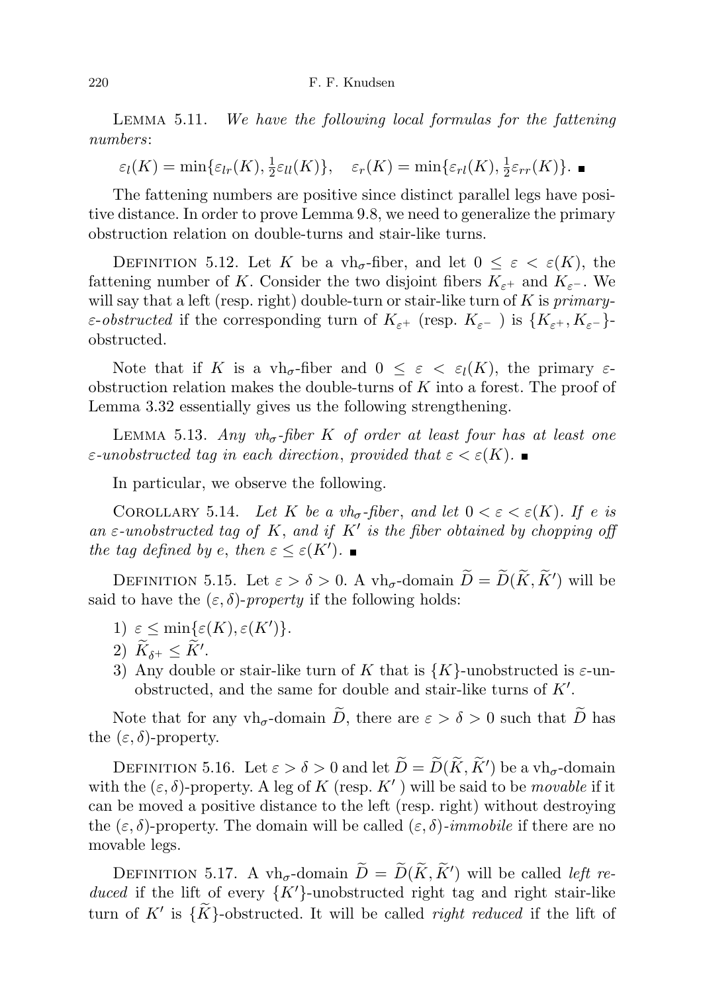Lemma 5.11. We have the following local formulas for the fattening numbers:

 $\varepsilon_l(K) = \min\{\varepsilon_{lr}(K), \frac{1}{2}\}$  $\frac{1}{2}\varepsilon_{ll}(K)$ ,  $\varepsilon_r(K) = \min\{\varepsilon_{rl}(K), \frac{1}{2}\}$  $\frac{1}{2}\varepsilon_{rr}(K)\}.$ 

The fattening numbers are positive since distinct parallel legs have positive distance. In order to prove Lemma 9.8, we need to generalize the primary obstruction relation on double-turns and stair-like turns.

DEFINITION 5.12. Let K be a vh<sub>σ</sub>-fiber, and let  $0 \leq \varepsilon < \varepsilon(K)$ , the fattening number of K. Consider the two disjoint fibers  $K_{\varepsilon+}$  and  $K_{\varepsilon-}$ . We will say that a left (resp. right) double-turn or stair-like turn of  $K$  is *primary*- $\varepsilon$ -obstructed if the corresponding turn of  $K_{\varepsilon}$ + (resp.  $K_{\varepsilon}$ -) is  $\{K_{\varepsilon}$ +,  $K_{\varepsilon}$ -}obstructed.

Note that if K is a  $vh_{\sigma}$ -fiber and  $0 \leq \varepsilon < \varepsilon_l(K)$ , the primary  $\varepsilon$ obstruction relation makes the double-turns of  $K$  into a forest. The proof of Lemma 3.32 essentially gives us the following strengthening.

LEMMA 5.13. Any vh<sub> $\sigma$ -fiber K of order at least four has at least one</sub>  $\varepsilon$ -unobstructed tag in each direction, provided that  $\varepsilon < \varepsilon(K)$ .

In particular, we observe the following.

COROLLARY 5.14. Let K be a  $vh_{\sigma}$ -fiber, and let  $0 < \varepsilon < \varepsilon(K)$ . If e is an  $\varepsilon$ -unobstructed tag of K, and if K' is the fiber obtained by chopping off the tag defined by e, then  $\varepsilon \leq \varepsilon(K')$ .

DEFINITION 5.15. Let  $\varepsilon > \delta > 0$ . A vh<sub>σ</sub>-domain  $\widetilde{D} = \widetilde{D}(\widetilde{K}, \widetilde{K}')$  will be said to have the  $(\varepsilon, \delta)$ -property if the following holds:

- 1)  $\varepsilon \leq \min{\{\varepsilon(K), \varepsilon(K')\}}$ .
- 2)  $\widetilde{K}_{\delta^+} \leq \widetilde{K}'$ .
- 3) Any double or stair-like turn of K that is  $\{K\}$ -unobstructed is  $\varepsilon$ -unobstructed, and the same for double and stair-like turns of  $K'$ .

Note that for any vh<sub>σ</sub>-domain  $\widetilde{D}$ , there are  $\varepsilon > \delta > 0$  such that  $\widetilde{D}$  has the  $(\varepsilon, \delta)$ -property.

DEFINITION 5.16. Let  $\varepsilon > \delta > 0$  and let  $\widetilde{D} = \widetilde{D}(\widetilde{K}, \widetilde{K}')$  be a vh<sub> $\sigma$ </sub>-domain with the  $(\varepsilon, \delta)$ -property. A leg of K (resp. K') will be said to be movable if it can be moved a positive distance to the left (resp. right) without destroying the  $(\varepsilon, \delta)$ -property. The domain will be called  $(\varepsilon, \delta)$ -*immobile* if there are no movable legs.

DEFINITION 5.17. A vh<sub> $\sigma$ </sub>-domain  $\widetilde{D} = \widetilde{D}(\widetilde{K}, \widetilde{K}')$  will be called *left re*duced if the lift of every  $\{K'\}$ -unobstructed right tag and right stair-like turn of  $K'$  is  $\{\widetilde{K}\}$ -obstructed. It will be called *right reduced* if the lift of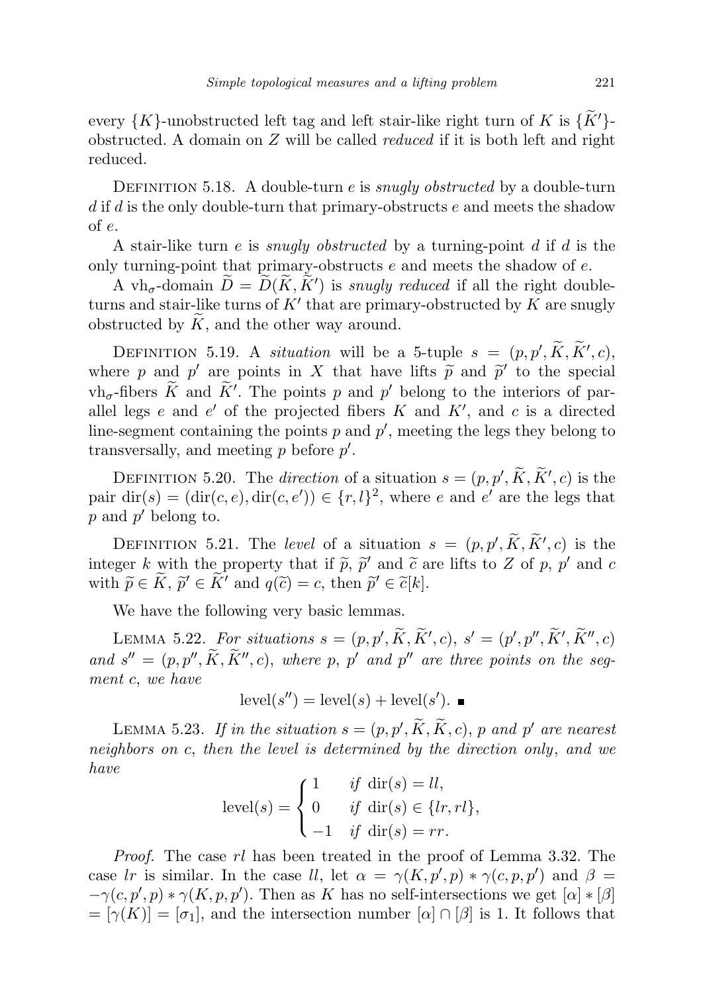every  $\{K\}$ -unobstructed left tag and left stair-like right turn of K is  $\{\tilde{K}'\}$ obstructed. A domain on  $Z$  will be called *reduced* if it is both left and right reduced.

DEFINITION 5.18. A double-turn  $e$  is *snugly obstructed* by a double-turn  $d$  if  $d$  is the only double-turn that primary-obstructs  $e$  and meets the shadow of e.

A stair-like turn e is *snugly obstructed* by a turning-point d if d is the only turning-point that primary-obstructs  $e$  and meets the shadow of  $e$ .

A vh<sub>σ</sub>-domain  $\widetilde{D} = \widetilde{D}(\widetilde{K}, \widetilde{K}')$  is *snugly reduced* if all the right doubleturns and stair-like turns of  $K'$  that are primary-obstructed by  $K$  are snugly obstructed by  $K$ , and the other way around.

DEFINITION 5.19. A situation will be a 5-tuple  $s = (p, p', \tilde{K}, \tilde{K}', c)$ where p and p' are points in X that have lifts  $\tilde{p}$  and  $\tilde{p}'$  to the special<br>the fibers  $\tilde{K}$  and  $\tilde{K}'$ . The points p and  $p'$  belong to the interiors of par $v \cdot v \cdot h_{\sigma}$ -fibers  $\widetilde{K}$  and  $\widetilde{K}'$ . The points p and p' belong to the interiors of parallel legs  $e$  and  $e'$  of the projected fibers  $K$  and  $K'$ , and  $c$  is a directed line-segment containing the points  $p$  and  $p'$ , meeting the legs they belong to transversally, and meeting  $p$  before  $p'$ .

DEFINITION 5.20. The direction of a situation  $s = (p, p', \widetilde{K}, \widetilde{K}', c)$  is the pair  $\text{dir}(s) = (\text{dir}(c, e), \text{dir}(c, e')) \in \{r, l\}^2$ , where e and e' are the legs that  $p$  and  $p'$  belong to.

DEFINITION 5.21. The level of a situation  $s = (p, p', \tilde{K}, \tilde{K}', c)$  is the integer k with the property that if  $\tilde{p}$ ,  $\tilde{p}'$  and  $\tilde{c}$  are lifts to Z of p, p' and c<br>with  $\tilde{\alpha} \in \tilde{K}$ ,  $\tilde{\alpha}' \in \tilde{K}'$  and  $a(\tilde{\alpha}) = c$ , then  $\tilde{\alpha}' \in \tilde{\alpha}[k]$ with  $\widetilde{p} \in \widetilde{K}$ ,  $\widetilde{p}' \in \widetilde{K}'$  and  $q(\widetilde{c}) = c$ , then  $\widetilde{p}' \in \widetilde{c}[k]$ .

We have the following very basic lemmas.

LEMMA 5.22. For situations  $s = (p, p', \widetilde{K}, \widetilde{K}', c), s' = (p', p'', \widetilde{K}', \widetilde{K}'', c)$ and  $s'' = (p, p'', \tilde{K}, \tilde{K}'', c)$ , where p, p' and p'' are three points on the segment c, we have

$$
level(s'') = level(s) + level(s').
$$

LEMMA 5.23. If in the situation  $s = (p, p', \widetilde{K}, \widetilde{K}, c)$ , p and p' are nearest neighbors on c, then the level is determined by the direction only, and we have

$$
level(s) = \begin{cases} 1 & \text{if } \operatorname{dir}(s) = ll, \\ 0 & \text{if } \operatorname{dir}(s) \in \{lr, rl\}, \\ -1 & \text{if } \operatorname{dir}(s) = rr. \end{cases}
$$

Proof. The case rl has been treated in the proof of Lemma 3.32. The case lr is similar. In the case ll, let  $\alpha = \gamma(K, p', p) * \gamma(c, p, p')$  and  $\beta =$  $-\gamma(c, p', p) * \gamma(K, p, p')$ . Then as K has no self-intersections we get  $[\alpha] * [\beta]$  $= [\gamma(K)] = [\sigma_1]$ , and the intersection number  $[\alpha] \cap [\beta]$  is 1. It follows that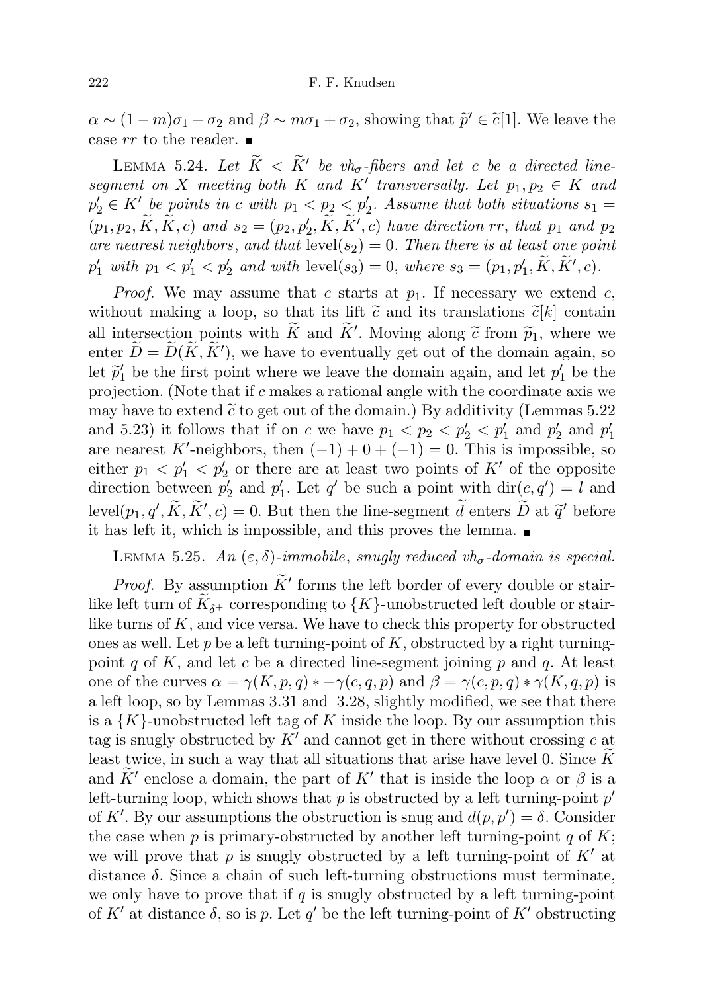$\alpha \sim (1-m)\sigma_1 - \sigma_2$  and  $\beta \sim m\sigma_1 + \sigma_2$ , showing that  $\tilde{p}' \in \tilde{c}[1]$ . We leave the case  $rr$  to the reader.

LEMMA 5.24. Let  $\widetilde{K} < \widetilde{K}'$  be vh<sub>σ</sub>-fibers and let c be a directed linesegment on X meeting both K and K' transversally. Let  $p_1, p_2 \in K$  and  $p'_2 \in K'$  be points in c with  $p_1 < p_2 < p'_2$ . Assume that both situations  $s_1 =$  $(p_1, p_2, \tilde{K}, \tilde{K}, c)$  and  $s_2 = (p_2, p'_2, \tilde{K}, \tilde{K}', c)$  have direction rr, that  $p_1$  and  $p_2$ are nearest neighbors, and that  $\text{level}(s_2) = 0$ . Then there is at least one point  $p'_1$  with  $p_1 < p'_1 < p'_2$  and with  $level(s_3) = 0$ , where  $s_3 = (p_1, p'_1, \tilde{K}, \tilde{K}', c)$ .

*Proof.* We may assume that c starts at  $p_1$ . If necessary we extend c, without making a loop, so that its lift  $\tilde{c}$  and its translations  $\tilde{c}[k]$  contain all intersection points with  $\tilde{K}$  and  $\tilde{K}'$ . Moving along  $\tilde{c}$  from  $\tilde{p}_1$ , where we<br>onter  $\tilde{D} - \tilde{D}(\tilde{K} \tilde{K}')$ , we have to eventually get out of the domain again, so enter  $\widetilde{D} = \widetilde{D}(\widetilde{K}, \widetilde{K}')$ , we have to eventually get out of the domain again, so let  $\tilde{p}'_1$  be the first point where we leave the domain again, and let  $p'_1$  be the projection. projection. (Note that if c makes a rational angle with the coordinate axis we may have to extend  $\tilde{c}$  to get out of the domain.) By additivity (Lemmas 5.22 and 5.23) it follows that if on c we have  $p_1 < p_2 < p'_2 < p'_1$  and  $p'_2$  and  $p'_1$ are nearest K'-neighbors, then  $(-1) + 0 + (-1) = 0$ . This is impossible, so either  $p_1 < p'_1 < p'_2$  or there are at least two points of K' of the opposite direction between  $p'_2$  and  $p'_1$ . Let  $q'$  be such a point with  $\text{dir}(c, q') = l$  and level $(p_1, q', \tilde{K}, \tilde{K}', c) = 0$ . But then the line-segment  $\tilde{d}$  enters  $\tilde{D}$  at  $\tilde{q}'$  before it has left it, which is impossible, and this proves the lemma.

# LEMMA 5.25. An  $(\varepsilon, \delta)$ -immobile, snugly reduced vh<sub>σ</sub>-domain is special.

*Proof.* By assumption  $\widetilde{K}'$  forms the left border of every double or stairlike left turn of  $K_{\delta+}$  corresponding to  $\{K\}$ -unobstructed left double or stairlike turns of  $K$ , and vice versa. We have to check this property for obstructed ones as well. Let p be a left turning-point of K, obstructed by a right turningpoint q of K, and let c be a directed line-segment joining p and q. At least one of the curves  $\alpha = \gamma(K, p, q) * -\gamma(c, q, p)$  and  $\beta = \gamma(c, p, q) * \gamma(K, q, p)$  is a left loop, so by Lemmas 3.31 and 3.28, slightly modified, we see that there is a  $\{K\}$ -unobstructed left tag of K inside the loop. By our assumption this tag is snugly obstructed by  $K'$  and cannot get in there without crossing c at least twice, in such a way that all situations that arise have level 0. Since  $K$ and  $\widetilde{K}^{\prime}$  enclose a domain, the part of  $K^{\prime}$  that is inside the loop  $\alpha$  or  $\beta$  is a left-turning loop, which shows that  $p$  is obstructed by a left turning-point  $p'$ of K'. By our assumptions the obstruction is snug and  $d(p, p') = \delta$ . Consider the case when p is primary-obstructed by another left turning-point q of  $K$ ; we will prove that p is snugly obstructed by a left turning-point of  $K'$  at distance  $\delta$ . Since a chain of such left-turning obstructions must terminate, we only have to prove that if q is snugly obstructed by a left turning-point of K' at distance  $\delta$ , so is p. Let q' be the left turning-point of K' obstructing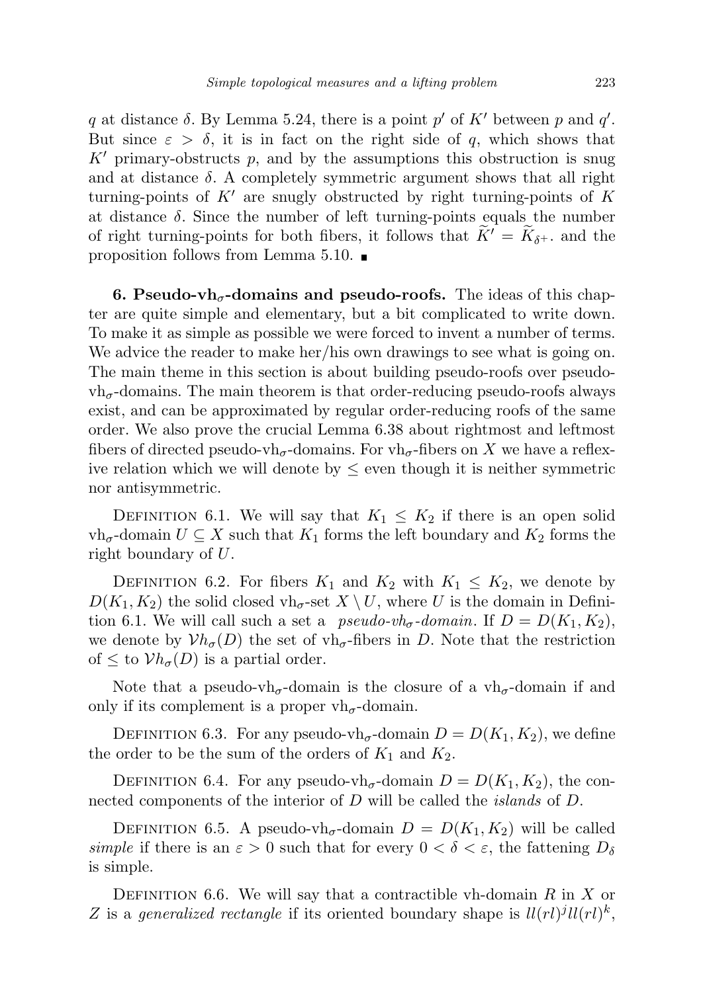q at distance  $\delta$ . By Lemma 5.24, there is a point p' of K' between p and q'. But since  $\varepsilon > \delta$ , it is in fact on the right side of q, which shows that  $K'$  primary-obstructs p, and by the assumptions this obstruction is snug and at distance  $\delta$ . A completely symmetric argument shows that all right turning-points of  $K'$  are snugly obstructed by right turning-points of  $K$ at distance  $\delta$ . Since the number of left turning-points equals the number of right turning-points for both fibers, it follows that  $\widetilde{K}' = \widetilde{K}_{\delta^+}$  and the proposition follows from Lemma 5.10.

6. Pseudo-vh<sub> $\sigma$ </sub>-domains and pseudo-roofs. The ideas of this chapter are quite simple and elementary, but a bit complicated to write down. To make it as simple as possible we were forced to invent a number of terms. We advice the reader to make her/his own drawings to see what is going on. The main theme in this section is about building pseudo-roofs over pseudo $vh_{\sigma}$ -domains. The main theorem is that order-reducing pseudo-roofs always exist, and can be approximated by regular order-reducing roofs of the same order. We also prove the crucial Lemma 6.38 about rightmost and leftmost fibers of directed pseudo-vh<sub> $\sigma$ </sub>-domains. For vh $_{\sigma}$ -fibers on X we have a reflexive relation which we will denote by  $\leq$  even though it is neither symmetric nor antisymmetric.

DEFINITION 6.1. We will say that  $K_1 \leq K_2$  if there is an open solid  $vh_{\sigma}$ -domain  $U \subseteq X$  such that  $K_1$  forms the left boundary and  $K_2$  forms the right boundary of U.

DEFINITION 6.2. For fibers  $K_1$  and  $K_2$  with  $K_1 \leq K_2$ , we denote by  $D(K_1, K_2)$  the solid closed vh<sub>σ</sub>-set  $X \setminus U$ , where U is the domain in Definition 6.1. We will call such a set a *pseudo-vh<sub>σ</sub>-domain*. If  $D = D(K_1, K_2)$ , we denote by  $Vh_{\sigma}(D)$  the set of vh<sub> $\sigma$ </sub>-fibers in D. Note that the restriction of  $\leq$  to  $Vh_{\sigma}(D)$  is a partial order.

Note that a pseudo-vh<sub>σ</sub>-domain is the closure of a vh<sub>σ</sub>-domain if and only if its complement is a proper vh<sub> $\sigma$ </sub>-domain.

DEFINITION 6.3. For any pseudo-vh<sub> $\sigma$ </sub>-domain  $D = D(K_1, K_2)$ , we define the order to be the sum of the orders of  $K_1$  and  $K_2$ .

DEFINITION 6.4. For any pseudo-vh<sub>σ</sub>-domain  $D = D(K_1, K_2)$ , the connected components of the interior of D will be called the *islands* of D.

DEFINITION 6.5. A pseudo-vh<sub>σ</sub>-domain  $D = D(K_1, K_2)$  will be called simple if there is an  $\varepsilon > 0$  such that for every  $0 < \delta < \varepsilon$ , the fattening  $D_{\delta}$ is simple.

DEFINITION 6.6. We will say that a contractible vh-domain  $R$  in  $X$  or Z is a generalized rectangle if its oriented boundary shape is  $ll(rl)^jll(rl)^k$ ,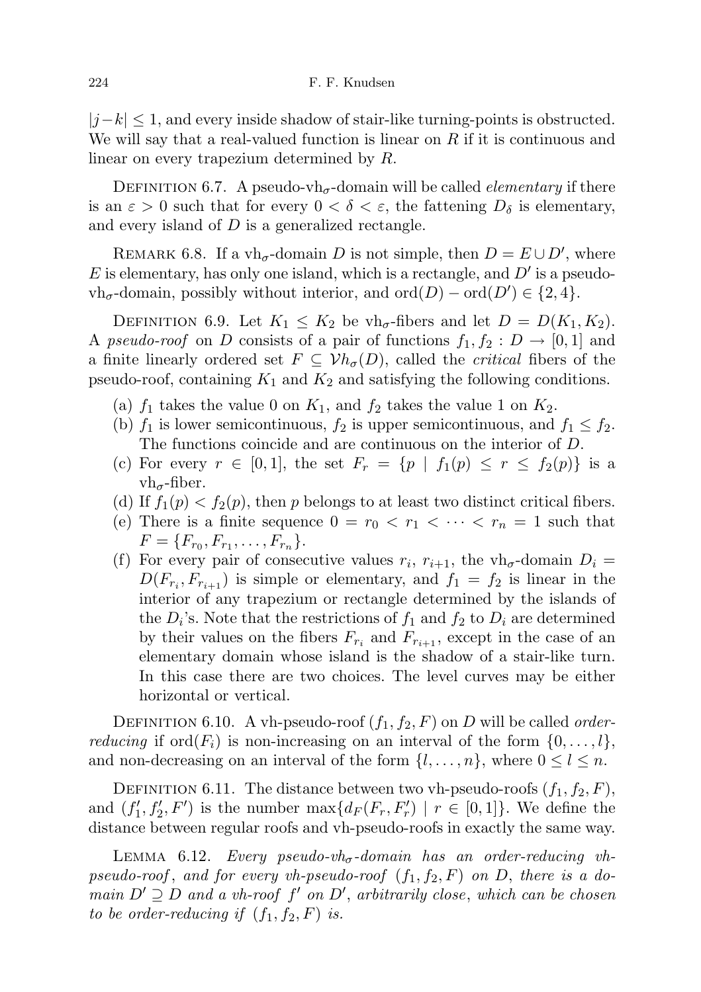$|j-k| \leq 1$ , and every inside shadow of stair-like turning-points is obstructed. We will say that a real-valued function is linear on  $R$  if it is continuous and linear on every trapezium determined by R.

DEFINITION 6.7. A pseudo-vh<sub> $\sigma$ </sub>-domain will be called *elementary* if there is an  $\varepsilon > 0$  such that for every  $0 < \delta < \varepsilon$ , the fattening  $D_{\delta}$  is elementary, and every island of D is a generalized rectangle.

REMARK 6.8. If a vh<sub> $\sigma$ </sub>-domain D is not simple, then  $D = E \cup D'$ , where  $E$  is elementary, has only one island, which is a rectangle, and  $D'$  is a pseudo- $\text{vh}_{\sigma}$ -domain, possibly without interior, and  $\text{ord}(D) - \text{ord}(D') \in \{2, 4\}.$ 

DEFINITION 6.9. Let  $K_1 \leq K_2$  be vh<sub> $\sigma$ </sub>-fibers and let  $D = D(K_1, K_2)$ . A pseudo-roof on D consists of a pair of functions  $f_1, f_2 : D \to [0,1]$  and a finite linearly ordered set  $F \subseteq \mathcal{V}h_{\sigma}(D)$ , called the *critical* fibers of the pseudo-roof, containing  $K_1$  and  $K_2$  and satisfying the following conditions.

- (a)  $f_1$  takes the value 0 on  $K_1$ , and  $f_2$  takes the value 1 on  $K_2$ .
- (b)  $f_1$  is lower semicontinuous,  $f_2$  is upper semicontinuous, and  $f_1 \leq f_2$ . The functions coincide and are continuous on the interior of D.
- (c) For every  $r \in [0,1]$ , the set  $F_r = \{p \mid f_1(p) \leq r \leq f_2(p)\}\$ is a  $v h_{\sigma}$ -fiber.
- (d) If  $f_1(p) < f_2(p)$ , then p belongs to at least two distinct critical fibers.
- (e) There is a finite sequence  $0 = r_0 < r_1 < \cdots < r_n = 1$  such that  $F = \{F_{r_0}, F_{r_1}, \ldots, F_{r_n}\}.$
- (f) For every pair of consecutive values  $r_i$ ,  $r_{i+1}$ , the vh<sub> $\sigma$ </sub>-domain  $D_i$  =  $D(F_{r_i}, F_{r_{i+1}})$  is simple or elementary, and  $f_1 = f_2$  is linear in the interior of any trapezium or rectangle determined by the islands of the  $D_i$ 's. Note that the restrictions of  $f_1$  and  $f_2$  to  $D_i$  are determined by their values on the fibers  $F_{r_i}$  and  $F_{r_{i+1}}$ , except in the case of an elementary domain whose island is the shadow of a stair-like turn. In this case there are two choices. The level curves may be either horizontal or vertical.

DEFINITION 6.10. A vh-pseudo-roof  $(f_1, f_2, F)$  on D will be called *orderreducing* if ord $(F_i)$  is non-increasing on an interval of the form  $\{0, \ldots, l\}$ , and non-decreasing on an interval of the form  $\{l, \ldots, n\}$ , where  $0 \leq l \leq n$ .

DEFINITION 6.11. The distance between two vh-pseudo-roofs  $(f_1, f_2, F)$ , and  $(f'_1, f'_2, F')$  is the number  $\max\{d_F(F_r, F'_r) \mid r \in [0, 1]\}$ . We define the distance between regular roofs and vh-pseudo-roofs in exactly the same way.

LEMMA 6.12. Every pseudo-vh<sub> $\sigma$ </sub>-domain has an order-reducing vhpseudo-roof, and for every vh-pseudo-roof  $(f_1, f_2, F)$  on D, there is a domain  $D' \supseteq D$  and a vh-roof f' on D', arbitrarily close, which can be chosen to be order-reducing if  $(f_1, f_2, F)$  is.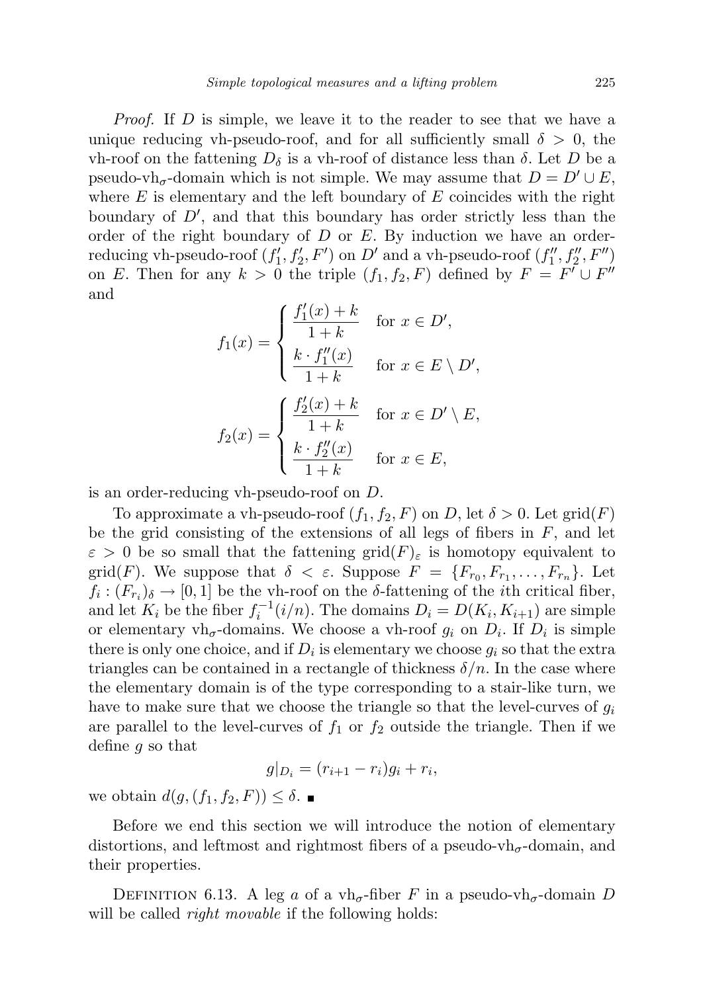Proof. If D is simple, we leave it to the reader to see that we have a unique reducing vh-pseudo-roof, and for all sufficiently small  $\delta > 0$ , the vh-roof on the fattening  $D<sub>δ</sub>$  is a vh-roof of distance less than  $δ$ . Let D be a pseudo-vh<sub> $\sigma$ </sub>-domain which is not simple. We may assume that  $D = D' \cup E$ , where  $E$  is elementary and the left boundary of  $E$  coincides with the right boundary of  $D'$ , and that this boundary has order strictly less than the order of the right boundary of  $D$  or  $E$ . By induction we have an orderreducing vh-pseudo-roof  $(f'_1, f'_2, F')$  on  $D'$  and a vh-pseudo-roof  $(f''_1, f''_2, F'')$ on E. Then for any  $k > 0$  the triple  $(f_1, f_2, F)$  defined by  $F = F' \cup F''$ and

$$
f_1(x) = \begin{cases} \frac{f'_1(x) + k}{1 + k} & \text{for } x \in D',\\ \frac{k \cdot f''_1(x)}{1 + k} & \text{for } x \in E \setminus D',\\ f_2(x) = \begin{cases} \frac{f'_2(x) + k}{1 + k} & \text{for } x \in D' \setminus E,\\ \frac{k \cdot f''_2(x)}{1 + k} & \text{for } x \in E, \end{cases} \end{cases}
$$

is an order-reducing vh-pseudo-roof on D.

To approximate a vh-pseudo-roof  $(f_1, f_2, F)$  on D, let  $\delta > 0$ . Let  $\text{grid}(F)$ be the grid consisting of the extensions of all legs of fibers in  $F$ , and let  $\varepsilon > 0$  be so small that the fattening grid $(F)_{\varepsilon}$  is homotopy equivalent to grid(F). We suppose that  $\delta < \varepsilon$ . Suppose  $F = \{F_{r_0}, F_{r_1}, \ldots, F_{r_n}\}$ . Let  $f_i: (F_{r_i})_{\delta} \to [0,1]$  be the vh-roof on the  $\delta$ -fattening of the *i*th critical fiber, and let  $K_i$  be the fiber  $f_i^{-1}(i/n)$ . The domains  $D_i = D(K_i, K_{i+1})$  are simple or elementary  $vh_{\sigma}$ -domains. We choose a vh-roof  $g_i$  on  $D_i$ . If  $D_i$  is simple there is only one choice, and if  $D_i$  is elementary we choose  $g_i$  so that the extra triangles can be contained in a rectangle of thickness  $\delta/n$ . In the case where the elementary domain is of the type corresponding to a stair-like turn, we have to make sure that we choose the triangle so that the level-curves of  $g_i$ are parallel to the level-curves of  $f_1$  or  $f_2$  outside the triangle. Then if we define  $g$  so that

$$
g|_{D_i} = (r_{i+1} - r_i)g_i + r_i,
$$

we obtain  $d(g,(f_1,f_2,F)) \leq \delta$ .

Before we end this section we will introduce the notion of elementary distortions, and leftmost and rightmost fibers of a pseudo-vh<sub> $\sigma$ </sub>-domain, and their properties.

DEFINITION 6.13. A leg a of a vh<sub> $\sigma$ </sub>-fiber F in a pseudo-vh<sub> $\sigma$ </sub>-domain D will be called *right movable* if the following holds: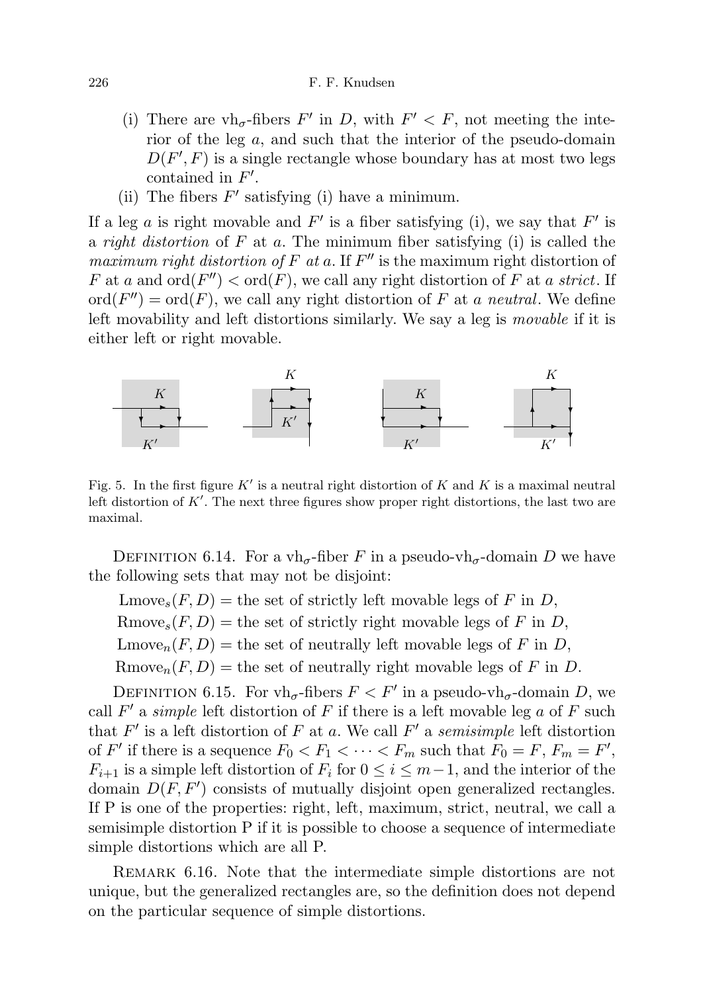### 226 F. F. Knudsen

- (i) There are vh<sub> $\sigma$ </sub>-fibers F' in D, with  $F' < F$ , not meeting the interior of the leg a, and such that the interior of the pseudo-domain  $D(F', F)$  is a single rectangle whose boundary has at most two legs contained in  $F'$ .
- (ii) The fibers  $F'$  satisfying (i) have a minimum.

If a leg a is right movable and  $F'$  is a fiber satisfying (i), we say that  $F'$  is a *right distortion* of  $F$  at  $a$ . The minimum fiber satisfying (i) is called the maximum right distortion of F at a. If  $F''$  is the maximum right distortion of F at a and  $\text{ord}(F'') < \text{ord}(F)$ , we call any right distortion of F at a strict. If  $\mathrm{ord}(F'') = \mathrm{ord}(F)$ , we call any right distortion of F at a neutral. We define left movability and left distortions similarly. We say a leg is movable if it is either left or right movable.



Fig. 5. In the first figure  $K'$  is a neutral right distortion of  $K$  and  $K$  is a maximal neutral left distortion of  $K'$ . The next three figures show proper right distortions, the last two are maximal.

DEFINITION 6.14. For a vh<sub>σ</sub>-fiber F in a pseudo-vh<sub>σ</sub>-domain D we have the following sets that may not be disjoint:

 $\text{Lmove}_{s}(F, D) = \text{the set of strictly left movable legs of } F \text{ in } D,$ Rmove<sub>s</sub> $(F, D)$  = the set of strictly right movable legs of F in D,  $\text{Lmove}_{n}(F, D) = \text{the set of neutrally left movable legs of } F \text{ in } D,$ Rmove<sub>n</sub> $(F, D)$  = the set of neutrally right movable legs of F in D.

DEFINITION 6.15. For  $vh_{\sigma}$ -fibers  $F < F'$  in a pseudo-vh<sub> $\sigma$ </sub>-domain D, we call  $F'$  a simple left distortion of  $F$  if there is a left movable leg  $a$  of  $F$  such that  $F'$  is a left distortion of  $F$  at a. We call  $F'$  a semisimple left distortion of F' if there is a sequence  $F_0 < F_1 < \cdots < F_m$  such that  $F_0 = F$ ,  $F_m = F'$ ,  $F_{i+1}$  is a simple left distortion of  $F_i$  for  $0 \leq i \leq m-1$ , and the interior of the domain  $D(F, F')$  consists of mutually disjoint open generalized rectangles. If P is one of the properties: right, left, maximum, strict, neutral, we call a semisimple distortion P if it is possible to choose a sequence of intermediate simple distortions which are all P.

REMARK 6.16. Note that the intermediate simple distortions are not unique, but the generalized rectangles are, so the definition does not depend on the particular sequence of simple distortions.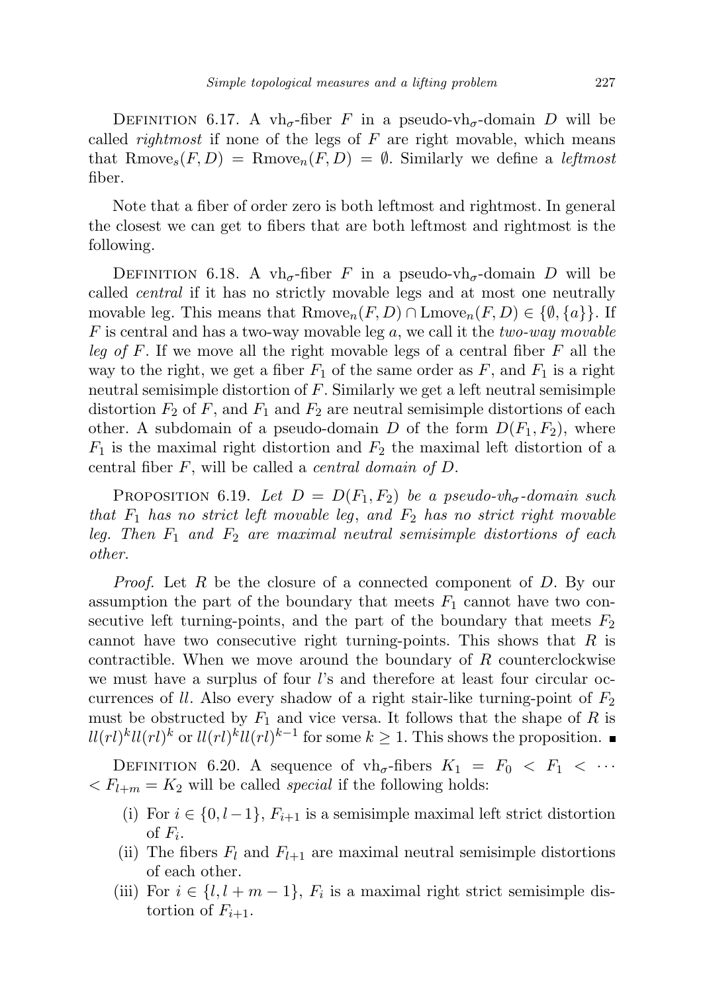DEFINITION 6.17. A vh<sub>σ</sub>-fiber F in a pseudo-vh<sub>σ</sub>-domain D will be called *rightmost* if none of the legs of  $F$  are right movable, which means that Rmove<sub>s</sub> $(F, D)$  = Rmove<sub>n</sub> $(F, D)$  = Ø. Similarly we define a *leftmost* fiber.

Note that a fiber of order zero is both leftmost and rightmost. In general the closest we can get to fibers that are both leftmost and rightmost is the following.

DEFINITION 6.18. A vh<sub>σ</sub>-fiber F in a pseudo-vh<sub>σ</sub>-domain D will be called central if it has no strictly movable legs and at most one neutrally movable leg. This means that  $Rmove_n(F, D) \cap Lmove_n(F, D) \in \{\emptyset, \{a\}\}.$  If F is central and has a two-way movable leg a, we call it the two-way movable leg of F. If we move all the right movable legs of a central fiber  $F$  all the way to the right, we get a fiber  $F_1$  of the same order as F, and  $F_1$  is a right neutral semisimple distortion of F. Similarly we get a left neutral semisimple distortion  $F_2$  of F, and  $F_1$  and  $F_2$  are neutral semisimple distortions of each other. A subdomain of a pseudo-domain D of the form  $D(F_1, F_2)$ , where  $F_1$  is the maximal right distortion and  $F_2$  the maximal left distortion of a central fiber  $F$ , will be called a *central domain of D*.

PROPOSITION 6.19. Let  $D = D(F_1, F_2)$  be a pseudo-vh<sub>o</sub>-domain such that  $F_1$  has no strict left movable leg, and  $F_2$  has no strict right movable leg. Then  $F_1$  and  $F_2$  are maximal neutral semisimple distortions of each other.

Proof. Let R be the closure of a connected component of D. By our assumption the part of the boundary that meets  $F_1$  cannot have two consecutive left turning-points, and the part of the boundary that meets  $F_2$ cannot have two consecutive right turning-points. This shows that  $R$  is contractible. When we move around the boundary of R counterclockwise we must have a surplus of four l's and therefore at least four circular occurrences of ll. Also every shadow of a right stair-like turning-point of  $F_2$ must be obstructed by  $F_1$  and vice versa. It follows that the shape of R is  $ll(rl)^{k}ll(rl)^{k}$  or  $ll(rl)^{k}ll(rl)^{k-1}$  for some  $k \geq 1$ . This shows the proposition.

DEFINITION 6.20. A sequence of  $vh_{\sigma}$ -fibers  $K_1 = F_0 < F_1 < \cdots$  $F_{k+m} = K_2$  will be called *special* if the following holds:

- (i) For  $i \in \{0, l-1\}$ ,  $F_{i+1}$  is a semisimple maximal left strict distortion of  $F_i$ .
- (ii) The fibers  $F_l$  and  $F_{l+1}$  are maximal neutral semisimple distortions of each other.
- (iii) For  $i \in \{l, l + m 1\}$ ,  $F_i$  is a maximal right strict semisimple distortion of  $F_{i+1}$ .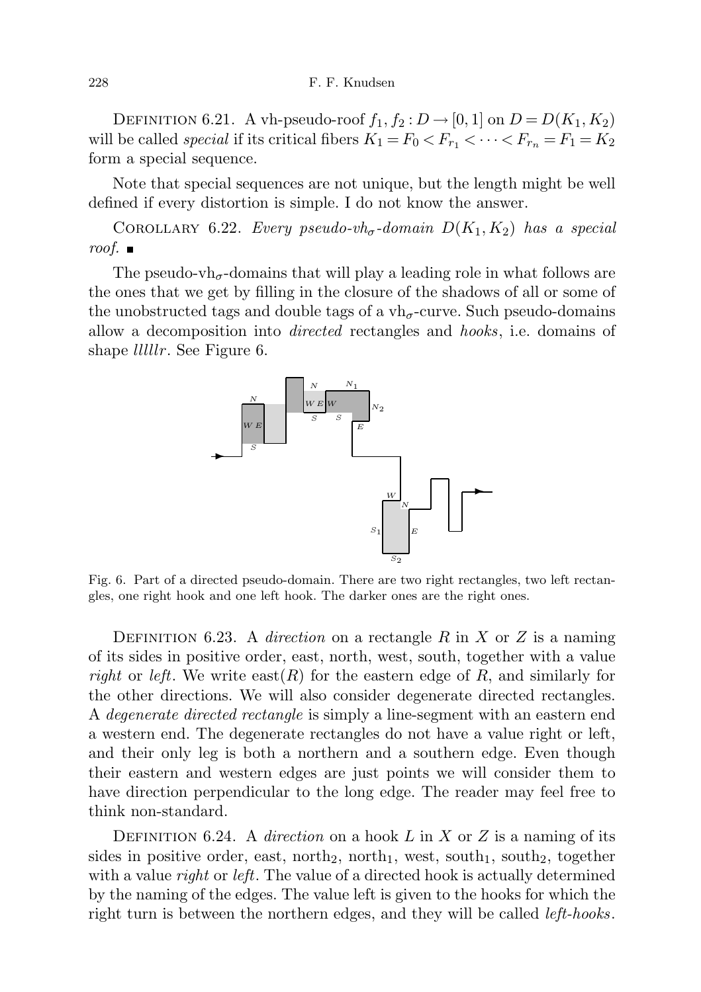### 228 F. F. Knudsen

DEFINITION 6.21. A vh-pseudo-roof  $f_1, f_2 : D \rightarrow [0, 1]$  on  $D = D(K_1, K_2)$ will be called *special* if its critical fibers  $K_1 = F_0 < F_{r_1} < \cdots < F_{r_n} = F_1 = K_2$ form a special sequence.

Note that special sequences are not unique, but the length might be well defined if every distortion is simple. I do not know the answer.

COROLLARY 6.22. Every pseudo-vh<sub>σ</sub>-domain  $D(K_1, K_2)$  has a special roof.  $\blacksquare$ 

The pseudo-vh<sub> $\sigma$ </sub>-domains that will play a leading role in what follows are the ones that we get by filling in the closure of the shadows of all or some of the unobstructed tags and double tags of a  $vh_{\sigma}$ -curve. Such pseudo-domains allow a decomposition into directed rectangles and hooks, i.e. domains of shape *lllllr*. See Figure 6.



Fig. 6. Part of a directed pseudo-domain. There are two right rectangles, two left rectangles, one right hook and one left hook. The darker ones are the right ones.

DEFINITION 6.23. A *direction* on a rectangle R in X or Z is a naming of its sides in positive order, east, north, west, south, together with a value right or left. We write east $(R)$  for the eastern edge of R, and similarly for the other directions. We will also consider degenerate directed rectangles. A degenerate directed rectangle is simply a line-segment with an eastern end a western end. The degenerate rectangles do not have a value right or left, and their only leg is both a northern and a southern edge. Even though their eastern and western edges are just points we will consider them to have direction perpendicular to the long edge. The reader may feel free to think non-standard.

DEFINITION 6.24. A direction on a hook L in X or Z is a naming of its sides in positive order, east, north<sub>2</sub>, north<sub>1</sub>, west, south<sub>1</sub>, south<sub>2</sub>, together with a value *right* or *left*. The value of a directed hook is actually determined by the naming of the edges. The value left is given to the hooks for which the right turn is between the northern edges, and they will be called *left-hooks*.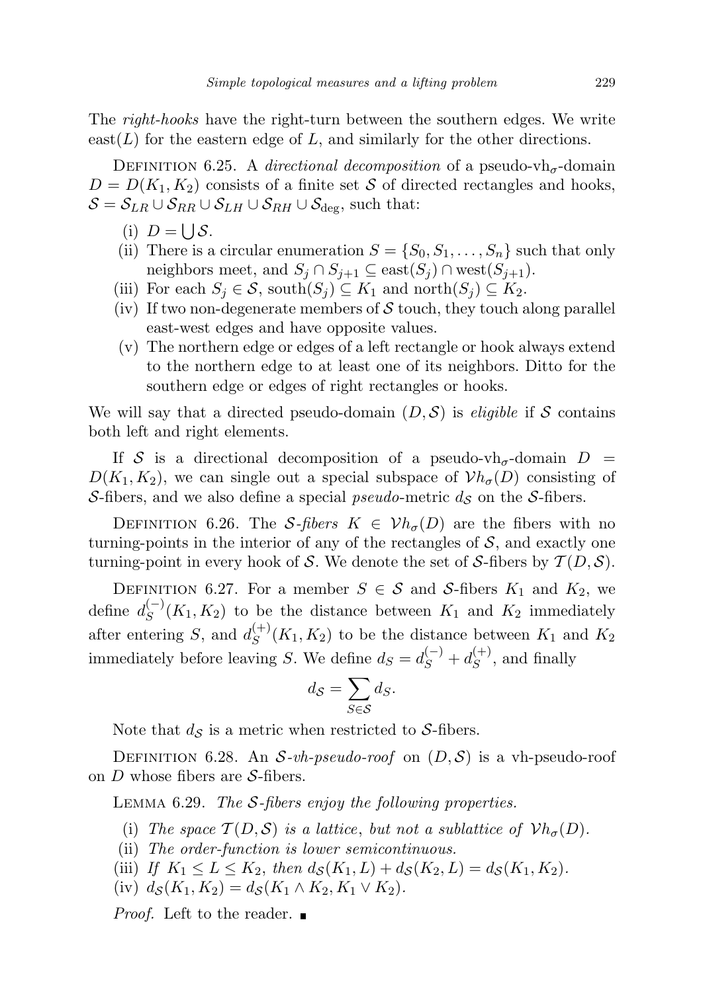The right-hooks have the right-turn between the southern edges. We write  $\text{east}(L)$  for the eastern edge of L, and similarly for the other directions.

DEFINITION 6.25. A directional decomposition of a pseudo-vh<sub> $\sigma$ </sub>-domain  $D = D(K_1, K_2)$  consists of a finite set S of directed rectangles and hooks,  $S = S_{LR} \cup S_{RR} \cup S_{LH} \cup S_{RH} \cup S_{\text{deg}}$ , such that:

- (i)  $D = \bigcup S$ .
- (ii) There is a circular enumeration  $S = \{S_0, S_1, \ldots, S_n\}$  such that only neighbors meet, and  $S_j \cap S_{j+1} \subseteq \text{east}(S_j) \cap \text{west}(S_{j+1}).$
- (iii) For each  $S_j \in \mathcal{S}$ , south $(S_j) \subseteq K_1$  and north $(S_j) \subseteq K_2$ .
- (iv) If two non-degenerate members of  $\mathcal S$  touch, they touch along parallel east-west edges and have opposite values.
- (v) The northern edge or edges of a left rectangle or hook always extend to the northern edge to at least one of its neighbors. Ditto for the southern edge or edges of right rectangles or hooks.

We will say that a directed pseudo-domain  $(D, \mathcal{S})$  is *eligible* if S contains both left and right elements.

If S is a directional decomposition of a pseudo-vh<sub> $\sigma$ </sub>-domain  $D =$  $D(K_1, K_2)$ , we can single out a special subspace of  $Vh_{\sigma}(D)$  consisting of S-fibers, and we also define a special *pseudo*-metric  $d_{\mathcal{S}}$  on the S-fibers.

DEFINITION 6.26. The S-fibers  $K \in \mathcal{V}h_{\sigma}(D)$  are the fibers with no turning-points in the interior of any of the rectangles of  $S$ , and exactly one turning-point in every hook of S. We denote the set of S-fibers by  $\mathcal{T}(D, \mathcal{S})$ .

DEFINITION 6.27. For a member  $S \in \mathcal{S}$  and  $\mathcal{S}$ -fibers  $K_1$  and  $K_2$ , we define  $d_S^{(-)}$  $S^{(-)}(K_1, K_2)$  to be the distance between  $K_1$  and  $K_2$  immediately after entering S, and  $d_S^{(+)}$  $S^{(+)}(K_1, K_2)$  to be the distance between  $K_1$  and  $K_2$ immediately before leaving S. We define  $d_S = d_S^{(-)} + d_S^{(+)}$  $S^{(+)}$ , and finally

$$
d_{\mathcal{S}} = \sum_{S \in \mathcal{S}} d_S.
$$

Note that  $d_{\mathcal{S}}$  is a metric when restricted to S-fibers.

DEFINITION 6.28. An S-vh-pseudo-roof on  $(D, S)$  is a vh-pseudo-roof on  $D$  whose fibers are  $S$ -fibers.

LEMMA  $6.29$ . The S-fibers enjoy the following properties.

- (i) The space  $\mathcal{T}(D, \mathcal{S})$  is a lattice, but not a sublattice of  $\mathcal{V}h_{\sigma}(D)$ .
- (ii) The order-function is lower semicontinuous.
- (iii) If  $K_1 \le L \le K_2$ , then  $d_{\mathcal{S}}(K_1, L) + d_{\mathcal{S}}(K_2, L) = d_{\mathcal{S}}(K_1, K_2)$ .
- (iv)  $d_S(K_1, K_2) = d_S(K_1 \wedge K_2, K_1 \vee K_2).$

*Proof.* Left to the reader.  $\blacksquare$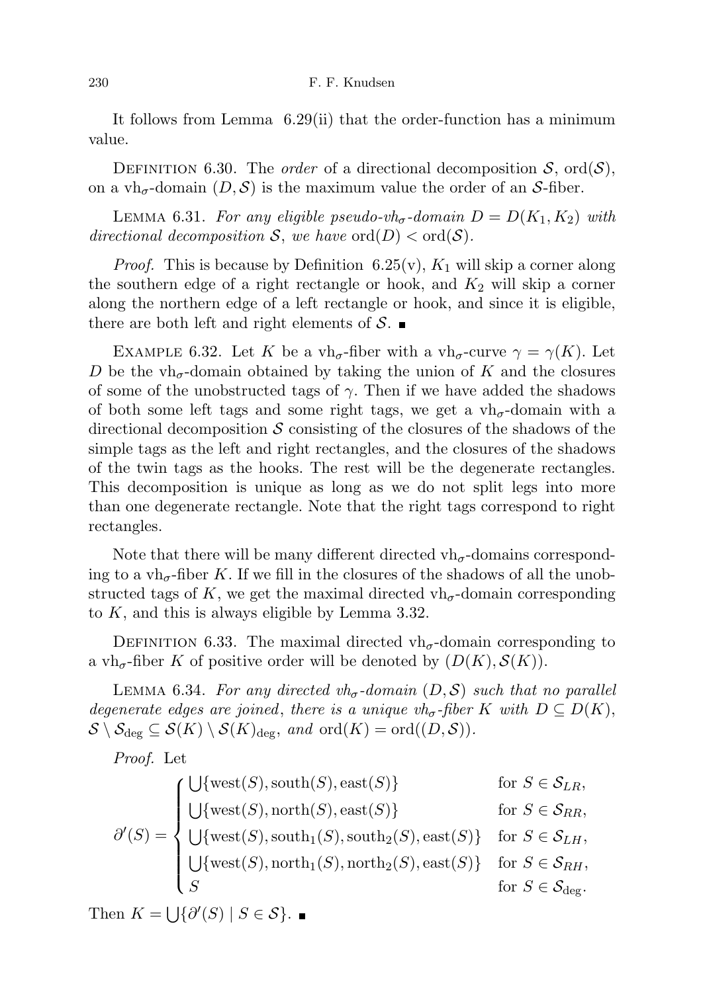It follows from Lemma 6.29(ii) that the order-function has a minimum value.

DEFINITION 6.30. The *order* of a directional decomposition  $S$ , ord $(S)$ , on a vh<sub> $\sigma$ </sub>-domain  $(D, \mathcal{S})$  is the maximum value the order of an S-fiber.

LEMMA 6.31. For any eligible pseudo-vh<sub>σ</sub>-domain  $D = D(K_1, K_2)$  with directional decomposition S, we have  $\text{ord}(D) < \text{ord}(\mathcal{S})$ .

*Proof.* This is because by Definition 6.25(v),  $K_1$  will skip a corner along the southern edge of a right rectangle or hook, and  $K_2$  will skip a corner along the northern edge of a left rectangle or hook, and since it is eligible, there are both left and right elements of  $S$ .

EXAMPLE 6.32. Let K be a vh<sub>σ</sub>-fiber with a vh<sub>σ</sub>-curve  $\gamma = \gamma(K)$ . Let D be the vh<sub> $\sigma$ </sub>-domain obtained by taking the union of K and the closures of some of the unobstructed tags of  $\gamma$ . Then if we have added the shadows of both some left tags and some right tags, we get a  $vh_{\sigma}$ -domain with a directional decomposition  $\mathcal S$  consisting of the closures of the shadows of the simple tags as the left and right rectangles, and the closures of the shadows of the twin tags as the hooks. The rest will be the degenerate rectangles. This decomposition is unique as long as we do not split legs into more than one degenerate rectangle. Note that the right tags correspond to right rectangles.

Note that there will be many different directed  $vh_{\sigma}$ -domains corresponding to a vh<sub> $\sigma$ </sub>-fiber K. If we fill in the closures of the shadows of all the unobstructed tags of K, we get the maximal directed  $vh_{\sigma}$ -domain corresponding to K, and this is always eligible by Lemma 3.32.

DEFINITION 6.33. The maximal directed  $vh_\sigma$ -domain corresponding to a vh<sub> $\sigma$ </sub>-fiber K of positive order will be denoted by  $(D(K), S(K))$ .

LEMMA 6.34. For any directed  $vh_{\sigma}$ -domain  $(D, \mathcal{S})$  such that no parallel degenerate edges are joined, there is a unique vh<sub>σ</sub>-fiber K with  $D \subseteq D(K)$ ,  $\mathcal{S} \setminus \mathcal{S}_{\text{deg}} \subseteq \mathcal{S}(K) \setminus \mathcal{S}(K)_{\text{deg}}$ , and  $\text{ord}(K) = \text{ord}((D, \mathcal{S}))$ .

Proof. Let

$$
\partial'(S) = \begin{cases}\n\bigcup \{\text{west}(S), \text{south}(S), \text{east}(S)\} & \text{for } S \in \mathcal{S}_{LR}, \\
\bigcup \{\text{west}(S), \text{north}(S), \text{east}(S)\} & \text{for } S \in \mathcal{S}_{RR}, \\
\bigcup \{\text{west}(S), \text{south}_1(S), \text{south}_2(S), \text{east}(S)\} & \text{for } S \in \mathcal{S}_{LH}, \\
\bigcup \{\text{west}(S), \text{north}_1(S), \text{north}_2(S), \text{east}(S)\} & \text{for } S \in \mathcal{S}_{RH}, \\
S & \text{for } S \in \mathcal{S}_{\text{deg}}.\n\end{cases}
$$

Then  $K = \bigcup \{ \partial'(S) \mid S \in \mathcal{S} \}.$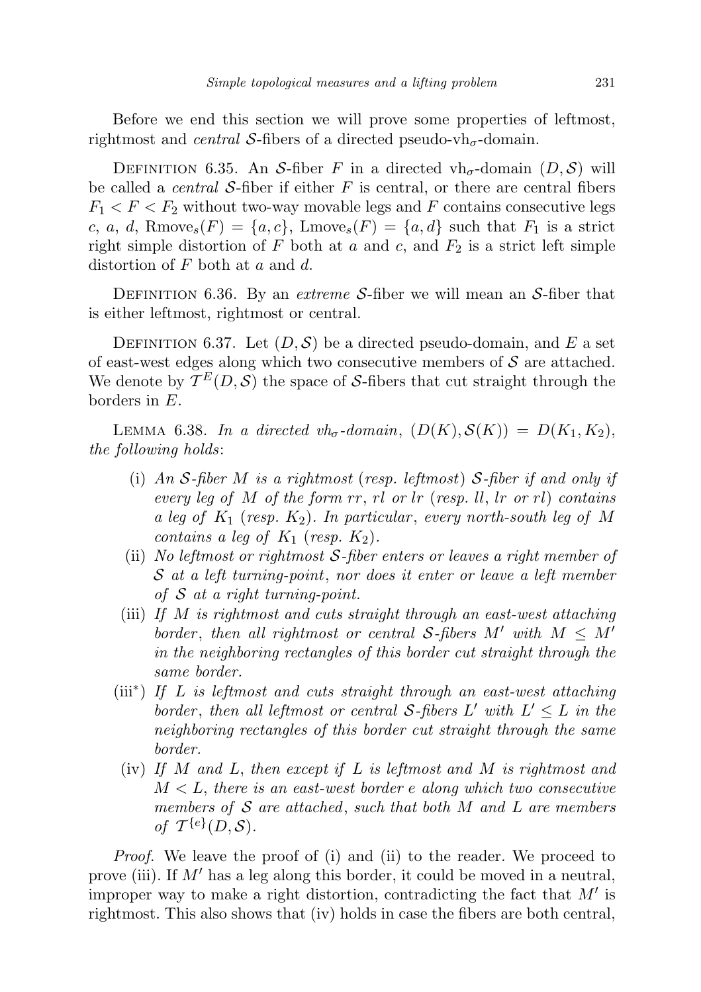Before we end this section we will prove some properties of leftmost, rightmost and *central* S-fibers of a directed pseudo-vh<sub> $\sigma$ </sub>-domain.

DEFINITION 6.35. An S-fiber F in a directed vh<sub>σ</sub>-domain  $(D, \mathcal{S})$  will be called a *central S*-fiber if either  $F$  is central, or there are central fibers  $F_1 < F < F_2$  without two-way movable legs and F contains consecutive legs c, a, d, Rmove<sub>s</sub> $(F) = \{a, c\}$ , Lmove<sub>s</sub> $(F) = \{a, d\}$  such that  $F_1$  is a strict right simple distortion of F both at a and c, and  $F_2$  is a strict left simple distortion of F both at a and d.

DEFINITION 6.36. By an *extreme S*-fiber we will mean an S-fiber that is either leftmost, rightmost or central.

DEFINITION 6.37. Let  $(D, \mathcal{S})$  be a directed pseudo-domain, and E a set of east-west edges along which two consecutive members of  $S$  are attached. We denote by  $\mathcal{T}^E(D, \mathcal{S})$  the space of S-fibers that cut straight through the borders in E.

LEMMA 6.38. In a directed  $vh_{\sigma}$ -domain,  $(D(K), S(K)) = D(K_1, K_2)$ , the following holds:

- (i) An S-fiber M is a rightmost (resp. leftmost) S-fiber if and only if every leg of M of the form  $rr$ ,  $rl$  or  $lr$  (resp. II,  $lr$  or  $rl$ ) contains a leg of  $K_1$  (resp.  $K_2$ ). In particular, every north-south leg of M contains a leg of  $K_1$  (resp.  $K_2$ ).
- (ii) No leftmost or rightmost  $S$ -fiber enters or leaves a right member of S at a left turning-point, nor does it enter or leave a left member of  $S$  at a right turning-point.
- (iii) If M is rightmost and cuts straight through an east-west attaching border, then all rightmost or central S-fibers M' with  $M \leq M'$ in the neighboring rectangles of this border cut straight through the same border.
- (iii<sup>∗</sup> ) If L is leftmost and cuts straight through an east-west attaching border, then all leftmost or central S-fibers  $L'$  with  $L' \leq L$  in the neighboring rectangles of this border cut straight through the same border.
- (iv) If M and L, then except if L is leftmost and M is rightmost and  $M < L$ , there is an east-west border e along which two consecutive members of  $S$  are attached, such that both  $M$  and  $L$  are members of  $\mathcal{T}^{\{e\}}(D, \mathcal{S})$ .

Proof. We leave the proof of (i) and (ii) to the reader. We proceed to prove (iii). If  $M'$  has a leg along this border, it could be moved in a neutral, improper way to make a right distortion, contradicting the fact that  $M'$  is rightmost. This also shows that (iv) holds in case the fibers are both central,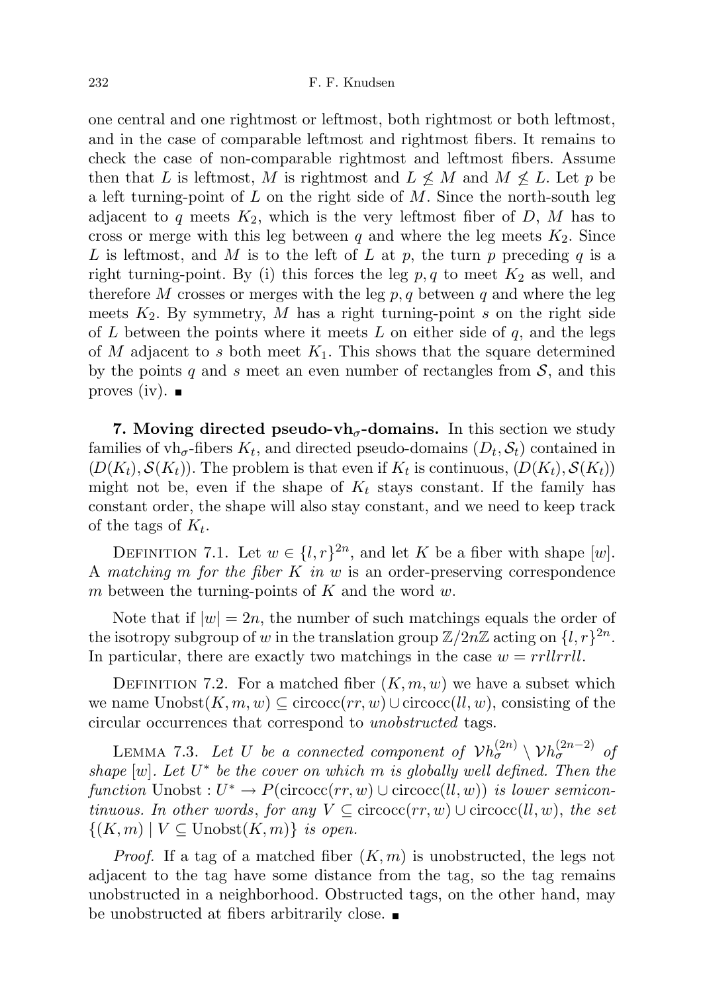one central and one rightmost or leftmost, both rightmost or both leftmost, and in the case of comparable leftmost and rightmost fibers. It remains to check the case of non-comparable rightmost and leftmost fibers. Assume then that L is leftmost, M is rightmost and  $L \nleq M$  and  $M \nleq L$ . Let p be a left turning-point of  $L$  on the right side of  $M$ . Since the north-south leg adjacent to q meets  $K_2$ , which is the very leftmost fiber of D, M has to cross or merge with this leg between q and where the leg meets  $K_2$ . Since L is leftmost, and M is to the left of L at p, the turn p preceding q is a right turning-point. By (i) this forces the leg  $p, q$  to meet  $K_2$  as well, and therefore M crosses or merges with the leg  $p, q$  between q and where the leg meets  $K_2$ . By symmetry, M has a right turning-point s on the right side of L between the points where it meets L on either side of  $q$ , and the legs of M adjacent to s both meet  $K_1$ . This shows that the square determined by the points q and s meet an even number of rectangles from  $S$ , and this proves (iv).  $\blacksquare$ 

7. Moving directed pseudo-vh<sub> $\sigma$ </sub>-domains. In this section we study families of  $vh_\sigma$ -fibers  $K_t$ , and directed pseudo-domains  $(D_t, \mathcal{S}_t)$  contained in  $(D(K_t), S(K_t))$ . The problem is that even if  $K_t$  is continuous,  $(D(K_t), S(K_t))$ might not be, even if the shape of  $K_t$  stays constant. If the family has constant order, the shape will also stay constant, and we need to keep track of the tags of  $K_t$ .

DEFINITION 7.1. Let  $w \in \{l, r\}^{2n}$ , and let K be a fiber with shape [w]. A matching m for the fiber K in  $w$  is an order-preserving correspondence m between the turning-points of  $K$  and the word  $w$ .

Note that if  $|w| = 2n$ , the number of such matchings equals the order of the isotropy subgroup of w in the translation group  $\mathbb{Z}/2n\mathbb{Z}$  acting on  $\{l, r\}^{2n}$ . In particular, there are exactly two matchings in the case  $w = rrllrrll$ .

DEFINITION 7.2. For a matched fiber  $(K, m, w)$  we have a subset which we name  $\text{Unobst}(K, m, w) \subseteq \text{circoc}(rr, w) \cup \text{circoc}(ll, w)$ , consisting of the circular occurrences that correspond to unobstructed tags.

LEMMA 7.3. Let U be a connected component of  $\mathcal{V}h_{\sigma}^{(2n)} \setminus \mathcal{V}h_{\sigma}^{(2n-2)}$  of shape  $[w]$ . Let  $U^*$  be the cover on which m is globally well defined. Then the function Unobst :  $U^* \to P(\text{circoc}(rr, w) \cup \text{circoc}(ll, w))$  is lower semicontinuous. In other words, for any  $V \subseteq$  circocc(rr, w)  $\cup$  circocc(ll, w), the set  $\{(K,m) \mid V \subseteq \text{Unobst}(K,m)\}\$ is open.

*Proof.* If a tag of a matched fiber  $(K, m)$  is unobstructed, the legs not adjacent to the tag have some distance from the tag, so the tag remains unobstructed in a neighborhood. Obstructed tags, on the other hand, may be unobstructed at fibers arbitrarily close.  $\blacksquare$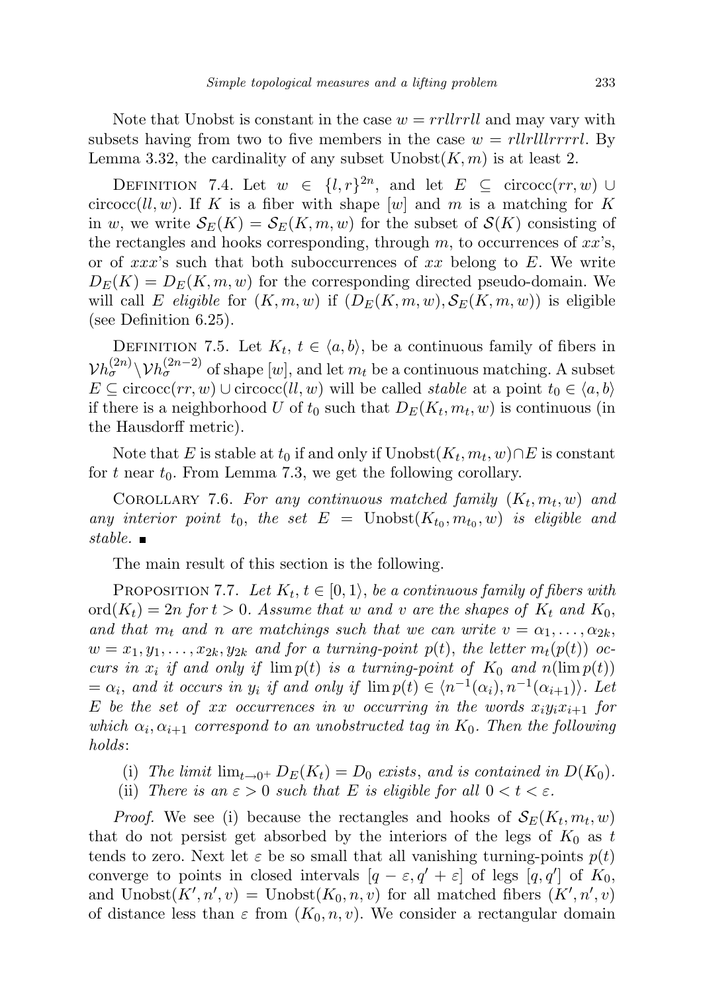Note that Unobst is constant in the case  $w = rrllrrll$  and may vary with subsets having from two to five members in the case  $w = \frac{r}{l}$ llerrrl. By Lemma 3.32, the cardinality of any subset  $\text{Unobst}(K, m)$  is at least 2.

DEFINITION 7.4. Let  $w \in \{l, r\}^{2n}$ , and let  $E \subseteq \text{circoc}(rr, w)$   $\cup$ circocc(ll, w). If K is a fiber with shape [w] and m is a matching for K in w, we write  $\mathcal{S}_E(K) = \mathcal{S}_E(K,m,w)$  for the subset of  $\mathcal{S}(K)$  consisting of the rectangles and hooks corresponding, through  $m$ , to occurrences of  $xx$ 's, or of  $xxx$ 's such that both suboccurrences of  $xx$  belong to E. We write  $D_E(K) = D_E(K, m, w)$  for the corresponding directed pseudo-domain. We will call E eligible for  $(K, m, w)$  if  $(D_E(K, m, w), S_E(K, m, w))$  is eligible (see Definition 6.25).

DEFINITION 7.5. Let  $K_t$ ,  $t \in \langle a, b \rangle$ , be a continuous family of fibers in  $\mathcal{V}h_{\sigma}^{(2n)} \setminus \mathcal{V}h_{\sigma}^{(2n-2)}$  of shape  $[w]$ , and let  $m_t$  be a continuous matching. A subset  $E \subseteq \text{circoc}(rr, w) \cup \text{circoc}(ll, w)$  will be called *stable* at a point  $t_0 \in \langle a, b \rangle$ if there is a neighborhood U of  $t_0$  such that  $D_E(K_t, m_t, w)$  is continuous (in the Hausdorff metric).

Note that E is stable at  $t_0$  if and only if  $\text{Unobst}(K_t, m_t, w) \cap E$  is constant for t near  $t_0$ . From Lemma 7.3, we get the following corollary.

COROLLARY 7.6. For any continuous matched family  $(K_t, m_t, w)$  and any interior point  $t_0$ , the set  $E = \text{Unobst}(K_{t_0}, m_{t_0}, w)$  is eligible and stable.  $\blacksquare$ 

The main result of this section is the following.

PROPOSITION 7.7. Let  $K_t$ ,  $t \in [0,1)$ , be a continuous family of fibers with  $\text{ord}(K_t) = 2n$  for  $t > 0$ . Assume that w and v are the shapes of  $K_t$  and  $K_0$ , and that  $m_t$  and n are matchings such that we can write  $v = \alpha_1, \ldots, \alpha_{2k}$ ,  $w = x_1, y_1, \ldots, x_{2k}, y_{2k}$  and for a turning-point  $p(t)$ , the letter  $m_t(p(t))$  occurs in  $x_i$  if and only if  $\lim p(t)$  is a turning-point of  $K_0$  and  $n(\lim p(t))$  $= \alpha_i$ , and it occurs in  $y_i$  if and only if  $\lim p(t) \in \langle n^{-1}(\alpha_i), n^{-1}(\alpha_{i+1})\rangle$ . Let E be the set of xx occurrences in w occurring in the words  $x_iy_ix_{i+1}$  for which  $\alpha_i, \alpha_{i+1}$  correspond to an unobstructed tag in  $K_0$ . Then the following holds:

- (i) The limit  $\lim_{t\to 0^+} D_E(K_t) = D_0$  exists, and is contained in  $D(K_0)$ .
- (ii) There is an  $\varepsilon > 0$  such that E is eligible for all  $0 < t < \varepsilon$ .

*Proof.* We see (i) because the rectangles and hooks of  $\mathcal{S}_E(K_t, m_t, w)$ that do not persist get absorbed by the interiors of the legs of  $K_0$  as t tends to zero. Next let  $\varepsilon$  be so small that all vanishing turning-points  $p(t)$ converge to points in closed intervals  $[q - \varepsilon, q' + \varepsilon]$  of legs  $[q, q']$  of  $K_0$ , and  $\text{Unobst}(K', n', v) = \text{Unobst}(K_0, n, v)$  for all matched fibers  $(K', n', v)$ of distance less than  $\varepsilon$  from  $(K_0, n, v)$ . We consider a rectangular domain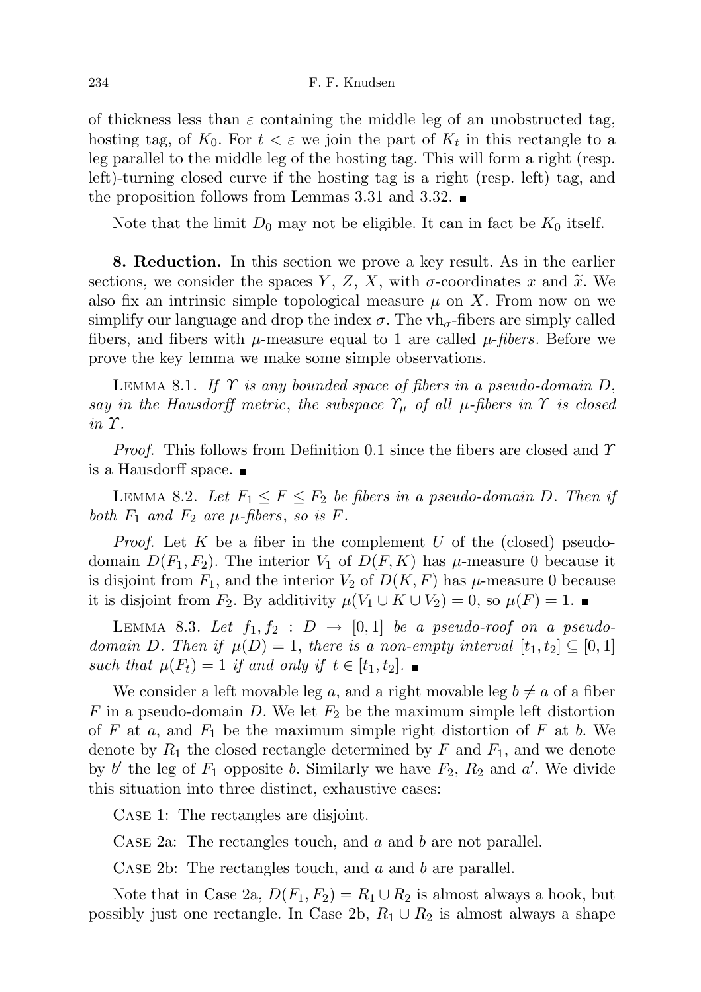of thickness less than  $\varepsilon$  containing the middle leg of an unobstructed tag, hosting tag, of  $K_0$ . For  $t < \varepsilon$  we join the part of  $K_t$  in this rectangle to a leg parallel to the middle leg of the hosting tag. This will form a right (resp. left)-turning closed curve if the hosting tag is a right (resp. left) tag, and the proposition follows from Lemmas 3.31 and 3.32.

Note that the limit  $D_0$  may not be eligible. It can in fact be  $K_0$  itself.

8. Reduction. In this section we prove a key result. As in the earlier sections, we consider the spaces Y, Z, X, with  $\sigma$ -coordinates x and  $\tilde{x}$ . We also fix an intrinsic simple topological measure  $\mu$  on X. From now on we simplify our language and drop the index  $\sigma$ . The vh<sub> $\sigma$ </sub>-fibers are simply called fibers, and fibers with  $\mu$ -measure equal to 1 are called  $\mu$ -fibers. Before we prove the key lemma we make some simple observations.

LEMMA 8.1. If  $\Upsilon$  is any bounded space of fibers in a pseudo-domain D, say in the Hausdorff metric, the subspace  $\Upsilon_{\mu}$  of all  $\mu$ -fibers in  $\Upsilon$  is closed  $in \mathcal{T}$ .

*Proof.* This follows from Definition 0.1 since the fibers are closed and  $\gamma$ is a Hausdorff space.

LEMMA 8.2. Let  $F_1 \leq F \leq F_2$  be fibers in a pseudo-domain D. Then if both  $F_1$  and  $F_2$  are  $\mu$ -fibers, so is F.

*Proof.* Let K be a fiber in the complement U of the (closed) pseudodomain  $D(F_1, F_2)$ . The interior  $V_1$  of  $D(F, K)$  has  $\mu$ -measure 0 because it is disjoint from  $F_1$ , and the interior  $V_2$  of  $D(K, F)$  has  $\mu$ -measure 0 because it is disjoint from  $F_2$ . By additivity  $\mu(V_1 \cup K \cup V_2) = 0$ , so  $\mu(F) = 1$ . ■

LEMMA 8.3. Let  $f_1, f_2 : D \rightarrow [0, 1]$  be a pseudo-roof on a pseudodomain D. Then if  $\mu(D) = 1$ , there is a non-empty interval  $[t_1, t_2] \subseteq [0, 1]$ such that  $\mu(F_t) = 1$  if and only if  $t \in [t_1, t_2]$ .

We consider a left movable leg a, and a right movable leg  $b \neq a$  of a fiber F in a pseudo-domain D. We let  $F_2$  be the maximum simple left distortion of F at a, and  $F_1$  be the maximum simple right distortion of F at b. We denote by  $R_1$  the closed rectangle determined by F and  $F_1$ , and we denote by b' the leg of  $F_1$  opposite b. Similarly we have  $F_2$ ,  $R_2$  and a'. We divide this situation into three distinct, exhaustive cases:

Case 1: The rectangles are disjoint.

CASE 2a: The rectangles touch, and a and b are not parallel.

CASE 2b: The rectangles touch, and  $a$  and  $b$  are parallel.

Note that in Case 2a,  $D(F_1, F_2) = R_1 \cup R_2$  is almost always a hook, but possibly just one rectangle. In Case 2b,  $R_1 \cup R_2$  is almost always a shape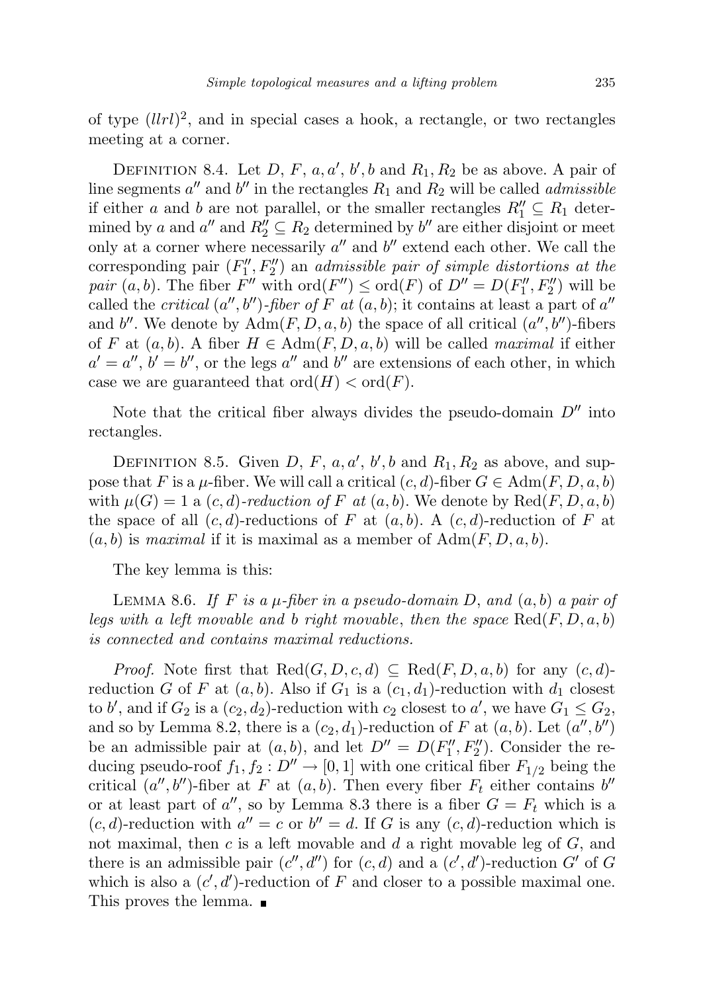of type  $(llrl)^2$ , and in special cases a hook, a rectangle, or two rectangles meeting at a corner.

DEFINITION 8.4. Let D, F, a, a', b', b and  $R_1, R_2$  be as above. A pair of line segments  $a''$  and  $b''$  in the rectangles  $R_1$  and  $R_2$  will be called *admissible* if either a and b are not parallel, or the smaller rectangles  $R_1'' \subseteq R_1$  determined by a and  $a''$  and  $R''_2 \subseteq R_2$  determined by b'' are either disjoint or meet only at a corner where necessarily  $a''$  and  $b''$  extend each other. We call the corresponding pair  $(F''_1, F''_2)$  an *admissible pair of simple distortions at the* pair  $(a, b)$ . The fiber  $F''$  with  $\text{ord}(F'') \leq \text{ord}(F)$  of  $D'' = D(F''_1, F''_2)$  will be called the *critical*  $(a'', b'')$ -fiber of F at  $(a, b)$ ; it contains at least a part of a'' and b''. We denote by  $\text{Adm}(F, D, a, b)$  the space of all critical  $(a'', b'')$ -fibers of F at  $(a, b)$ . A fiber  $H \in \text{Adm}(F, D, a, b)$  will be called maximal if either  $a' = a''$ ,  $b' = b''$ , or the legs  $a''$  and  $b''$  are extensions of each other, in which case we are guaranteed that  $\text{ord}(H) < \text{ord}(F)$ .

Note that the critical fiber always divides the pseudo-domain  $D''$  into rectangles.

DEFINITION 8.5. Given D, F, a, a', b', b and  $R_1, R_2$  as above, and suppose that F is a  $\mu$ -fiber. We will call a critical  $(c, d)$ -fiber  $G \in \text{Adm}(F, D, a, b)$ with  $\mu(G) = 1$  a  $(c, d)$ -reduction of F at  $(a, b)$ . We denote by  $\text{Red}(F, D, a, b)$ the space of all  $(c, d)$ -reductions of F at  $(a, b)$ . A  $(c, d)$ -reduction of F at  $(a, b)$  is maximal if it is maximal as a member of  $\text{Adm}(F, D, a, b)$ .

The key lemma is this:

LEMMA 8.6. If F is a  $\mu$ -fiber in a pseudo-domain D, and  $(a, b)$  a pair of legs with a left movable and b right movable, then the space  $\text{Red}(F, D, a, b)$ is connected and contains maximal reductions.

*Proof.* Note first that  $\text{Red}(G, D, c, d) \subseteq \text{Red}(F, D, a, b)$  for any  $(c, d)$ reduction G of F at  $(a, b)$ . Also if  $G_1$  is a  $(c_1, d_1)$ -reduction with  $d_1$  closest to b', and if  $G_2$  is a  $(c_2, d_2)$ -reduction with  $c_2$  closest to a', we have  $G_1 \leq G_2$ , and so by Lemma 8.2, there is a  $(c_2, d_1)$ -reduction of F at  $(a, b)$ . Let  $(a'', b'')$ be an admissible pair at  $(a, b)$ , and let  $D'' = D(F''_1, F''_2)$ . Consider the reducing pseudo-roof  $f_1, f_2 : D'' \to [0, 1]$  with one critical fiber  $F_{1/2}$  being the critical  $(a'', b'')$ -fiber at F at  $(a, b)$ . Then every fiber  $F_t$  either contains  $b''$ or at least part of  $a''$ , so by Lemma 8.3 there is a fiber  $G = F_t$  which is a  $(c, d)$ -reduction with  $a'' = c$  or  $b'' = d$ . If G is any  $(c, d)$ -reduction which is not maximal, then  $c$  is a left movable and  $d$  a right movable leg of  $G$ , and there is an admissible pair  $(c'', d'')$  for  $(c, d)$  and a  $(c', d')$ -reduction G' of G which is also a  $(c', d')$ -reduction of F and closer to a possible maximal one. This proves the lemma.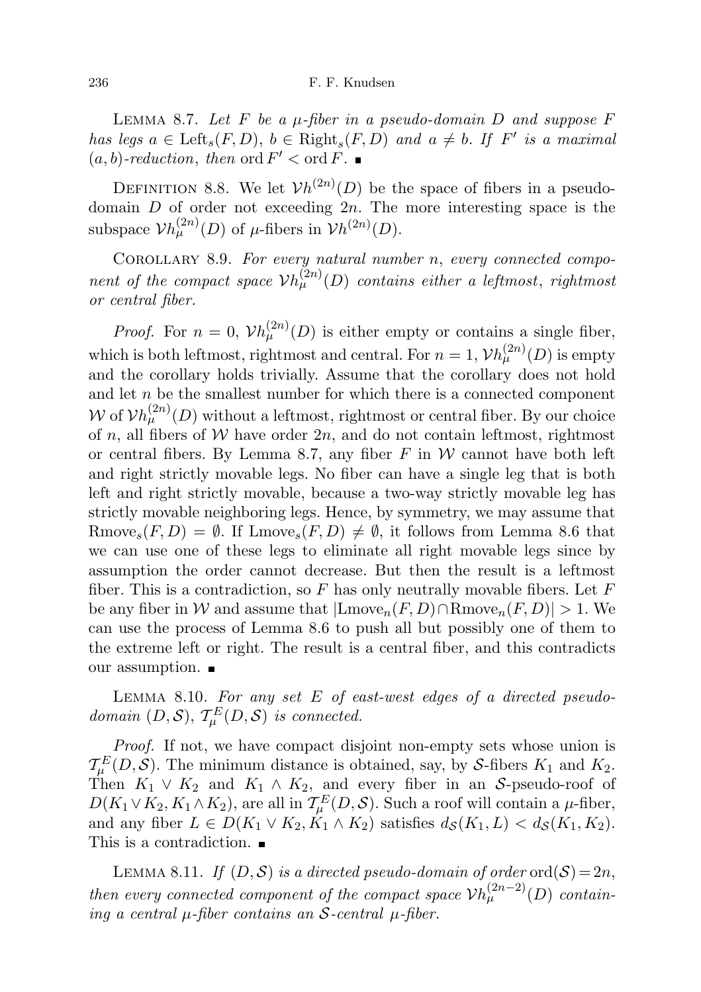LEMMA 8.7. Let  $F$  be a  $\mu$ -fiber in a pseudo-domain  $D$  and suppose  $F$ has legs  $a \in \text{Left}_s(F, D)$ ,  $b \in \text{Right}_s(F, D)$  and  $a \neq b$ . If  $F'$  is a maximal  $(a, b)$ -reduction, then ord  $F' < \text{ord } F$ .

DEFINITION 8.8. We let  $Vh^{(2n)}(D)$  be the space of fibers in a pseudodomain  $D$  of order not exceeding  $2n$ . The more interesting space is the subspace  $\mathcal{V}h_{\mu}^{(2n)}(D)$  of  $\mu$ -fibers in  $\mathcal{V}h^{(2n)}(D)$ .

COROLLARY 8.9. For every natural number n, every connected component of the compact space  $V h_{\mu}^{(2n)}(D)$  contains either a leftmost, rightmost or central fiber.

*Proof.* For  $n = 0$ ,  $V h_{\mu}^{(2n)}(D)$  is either empty or contains a single fiber, which is both leftmost, rightmost and central. For  $n = 1$ ,  $\mathcal{V}h_{\mu}^{(2n)}(D)$  is empty and the corollary holds trivially. Assume that the corollary does not hold and let  $n$  be the smallest number for which there is a connected component W of  $V h_{\mu}^{(2n)}(D)$  without a leftmost, rightmost or central fiber. By our choice of n, all fibers of W have order  $2n$ , and do not contain leftmost, rightmost or central fibers. By Lemma 8.7, any fiber  $F$  in  $W$  cannot have both left and right strictly movable legs. No fiber can have a single leg that is both left and right strictly movable, because a two-way strictly movable leg has strictly movable neighboring legs. Hence, by symmetry, we may assume that Rmove<sub>s</sub> $(F, D) = \emptyset$ . If Lmove<sub>s</sub> $(F, D) \neq \emptyset$ , it follows from Lemma 8.6 that we can use one of these legs to eliminate all right movable legs since by assumption the order cannot decrease. But then the result is a leftmost fiber. This is a contradiction, so F has only neutrally movable fibers. Let  $F$ be any fiber in W and assume that  $|{\rm{Lmove}}_n(F, D) \cap {\rm{Rmove}}_n(F, D)| > 1$ . We can use the process of Lemma 8.6 to push all but possibly one of them to the extreme left or right. The result is a central fiber, and this contradicts our assumption.

LEMMA 8.10. For any set E of east-west edges of a directed pseudodomain  $(D, S)$ ,  $\mathcal{T}_{\mu}^{E}(D, S)$  is connected.

Proof. If not, we have compact disjoint non-empty sets whose union is  $\mathcal{T}_{\mu}^{E}(D, \mathcal{S})$ . The minimum distance is obtained, say, by S-fibers  $K_1$  and  $K_2$ . Then  $K_1 \vee K_2$  and  $K_1 \wedge K_2$ , and every fiber in an S-pseudo-roof of  $D(K_1 \vee K_2, K_1 \wedge K_2)$ , are all in  $\mathcal{T}_{\mu}^E(D, \mathcal{S})$ . Such a roof will contain a  $\mu$ -fiber, and any fiber  $L \in D(K_1 \vee K_2, \overline{K}_1 \wedge K_2)$  satisfies  $d_{\mathcal{S}}(K_1, L) < d_{\mathcal{S}}(K_1, K_2)$ . This is a contradiction.

LEMMA 8.11. If  $(D, \mathcal{S})$  is a directed pseudo-domain of order ord $(\mathcal{S}) = 2n$ , then every connected component of the compact space  $V h_{\mu}^{(2n-2)}(D)$  containing a central  $\mu$ -fiber contains an S-central  $\mu$ -fiber.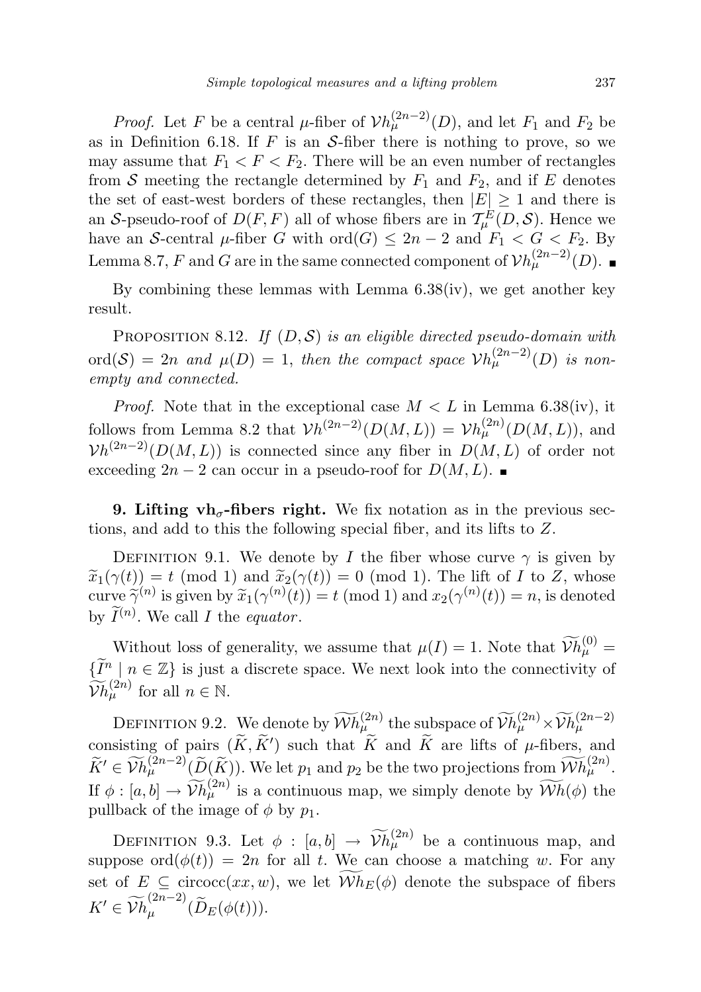*Proof.* Let F be a central  $\mu$ -fiber of  $V h_{\mu}^{(2n-2)}(D)$ , and let  $F_1$  and  $F_2$  be as in Definition 6.18. If  $F$  is an  $S$ -fiber there is nothing to prove, so we may assume that  $F_1 < F < F_2$ . There will be an even number of rectangles from S meeting the rectangle determined by  $F_1$  and  $F_2$ , and if E denotes the set of east-west borders of these rectangles, then  $|E| \geq 1$  and there is an S-pseudo-roof of  $D(F, F)$  all of whose fibers are in  $\mathcal{T}_{\mu}^{E}(D, \mathcal{S})$ . Hence we have an S-central  $\mu$ -fiber G with  $\text{ord}(G) \leq 2n-2$  and  $F_1 < G < F_2$ . By Lemma 8.7, F and G are in the same connected component of  $\mathcal{V}h_{\mu}^{(2n-2)}(D)$ .

By combining these lemmas with Lemma  $6.38(iv)$ , we get another key result.

PROPOSITION 8.12. If  $(D, \mathcal{S})$  is an eligible directed pseudo-domain with  $\text{ord}(\mathcal{S}) = 2n$  and  $\mu(D) = 1$ , then the compact space  $\mathcal{V}h_{\mu}^{(2n-2)}(D)$  is nonempty and connected.

*Proof.* Note that in the exceptional case  $M < L$  in Lemma 6.38(iv), it follows from Lemma 8.2 that  $\mathcal{V}_h^{(2n-2)}(D(M,L)) = \mathcal{V}_h^{(2n)}(D(M,L))$ , and  $Vh^{(2n-2)}(D(M,L))$  is connected since any fiber in  $D(M,L)$  of order not exceeding  $2n-2$  can occur in a pseudo-roof for  $D(M, L)$ . ■

**9. Lifting vh<sub>** $\sigma$ **</sub>-fibers right.** We fix notation as in the previous sections, and add to this the following special fiber, and its lifts to Z.

DEFINITION 9.1. We denote by I the fiber whose curve  $\gamma$  is given by  $\widetilde{x}_1(\gamma(t)) = t \pmod{1}$  and  $\widetilde{x}_2(\gamma(t)) = 0 \pmod{1}$ . The lift of I to Z, whose<br>curve  $\widetilde{\gamma}_n(\gamma(t))$  is given by  $\widetilde{x}_1(\gamma(t)) = t \pmod{1}$  and  $x_2(\gamma(t)) = n$  is denoted curve  $\widetilde{\gamma}^{(n)}$  is given by  $\widetilde{x}_1(\gamma^{(n)}(t)) = t \pmod{1}$  and  $x_2(\gamma^{(n)}(t)) = n$ , is denoted by  $\widetilde{I}^{(n)}$ . We call I the equator.

Without loss of generality, we assume that  $\mu(I) = 1$ . Note that  $\widetilde{\mathcal{V}}h_{\mu}^{(0)} =$  $\{\widetilde{I}^n \mid n \in \mathbb{Z}\}\$  is just a discrete space. We next look into the connectivity of  $\widetilde{\mathcal{V}}h_{\mu}^{(2n)}$  for all  $n \in \mathbb{N}$ .

DEFINITION 9.2. We denote by  $\widetilde{\mathcal{W}}h^{(2n)}_\mu$  the subspace of  $\widetilde{\mathcal{W}}h^{(2n)}_\mu \times \widetilde{\mathcal{W}}h^{(2n-2)}_\mu$ consisting of pairs  $(\widetilde{K}, \widetilde{K}')$  such that  $\widetilde{K}$  and  $\widetilde{K}$  are lifts of  $\mu$ -fibers, and  $\widetilde{K}' \in \widetilde{\mathcal{V}}h_{\mu}^{(2n-2)}(\widetilde{D}(\widetilde{K}))$ . We let  $p_1$  and  $p_2$  be the two projections from  $\widetilde{\mathcal{W}}h_{\mu}^{(2n)}$ . If  $\phi: [a, b] \to \widetilde{V}h^{(2n)}_\mu$  is a continuous map, we simply denote by  $\widetilde{W}h(\phi)$  the pullback of the image of  $\phi$  by  $p_1$ .

DEFINITION 9.3. Let  $\phi : [a, b] \to \widetilde{\mathcal{V}} h_{\mu}^{(2n)}$  be a continuous map, and suppose  $\text{ord}(\phi(t)) = 2n$  for all t. We can choose a matching w. For any set of  $E \subseteq \text{circoc}(xx, w)$ , we let  $Wh_E(\phi)$  denote the subspace of fibers  $K' \in \widetilde{\mathcal{V}}h_{\mu}^{(2n-2)}$  $_{\mu}^{(2n-2)}(D_E(\phi(t))).$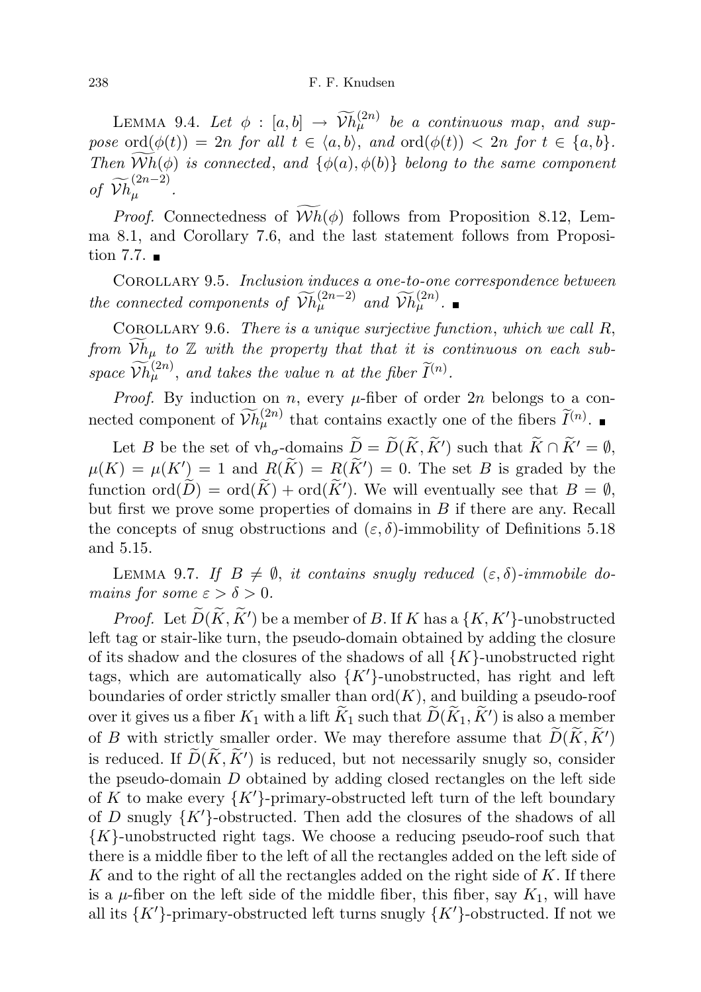LEMMA 9.4. Let  $\phi : [a, b] \rightarrow \widetilde{V}h^{(2n)}_{\mu}$  be a continuous map, and sup-<br> $V^{(2n)}_{\mu}$  be a continuous map, and suppose ord $(\phi(t)) = 2n$  for all  $t \in \langle a, b \rangle$ , and  $\text{ord}(\phi(t)) < 2n$  for  $t \in \{a, b\}.$ Then  $Wh(\phi)$  is connected, and  $\{\phi(a), \phi(b)\}\$  belong to the same component of  $\widetilde{V}h_{\mu}^{(2n-2)}$  $\frac{1}{\mu}$  .

*Proof.* Connectedness of  $Wh(\phi)$  follows from Proposition 8.12, Lemma 8.1, and Corollary 7.6, and the last statement follows from Proposition 7.7.  $\blacksquare$ 

Corollary 9.5. Inclusion induces a one-to-one correspondence between the connected components of  $\widetilde{V}h_{\mu}^{(2n-2)}$  and  $\widetilde{V}h_{\mu}^{(2n)}$ .

COROLLARY 9.6. There is a unique surjective function, which we call  $R$ , from  $\widetilde{\mathcal{V}}h_{\mu}$  to  $\mathbb Z$  with the property that that it is continuous on each subspace  $\widetilde{V}h_{\mu}^{(2n)}$ , and takes the value n at the fiber  $\widetilde{I}^{(n)}$ .

*Proof.* By induction on *n*, every  $\mu$ -fiber of order 2*n* belongs to a connected component of  $\widetilde{\mathcal{V}}h_{\mu}^{(2n)}$  that contains exactly one of the fibers  $\widetilde{I}^{(n)}$ .

Let B be the set of  $\mathbf{v}_{\mathbf{b}} = \widetilde{D}(\widetilde{K}, \widetilde{K}')$  such that  $\widetilde{K} \cap \widetilde{K}' = \emptyset$ ,  $\mu(K) = \mu(K') = 1$  and  $R(\widetilde{K}) = R(\widetilde{K'}) = 0$ . The set B is graded by the function  $\text{ord}(\widetilde{D}) = \text{ord}(\widetilde{K}) + \text{ord}(\widetilde{K}^{\prime}).$  We will eventually see that  $B = \emptyset$ , but first we prove some properties of domains in  $B$  if there are any. Recall the concepts of snug obstructions and  $(\varepsilon, \delta)$ -immobility of Definitions 5.18 and 5.15.

LEMMA 9.7. If  $B \neq \emptyset$ , it contains snugly reduced  $(\varepsilon, \delta)$ -immobile domains for some  $\varepsilon > \delta > 0$ .

*Proof.* Let  $\widetilde{D}(\widetilde{K}, \widetilde{K}')$  be a member of B. If K has a  $\{K, K'\}$ -unobstructed left tag or stair-like turn, the pseudo-domain obtained by adding the closure of its shadow and the closures of the shadows of all  $\{K\}$ -unobstructed right tags, which are automatically also  ${K'}$ -unobstructed, has right and leftboundaries of order strictly smaller than  $\mathrm{ord}(K)$ , and building a pseudo-roof over it gives us a fiber  $K_1$  with a lift  $\widetilde{K}_1$  such that  $\widetilde{D}(\widetilde{K}_1, \widetilde{K}')$  is also a member of B with strictly smaller order. We may therefore assume that  $\widetilde{D}(\widetilde{K}, \widetilde{K}')$ is reduced. If  $\widetilde{D}(\widetilde{K}, \widetilde{K}')$  is reduced, but not necessarily snugly so, consider the pseudo-domain D obtained by adding closed rectangles on the left side of K to make every  $\{K'\}$ -primary-obstructed left turn of the left boundary of D snugly  $\{K'\}$ -obstructed. Then add the closures of the shadows of all  ${K}$ -unobstructed right tags. We choose a reducing pseudo-roof such that there is a middle fiber to the left of all the rectangles added on the left side of K and to the right of all the rectangles added on the right side of  $K$ . If there is a  $\mu$ -fiber on the left side of the middle fiber, this fiber, say  $K_1$ , will have all its  $\{K'\}$ -primary-obstructed left turns snugly  $\{K'\}$ -obstructed. If not we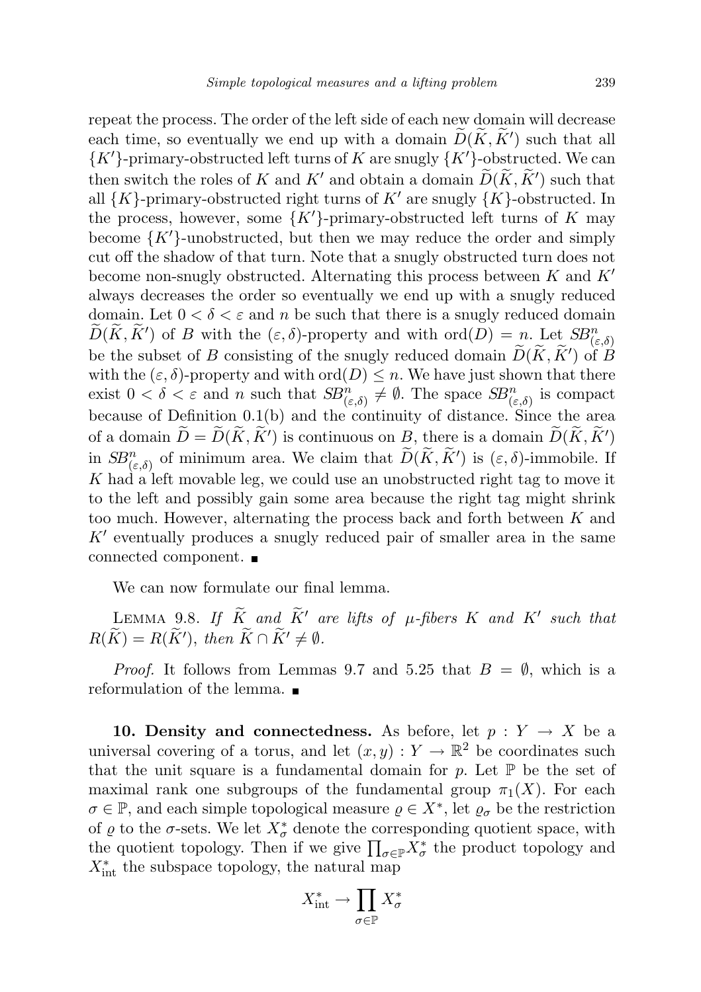repeat the process. The order of the left side of each new domain will decrease each time, so eventually we end up with a domain  $\widetilde{D}(K, K')$  such that all  ${K'}.$  primary-obstructed left turns of K are snugly  ${K'}.$  obstructed. We can then switch the roles of K and K' and obtain a domain  $\widetilde{D}(\widetilde{K}, \widetilde{K}')$  such that all  $\{K\}$ -primary-obstructed right turns of K' are snugly  $\{K\}$ -obstructed. In the process, however, some  $\{K'\}$ -primary-obstructed left turns of K may become  $\{K'\}$ -unobstructed, but then we may reduce the order and simply cut off the shadow of that turn. Note that a snugly obstructed turn does not become non-snugly obstructed. Alternating this process between  $K$  and  $K'$ always decreases the order so eventually we end up with a snugly reduced domain. Let  $0 < \delta < \varepsilon$  and n be such that there is a snugly reduced domain  $D(K, K')$  of B with the  $(\varepsilon, \delta)$ -property and with  $\text{ord}(D) = n$ . Let  $SB^n_{(\varepsilon,\delta)}$ be the subset of B consisting of the snugly reduced domain  $\widetilde{D}(\widetilde{K}, \widetilde{K}')$  of B with the  $(\varepsilon, \delta)$ -property and with ord $(D) \leq n$ . We have just shown that there exist  $0 < \delta < \varepsilon$  and n such that  $SB_{(\varepsilon,\delta)}^n \neq \emptyset$ . The space  $SB_{(\varepsilon,\delta)}^n$  is compact because of Definition 0.1(b) and the continuity of distance. Since the area of a domain  $\widetilde{D} = \widetilde{D}(\widetilde{K}, \widetilde{K}')$  is continuous on B, there is a domain  $\widetilde{D}(\widetilde{K}, \widetilde{K}')$ in  $SB^{n}_{(\varepsilon,\delta)}$  of minimum area. We claim that  $\widetilde{D}(\widetilde{K},\widetilde{K}')$  is  $(\varepsilon,\delta)$ -immobile. If K had a left movable leg, we could use an unobstructed right tag to move it to the left and possibly gain some area because the right tag might shrink too much. However, alternating the process back and forth between K and  $K'$  eventually produces a snugly reduced pair of smaller area in the same connected component.

We can now formulate our final lemma.

LEMMA 9.8. If  $\widetilde{K}$  and  $\widetilde{K}'$  are lifts of  $\mu$ -fibers K and K' such that  $R(\widetilde{K}) = R(\widetilde{K}'), \text{ then } \widetilde{K} \cap \widetilde{K}' \neq \emptyset.$ 

*Proof.* It follows from Lemmas 9.7 and 5.25 that  $B = \emptyset$ , which is a reformulation of the lemma.

10. Density and connectedness. As before, let  $p: Y \to X$  be a universal covering of a torus, and let  $(x, y) : Y \to \mathbb{R}^2$  be coordinates such that the unit square is a fundamental domain for p. Let  $\mathbb P$  be the set of maximal rank one subgroups of the fundamental group  $\pi_1(X)$ . For each  $\sigma \in \mathbb{P}$ , and each simple topological measure  $\rho \in X^*$ , let  $\rho_{\sigma}$  be the restriction of  $\varrho$  to the  $\sigma$ -sets. We let  $X^*_{\sigma}$  denote the corresponding quotient space, with the quotient topology. Then if we give  $\prod_{\sigma\in\mathbb{P}} X^*_\sigma$  the product topology and  $X_{\text{int}}^*$  the subspace topology, the natural map

$$
X_{\mathrm{int}}^* \to \prod_{\sigma \in \mathbb{P}} X_{\sigma}^*
$$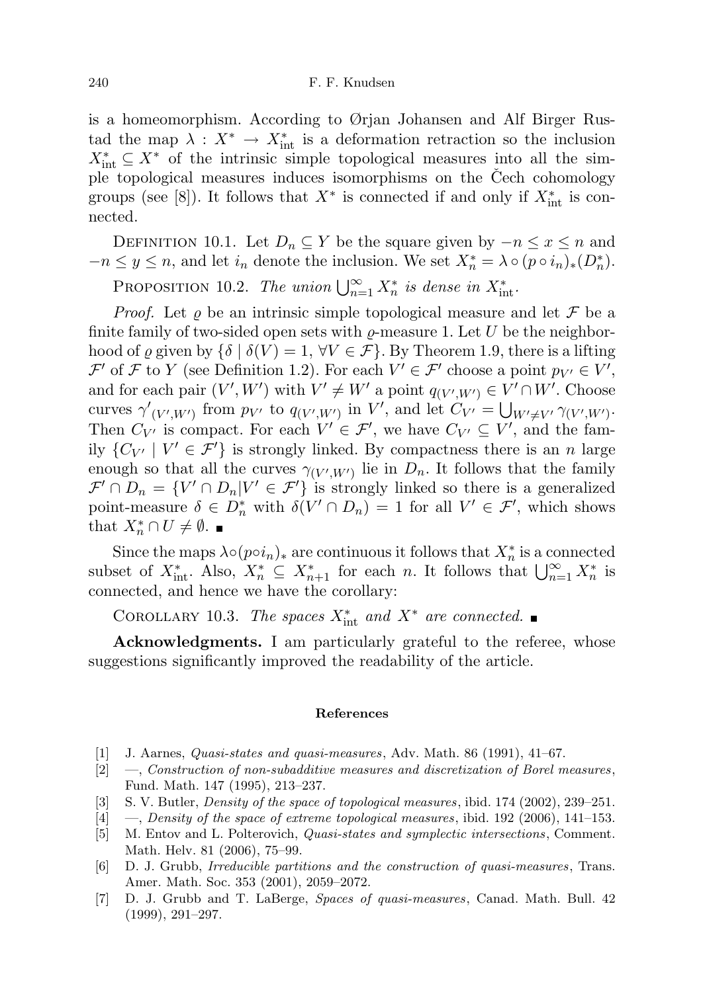is a homeomorphism. According to Ørjan Johansen and Alf Birger Rustad the map  $\lambda: X^* \to X^*_{\text{int}}$  is a deformation retraction so the inclusion  $X_{\text{int}}^* \subseteq X^*$  of the intrinsic simple topological measures into all the simple topological measures induces isomorphisms on the Čech cohomology groups (see [8]). It follows that  $X^*$  is connected if and only if  $X_{\text{int}}^*$  is connected.

DEFINITION 10.1. Let  $D_n \subseteq Y$  be the square given by  $-n \leq x \leq n$  and  $-n \leq y \leq n$ , and let  $i_n$  denote the inclusion. We set  $X_n^* = \lambda \circ (p \circ i_n)_*(D_n^*)$ .

PROPOSITION 10.2. The union  $\bigcup_{n=1}^{\infty} X_n^*$  is dense in  $X_{\text{int}}^*$ .

*Proof.* Let  $\rho$  be an intrinsic simple topological measure and let  $\mathcal F$  be a finite family of two-sided open sets with  $\rho$ -measure 1. Let U be the neighborhood of  $\varrho$  given by  $\{\delta \mid \delta(V)=1, \forall V \in \mathcal{F}\}\.$  By Theorem 1.9, there is a lifting  $\mathcal{F}'$  of  $\mathcal F$  to  $Y$  (see Definition 1.2). For each  $V' \in \mathcal{F}'$  choose a point  $p_{V'} \in V'$ , and for each pair  $(V', W')$  with  $V' \neq W'$  a point  $q_{(V', W')} \in V' \cap W'$ . Choose curves  $\gamma'_{(V',W')}$  from  $p_{V'}$  to  $q_{(V',W')}$  in V', and let  $C_{V'} = \bigcup_{W' \neq V'} \gamma_{(V',W')}$ . Then  $C_{V'}$  is compact. For each  $V' \in \mathcal{F}'$ , we have  $C_{V'} \subseteq V'$ , and the family  $\{C_{V'} | V' \in \mathcal{F}'\}$  is strongly linked. By compactness there is an n large enough so that all the curves  $\gamma_{(V',W')}$  lie in  $D_n$ . It follows that the family  $\mathcal{F}' \cap D_n = \{V' \cap D_n | V' \in \mathcal{F}'\}$  is strongly linked so there is a generalized point-measure  $\delta \in D_n^*$  with  $\delta(V' \cap D_n) = 1$  for all  $V' \in \mathcal{F}'$ , which shows that  $X_n^* \cap U \neq \emptyset$ .

Since the maps  $\lambda \circ (p \circ i_n)_*$  are continuous it follows that  $X_n^*$  is a connected subset of  $X_{\text{int}}^*$ . Also,  $X_n^* \subseteq X_{n+1}^*$  for each n. It follows that  $\bigcup_{n=1}^{\infty} X_n^*$  is connected, and hence we have the corollary:

COROLLARY 10.3. The spaces  $X_{\text{int}}^*$  and  $X^*$  are connected.

Acknowledgments. I am particularly grateful to the referee, whose suggestions significantly improved the readability of the article.

### References

- $[1]$  J. Aarnes, *Quasi-states and quasi-measures*, Adv. Math. 86 (1991), 41–67.
- [2] —, Construction of non-subadditive measures and discretization of Borel measures , Fund. Math. 147 (1995), 213–237.
- [3] S. V. Butler, Density of the space of topological measures, ibid. 174 (2002), 239–251.
- $[4] \quad -$ , Density of the space of extreme topological measures, ibid. 192 (2006), 141–153.
- [5] M. Entov and L. Polterovich, Quasi-states and symplectic intersections, Comment. Math. Helv. 81 (2006), 75–99.
- [6] D. J. Grubb, Irreducible partitions and the construction of quasi-measures, Trans. Amer. Math. Soc. 353 (2001), 2059–2072.
- [7] D. J. Grubb and T. LaBerge, Spaces of quasi-measures, Canad. Math. Bull. 42 (1999), 291–297.